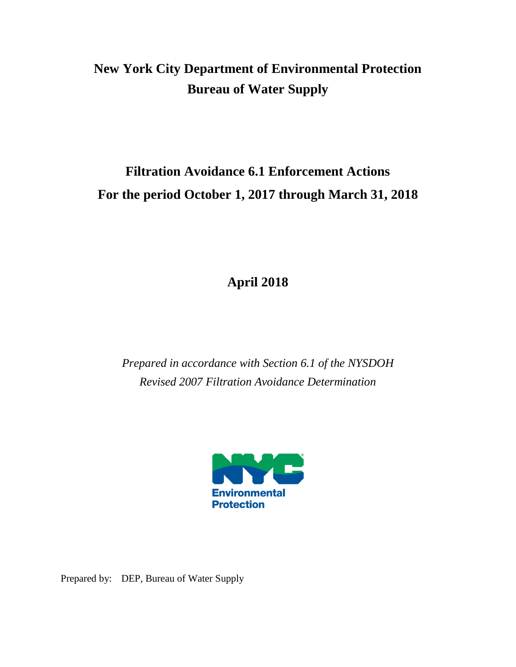# **New York City Department of Environmental Protection Bureau of Water Supply**

# **Filtration Avoidance 6.1 Enforcement Actions For the period October 1, 2017 through March 31, 2018**

**April 2018**

*Prepared in accordance with Section 6.1 of the NYSDOH Revised 2007 Filtration Avoidance Determination*



Prepared by: DEP, Bureau of Water Supply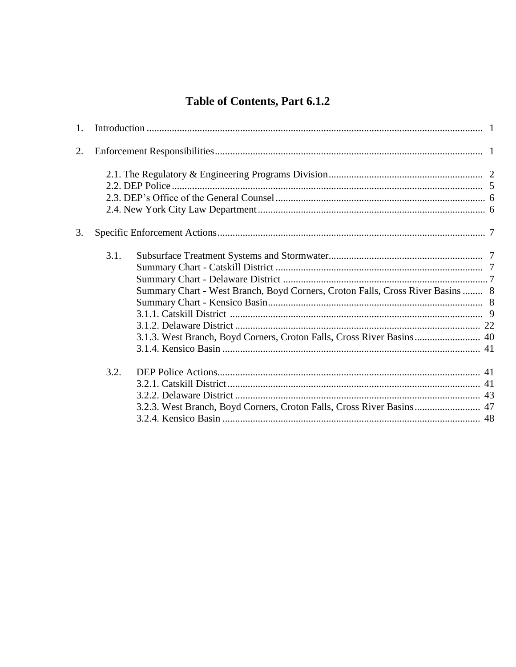## Table of Contents, Part 6.1.2

| 1. |      |                                                                                                                                                         |  |
|----|------|---------------------------------------------------------------------------------------------------------------------------------------------------------|--|
| 2. |      |                                                                                                                                                         |  |
|    |      |                                                                                                                                                         |  |
| 3. |      |                                                                                                                                                         |  |
|    | 3.1. | Summary Chart - West Branch, Boyd Corners, Croton Falls, Cross River Basins  8<br>3.1.3. West Branch, Boyd Corners, Croton Falls, Cross River Basins 40 |  |
|    | 3.2. | 3.2.3. West Branch, Boyd Corners, Croton Falls, Cross River Basins 47                                                                                   |  |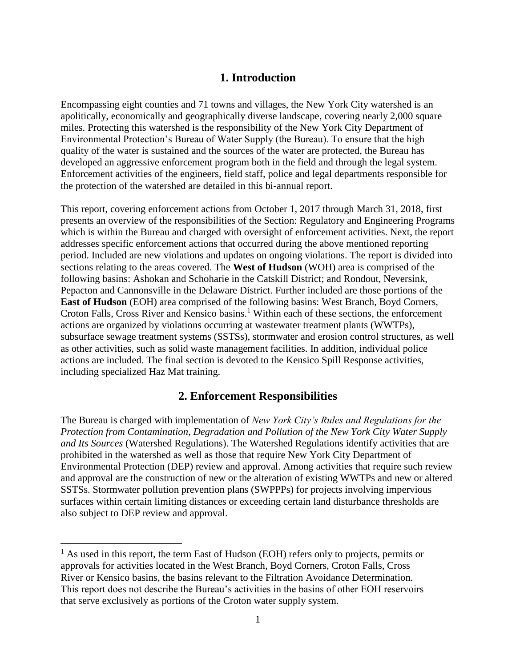## **1. Introduction**

Encompassing eight counties and 71 towns and villages, the New York City watershed is an apolitically, economically and geographically diverse landscape, covering nearly 2,000 square miles. Protecting this watershed is the responsibility of the New York City Department of Environmental Protection's Bureau of Water Supply (the Bureau). To ensure that the high quality of the water is sustained and the sources of the water are protected, the Bureau has developed an aggressive enforcement program both in the field and through the legal system. Enforcement activities of the engineers, field staff, police and legal departments responsible for the protection of the watershed are detailed in this bi-annual report.

This report, covering enforcement actions from October 1, 2017 through March 31, 2018, first presents an overview of the responsibilities of the Section: Regulatory and Engineering Programs which is within the Bureau and charged with oversight of enforcement activities. Next, the report addresses specific enforcement actions that occurred during the above mentioned reporting period. Included are new violations and updates on ongoing violations. The report is divided into sections relating to the areas covered. The **West of Hudson** (WOH) area is comprised of the following basins: Ashokan and Schoharie in the Catskill District; and Rondout, Neversink, Pepacton and Cannonsville in the Delaware District. Further included are those portions of the **East of Hudson** (EOH) area comprised of the following basins: West Branch, Boyd Corners, Croton Falls, Cross River and Kensico basins.<sup>1</sup> Within each of these sections, the enforcement actions are organized by violations occurring at wastewater treatment plants (WWTPs), subsurface sewage treatment systems (SSTSs), stormwater and erosion control structures, as well as other activities, such as solid waste management facilities. In addition, individual police actions are included. The final section is devoted to the Kensico Spill Response activities, including specialized Haz Mat training.

## **2. Enforcement Responsibilities**

The Bureau is charged with implementation of *New York City's Rules and Regulations for the Protection from Contamination, Degradation and Pollution of the New York City Water Supply and Its Sources* (Watershed Regulations). The Watershed Regulations identify activities that are prohibited in the watershed as well as those that require New York City Department of Environmental Protection (DEP) review and approval. Among activities that require such review and approval are the construction of new or the alteration of existing WWTPs and new or altered SSTSs. Stormwater pollution prevention plans (SWPPPs) for projects involving impervious surfaces within certain limiting distances or exceeding certain land disturbance thresholds are also subject to DEP review and approval.

 $\overline{a}$ 

 $<sup>1</sup>$  As used in this report, the term East of Hudson (EOH) refers only to projects, permits or</sup> approvals for activities located in the West Branch, Boyd Corners, Croton Falls, Cross River or Kensico basins, the basins relevant to the Filtration Avoidance Determination. This report does not describe the Bureau's activities in the basins of other EOH reservoirs that serve exclusively as portions of the Croton water supply system.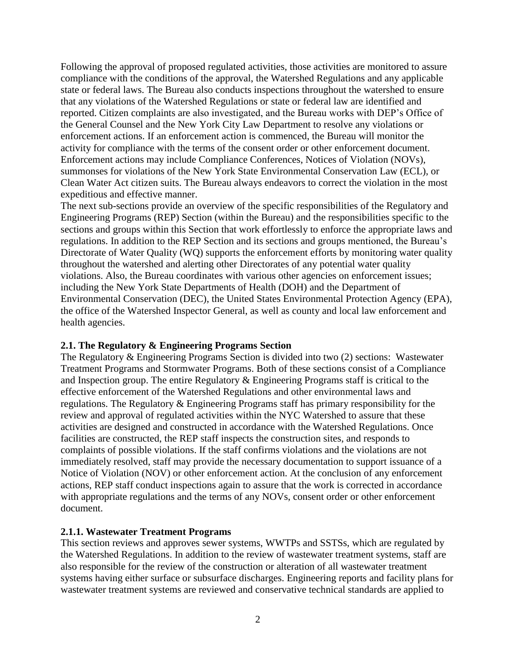Following the approval of proposed regulated activities, those activities are monitored to assure compliance with the conditions of the approval, the Watershed Regulations and any applicable state or federal laws. The Bureau also conducts inspections throughout the watershed to ensure that any violations of the Watershed Regulations or state or federal law are identified and reported. Citizen complaints are also investigated, and the Bureau works with DEP's Office of the General Counsel and the New York City Law Department to resolve any violations or enforcement actions. If an enforcement action is commenced, the Bureau will monitor the activity for compliance with the terms of the consent order or other enforcement document. Enforcement actions may include Compliance Conferences, Notices of Violation (NOVs), summonses for violations of the New York State Environmental Conservation Law (ECL), or Clean Water Act citizen suits. The Bureau always endeavors to correct the violation in the most expeditious and effective manner.

The next sub-sections provide an overview of the specific responsibilities of the Regulatory and Engineering Programs (REP) Section (within the Bureau) and the responsibilities specific to the sections and groups within this Section that work effortlessly to enforce the appropriate laws and regulations. In addition to the REP Section and its sections and groups mentioned, the Bureau's Directorate of Water Quality (WQ) supports the enforcement efforts by monitoring water quality throughout the watershed and alerting other Directorates of any potential water quality violations. Also, the Bureau coordinates with various other agencies on enforcement issues; including the New York State Departments of Health (DOH) and the Department of Environmental Conservation (DEC), the United States Environmental Protection Agency (EPA), the office of the Watershed Inspector General, as well as county and local law enforcement and health agencies.

### **2.1. The Regulatory & Engineering Programs Section**

The Regulatory & Engineering Programs Section is divided into two (2) sections: Wastewater Treatment Programs and Stormwater Programs. Both of these sections consist of a Compliance and Inspection group. The entire Regulatory & Engineering Programs staff is critical to the effective enforcement of the Watershed Regulations and other environmental laws and regulations. The Regulatory & Engineering Programs staff has primary responsibility for the review and approval of regulated activities within the NYC Watershed to assure that these activities are designed and constructed in accordance with the Watershed Regulations. Once facilities are constructed, the REP staff inspects the construction sites, and responds to complaints of possible violations. If the staff confirms violations and the violations are not immediately resolved, staff may provide the necessary documentation to support issuance of a Notice of Violation (NOV) or other enforcement action. At the conclusion of any enforcement actions, REP staff conduct inspections again to assure that the work is corrected in accordance with appropriate regulations and the terms of any NOVs, consent order or other enforcement document.

### **2.1.1. Wastewater Treatment Programs**

This section reviews and approves sewer systems, WWTPs and SSTSs, which are regulated by the Watershed Regulations. In addition to the review of wastewater treatment systems, staff are also responsible for the review of the construction or alteration of all wastewater treatment systems having either surface or subsurface discharges. Engineering reports and facility plans for wastewater treatment systems are reviewed and conservative technical standards are applied to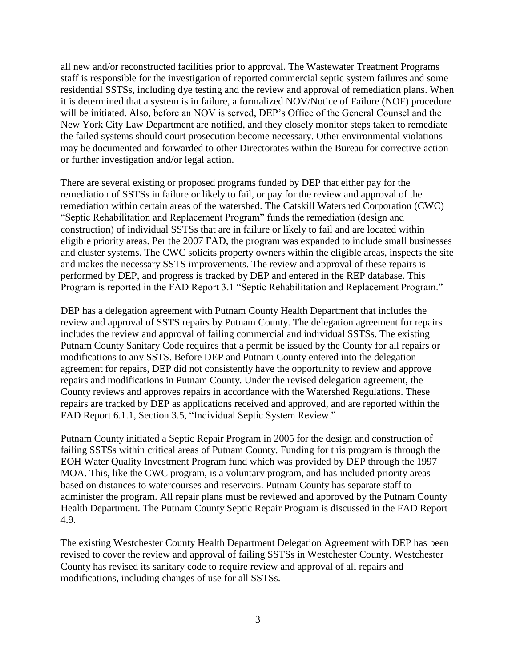all new and/or reconstructed facilities prior to approval. The Wastewater Treatment Programs staff is responsible for the investigation of reported commercial septic system failures and some residential SSTSs, including dye testing and the review and approval of remediation plans. When it is determined that a system is in failure, a formalized NOV/Notice of Failure (NOF) procedure will be initiated. Also, before an NOV is served, DEP's Office of the General Counsel and the New York City Law Department are notified, and they closely monitor steps taken to remediate the failed systems should court prosecution become necessary. Other environmental violations may be documented and forwarded to other Directorates within the Bureau for corrective action or further investigation and/or legal action.

There are several existing or proposed programs funded by DEP that either pay for the remediation of SSTSs in failure or likely to fail, or pay for the review and approval of the remediation within certain areas of the watershed. The Catskill Watershed Corporation (CWC) "Septic Rehabilitation and Replacement Program" funds the remediation (design and construction) of individual SSTSs that are in failure or likely to fail and are located within eligible priority areas. Per the 2007 FAD, the program was expanded to include small businesses and cluster systems. The CWC solicits property owners within the eligible areas, inspects the site and makes the necessary SSTS improvements. The review and approval of these repairs is performed by DEP, and progress is tracked by DEP and entered in the REP database. This Program is reported in the FAD Report 3.1 "Septic Rehabilitation and Replacement Program."

DEP has a delegation agreement with Putnam County Health Department that includes the review and approval of SSTS repairs by Putnam County. The delegation agreement for repairs includes the review and approval of failing commercial and individual SSTSs. The existing Putnam County Sanitary Code requires that a permit be issued by the County for all repairs or modifications to any SSTS. Before DEP and Putnam County entered into the delegation agreement for repairs, DEP did not consistently have the opportunity to review and approve repairs and modifications in Putnam County. Under the revised delegation agreement, the County reviews and approves repairs in accordance with the Watershed Regulations. These repairs are tracked by DEP as applications received and approved, and are reported within the FAD Report 6.1.1, Section 3.5, "Individual Septic System Review."

Putnam County initiated a Septic Repair Program in 2005 for the design and construction of failing SSTSs within critical areas of Putnam County. Funding for this program is through the EOH Water Quality Investment Program fund which was provided by DEP through the 1997 MOA. This, like the CWC program, is a voluntary program, and has included priority areas based on distances to watercourses and reservoirs. Putnam County has separate staff to administer the program. All repair plans must be reviewed and approved by the Putnam County Health Department. The Putnam County Septic Repair Program is discussed in the FAD Report 4.9.

The existing Westchester County Health Department Delegation Agreement with DEP has been revised to cover the review and approval of failing SSTSs in Westchester County. Westchester County has revised its sanitary code to require review and approval of all repairs and modifications, including changes of use for all SSTSs.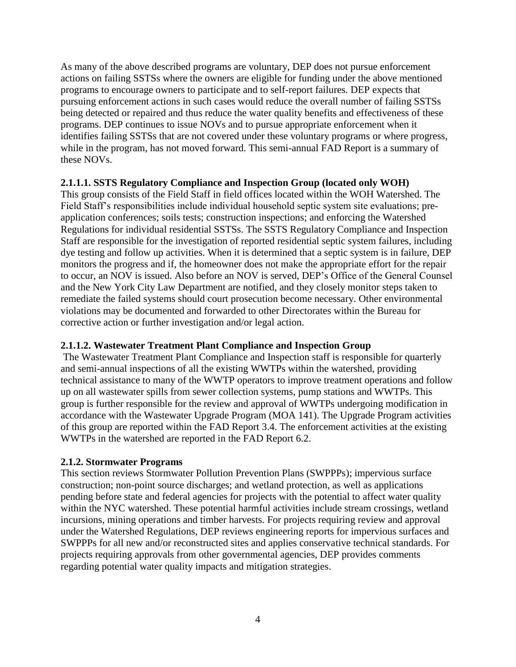As many of the above described programs are voluntary, DEP does not pursue enforcement actions on failing SSTSs where the owners are eligible for funding under the above mentioned programs to encourage owners to participate and to self-report failures. DEP expects that pursuing enforcement actions in such cases would reduce the overall number of failing SSTSs being detected or repaired and thus reduce the water quality benefits and effectiveness of these programs. DEP continues to issue NOVs and to pursue appropriate enforcement when it identifies failing SSTSs that are not covered under these voluntary programs or where progress, while in the program, has not moved forward. This semi-annual FAD Report is a summary of these NOVs.

### **2.1.1.1. SSTS Regulatory Compliance and Inspection Group (located only WOH)**

This group consists of the Field Staff in field offices located within the WOH Watershed. The Field Staff's responsibilities include individual household septic system site evaluations; preapplication conferences; soils tests; construction inspections; and enforcing the Watershed Regulations for individual residential SSTSs. The SSTS Regulatory Compliance and Inspection Staff are responsible for the investigation of reported residential septic system failures, including dye testing and follow up activities. When it is determined that a septic system is in failure, DEP monitors the progress and if, the homeowner does not make the appropriate effort for the repair to occur, an NOV is issued. Also before an NOV is served, DEP's Office of the General Counsel and the New York City Law Department are notified, and they closely monitor steps taken to remediate the failed systems should court prosecution become necessary. Other environmental violations may be documented and forwarded to other Directorates within the Bureau for corrective action or further investigation and/or legal action.

### **2.1.1.2. Wastewater Treatment Plant Compliance and Inspection Group**

The Wastewater Treatment Plant Compliance and Inspection staff is responsible for quarterly and semi-annual inspections of all the existing WWTPs within the watershed, providing technical assistance to many of the WWTP operators to improve treatment operations and follow up on all wastewater spills from sewer collection systems, pump stations and WWTPs. This group is further responsible for the review and approval of WWTPs undergoing modification in accordance with the Wastewater Upgrade Program (MOA 141). The Upgrade Program activities of this group are reported within the FAD Report 3.4. The enforcement activities at the existing WWTPs in the watershed are reported in the FAD Report 6.2.

### **2.1.2. Stormwater Programs**

This section reviews Stormwater Pollution Prevention Plans (SWPPPs); impervious surface construction; non-point source discharges; and wetland protection, as well as applications pending before state and federal agencies for projects with the potential to affect water quality within the NYC watershed. These potential harmful activities include stream crossings, wetland incursions, mining operations and timber harvests. For projects requiring review and approval under the Watershed Regulations, DEP reviews engineering reports for impervious surfaces and SWPPPs for all new and/or reconstructed sites and applies conservative technical standards. For projects requiring approvals from other governmental agencies, DEP provides comments regarding potential water quality impacts and mitigation strategies.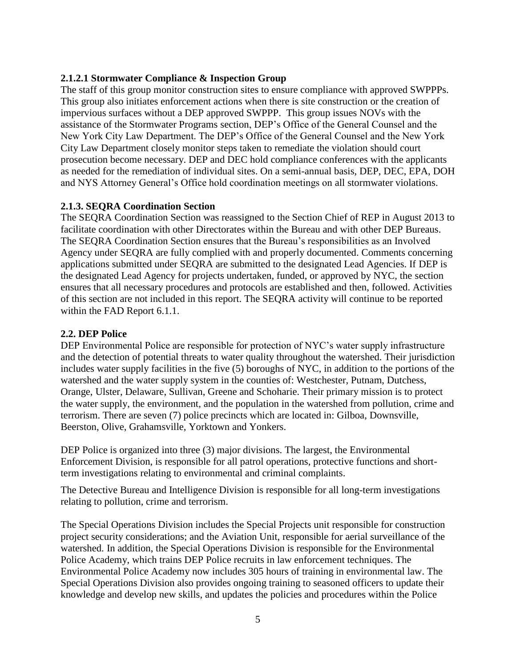### **2.1.2.1 Stormwater Compliance & Inspection Group**

The staff of this group monitor construction sites to ensure compliance with approved SWPPPs. This group also initiates enforcement actions when there is site construction or the creation of impervious surfaces without a DEP approved SWPPP. This group issues NOVs with the assistance of the Stormwater Programs section, DEP's Office of the General Counsel and the New York City Law Department. The DEP's Office of the General Counsel and the New York City Law Department closely monitor steps taken to remediate the violation should court prosecution become necessary. DEP and DEC hold compliance conferences with the applicants as needed for the remediation of individual sites. On a semi-annual basis, DEP, DEC, EPA, DOH and NYS Attorney General's Office hold coordination meetings on all stormwater violations.

### **2.1.3. SEQRA Coordination Section**

The SEQRA Coordination Section was reassigned to the Section Chief of REP in August 2013 to facilitate coordination with other Directorates within the Bureau and with other DEP Bureaus. The SEQRA Coordination Section ensures that the Bureau's responsibilities as an Involved Agency under SEQRA are fully complied with and properly documented. Comments concerning applications submitted under SEQRA are submitted to the designated Lead Agencies. If DEP is the designated Lead Agency for projects undertaken, funded, or approved by NYC, the section ensures that all necessary procedures and protocols are established and then, followed. Activities of this section are not included in this report. The SEQRA activity will continue to be reported within the FAD Report 6.1.1.

### **2.2. DEP Police**

DEP Environmental Police are responsible for protection of NYC's water supply infrastructure and the detection of potential threats to water quality throughout the watershed. Their jurisdiction includes water supply facilities in the five (5) boroughs of NYC, in addition to the portions of the watershed and the water supply system in the counties of: Westchester, Putnam, Dutchess, Orange, Ulster, Delaware, Sullivan, Greene and Schoharie. Their primary mission is to protect the water supply, the environment, and the population in the watershed from pollution, crime and terrorism. There are seven (7) police precincts which are located in: Gilboa, Downsville, Beerston, Olive, Grahamsville, Yorktown and Yonkers.

DEP Police is organized into three (3) major divisions. The largest, the Environmental Enforcement Division, is responsible for all patrol operations, protective functions and shortterm investigations relating to environmental and criminal complaints.

The Detective Bureau and Intelligence Division is responsible for all long-term investigations relating to pollution, crime and terrorism.

The Special Operations Division includes the Special Projects unit responsible for construction project security considerations; and the Aviation Unit, responsible for aerial surveillance of the watershed. In addition, the Special Operations Division is responsible for the Environmental Police Academy, which trains DEP Police recruits in law enforcement techniques. The Environmental Police Academy now includes 305 hours of training in environmental law. The Special Operations Division also provides ongoing training to seasoned officers to update their knowledge and develop new skills, and updates the policies and procedures within the Police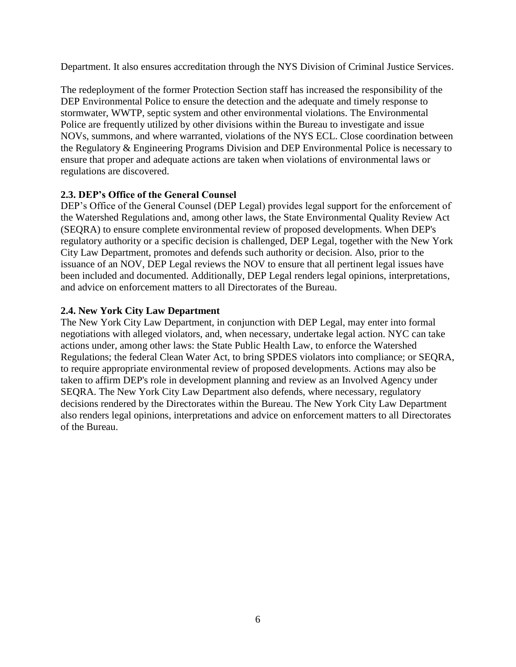Department. It also ensures accreditation through the NYS Division of Criminal Justice Services.

The redeployment of the former Protection Section staff has increased the responsibility of the DEP Environmental Police to ensure the detection and the adequate and timely response to stormwater, WWTP, septic system and other environmental violations. The Environmental Police are frequently utilized by other divisions within the Bureau to investigate and issue NOVs, summons, and where warranted, violations of the NYS ECL. Close coordination between the Regulatory & Engineering Programs Division and DEP Environmental Police is necessary to ensure that proper and adequate actions are taken when violations of environmental laws or regulations are discovered.

### **2.3. DEP's Office of the General Counsel**

DEP's Office of the General Counsel (DEP Legal) provides legal support for the enforcement of the Watershed Regulations and, among other laws, the State Environmental Quality Review Act (SEQRA) to ensure complete environmental review of proposed developments. When DEP's regulatory authority or a specific decision is challenged, DEP Legal, together with the New York City Law Department, promotes and defends such authority or decision. Also, prior to the issuance of an NOV, DEP Legal reviews the NOV to ensure that all pertinent legal issues have been included and documented. Additionally, DEP Legal renders legal opinions, interpretations, and advice on enforcement matters to all Directorates of the Bureau.

### **2.4. New York City Law Department**

The New York City Law Department, in conjunction with DEP Legal, may enter into formal negotiations with alleged violators, and, when necessary, undertake legal action. NYC can take actions under, among other laws: the State Public Health Law, to enforce the Watershed Regulations; the federal Clean Water Act, to bring SPDES violators into compliance; or SEQRA, to require appropriate environmental review of proposed developments. Actions may also be taken to affirm DEP's role in development planning and review as an Involved Agency under SEQRA. The New York City Law Department also defends, where necessary, regulatory decisions rendered by the Directorates within the Bureau. The New York City Law Department also renders legal opinions, interpretations and advice on enforcement matters to all Directorates of the Bureau.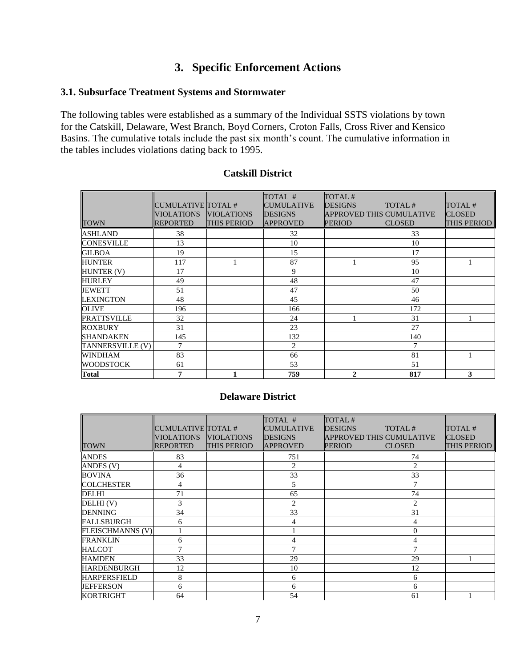## **3. Specific Enforcement Actions**

### **3.1. Subsurface Treatment Systems and Stormwater**

The following tables were established as a summary of the Individual SSTS violations by town for the Catskill, Delaware, West Branch, Boyd Corners, Croton Falls, Cross River and Kensico Basins. The cumulative totals include the past six month's count. The cumulative information in the tables includes violations dating back to 1995.

|                    |                    |                   | TOTAL #           | TOTAL#                   |               |               |
|--------------------|--------------------|-------------------|-------------------|--------------------------|---------------|---------------|
|                    | CUMULATIVE TOTAL # |                   | <b>CUMULATIVE</b> | <b>DESIGNS</b>           | TOTAL#        | TOTAL#        |
|                    | <b>VIOLATIONS</b>  | <b>VIOLATIONS</b> | <b>DESIGNS</b>    | APPROVED THIS CUMULATIVE |               | <b>CLOSED</b> |
| <b>TOWN</b>        | <b>REPORTED</b>    | THIS PERIOD       | <b>APPROVED</b>   | <b>PERIOD</b>            | <b>CLOSED</b> | THIS PERIOD   |
| <b>ASHLAND</b>     | 38                 |                   | 32                |                          | 33            |               |
| <b>CONESVILLE</b>  | 13                 |                   | 10                |                          | 10            |               |
| <b>GILBOA</b>      | 19                 |                   | 15                |                          | 17            |               |
| <b>HUNTER</b>      | 117                |                   | 87                |                          | 95            |               |
| HUNTER (V)         | 17                 |                   | 9                 |                          | 10            |               |
| <b>HURLEY</b>      | 49                 |                   | 48                |                          | 47            |               |
| JEWETT             | 51                 |                   | 47                |                          | 50            |               |
| <b>LEXINGTON</b>   | 48                 |                   | 45                |                          | 46            |               |
| <b>OLIVE</b>       | 196                |                   | 166               |                          | 172           |               |
| <b>PRATTSVILLE</b> | 32                 |                   | 24                |                          | 31            |               |
| <b>ROXBURY</b>     | 31                 |                   | 23                |                          | 27            |               |
| <b>SHANDAKEN</b>   | 145                |                   | 132               |                          | 140           |               |
| TANNERSVILLE (V)   | $\tau$             |                   | $\overline{2}$    |                          | 7             |               |
| <b>WINDHAM</b>     | 83                 |                   | 66                |                          | 81            |               |
| <b>WOODSTOCK</b>   | 61                 |                   | 53                |                          | 51            |               |
| <b>Total</b>       | 7                  |                   | 759               | $\mathbf{2}$             | 817           | 3             |

### **Catskill District**

### **Delaware District**

|                         | CUMULATIVE TOTAL #<br><b>VIOLATIONS</b> | <b>VIOLATIONS</b>  | TOTAL #<br><b>CUMULATIVE</b><br><b>DESIGNS</b> | TOTAL#<br><b>DESIGNS</b><br><b>APPROVED THIS CUMULATIVE</b> | TOTAL#         | TOTAL#<br><b>CLOSED</b> |
|-------------------------|-----------------------------------------|--------------------|------------------------------------------------|-------------------------------------------------------------|----------------|-------------------------|
| <b>TOWN</b>             | <b>REPORTED</b>                         | <b>THIS PERIOD</b> | <b>APPROVED</b>                                | <b>PERIOD</b>                                               | <b>CLOSED</b>  | <b>THIS PERIOD</b>      |
| <b>ANDES</b>            | 83                                      |                    | 751                                            |                                                             | 74             |                         |
| ANDES (V)               | 4                                       |                    | $\overline{2}$                                 |                                                             | $\overline{2}$ |                         |
| <b>BOVINA</b>           | 36                                      |                    | 33                                             |                                                             | 33             |                         |
| <b>COLCHESTER</b>       | 4                                       |                    | 5                                              |                                                             | 7              |                         |
| DELHI                   | 71                                      |                    | 65                                             |                                                             | 74             |                         |
| DELHI(V)                | 3                                       |                    | $\overline{2}$                                 |                                                             | $\overline{2}$ |                         |
| <b>DENNING</b>          | 34                                      |                    | 33                                             |                                                             | 31             |                         |
| <b>FALLSBURGH</b>       | 6                                       |                    | 4                                              |                                                             | 4              |                         |
| <b>FLEISCHMANNS (V)</b> |                                         |                    |                                                |                                                             | $\overline{0}$ |                         |
| <b>FRANKLIN</b>         | 6                                       |                    | 4                                              |                                                             | 4              |                         |
| <b>HALCOT</b>           | 7                                       |                    | 7                                              |                                                             | $\overline{7}$ |                         |
| <b>HAMDEN</b>           | 33                                      |                    | 29                                             |                                                             | 29             |                         |
| HARDENBURGH             | 12                                      |                    | 10                                             |                                                             | 12             |                         |
| <b>HARPERSFIELD</b>     | 8                                       |                    | 6                                              |                                                             | 6              |                         |
| <b>JEFFERSON</b>        | 6                                       |                    | 6                                              |                                                             | 6              |                         |
| <b>KORTRIGHT</b>        | 64                                      |                    | 54                                             |                                                             | 61             |                         |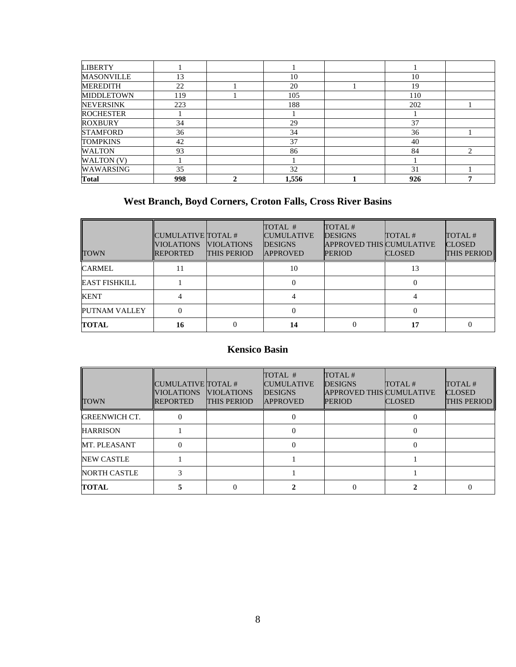| <b>LIBERTY</b>    |     |       |     |  |
|-------------------|-----|-------|-----|--|
| <b>MASONVILLE</b> | 13  | 10    | 10  |  |
| <b>MEREDITH</b>   | 22  | 20    | 19  |  |
| <b>MIDDLETOWN</b> | 119 | 105   | 110 |  |
| <b>NEVERSINK</b>  | 223 | 188   | 202 |  |
| <b>ROCHESTER</b>  |     |       |     |  |
| <b>ROXBURY</b>    | 34  | 29    | 37  |  |
| <b>STAMFORD</b>   | 36  | 34    | 36  |  |
| <b>TOMPKINS</b>   | 42  | 37    | 40  |  |
| <b>WALTON</b>     | 93  | 86    | 84  |  |
| WALTON (V)        |     |       |     |  |
| WAWARSING         | 35  | 32    | 31  |  |
| <b>Total</b>      | 998 | 1,556 | 926 |  |

## **West Branch, Boyd Corners, Croton Falls, Cross River Basins**

| <b>TOWN</b>          | CUMULATIVE TOTAL #<br><b>VIOLATIONS</b><br><b>REPORTED</b> | <b>VIOLATIONS</b><br><b>THIS PERIOD</b> | TOTAL #<br><b>CUMULATIVE</b><br><b>DESIGNS</b><br><b>APPROVED</b> | TOTAL#<br><b>DESIGNS</b><br><b>APPROVED THIS CUMULATIVE</b><br><b>PERIOD</b> | TOTAL#<br><b>CLOSED</b> | TOTAL#<br><b>CLOSED</b><br>THIS PERIOD |
|----------------------|------------------------------------------------------------|-----------------------------------------|-------------------------------------------------------------------|------------------------------------------------------------------------------|-------------------------|----------------------------------------|
| <b>CARMEL</b>        |                                                            |                                         | 10                                                                |                                                                              | 13                      |                                        |
| <b>EAST FISHKILL</b> |                                                            |                                         |                                                                   |                                                                              |                         |                                        |
| KENT                 |                                                            |                                         |                                                                   |                                                                              |                         |                                        |
| PUTNAM VALLEY        |                                                            |                                         |                                                                   |                                                                              |                         |                                        |
| <b>TOTAL</b>         | 16                                                         |                                         | 14                                                                |                                                                              | 17                      |                                        |

## **Kensico Basin**

| <b>TOWN</b>          | CUMULATIVE TOTAL #<br><b>VIOLATIONS</b><br><b>REPORTED</b> | <b>VIOLATIONS</b><br>THIS PERIOD | TOTAL #<br><b>CUMULATIVE</b><br><b>DESIGNS</b><br><b>APPROVED</b> | TOTAL#<br><b>DESIGNS</b><br><b>APPROVED THIS CUMULATIVE</b><br><b>PERIOD</b> | TOTAL#<br><b>CLOSED</b> | TOTAL#<br><b>CLOSED</b><br><b>THIS PERIOD</b> |
|----------------------|------------------------------------------------------------|----------------------------------|-------------------------------------------------------------------|------------------------------------------------------------------------------|-------------------------|-----------------------------------------------|
| <b>GREENWICH CT.</b> |                                                            |                                  |                                                                   |                                                                              |                         |                                               |
| <b>HARRISON</b>      |                                                            |                                  | $\Omega$                                                          |                                                                              | $\Omega$                |                                               |
| MT. PLEASANT         | 0                                                          |                                  | 0                                                                 |                                                                              | 0                       |                                               |
| <b>NEW CASTLE</b>    |                                                            |                                  |                                                                   |                                                                              |                         |                                               |
| <b>NORTH CASTLE</b>  |                                                            |                                  |                                                                   |                                                                              |                         |                                               |
| TOTAL                |                                                            |                                  |                                                                   |                                                                              |                         |                                               |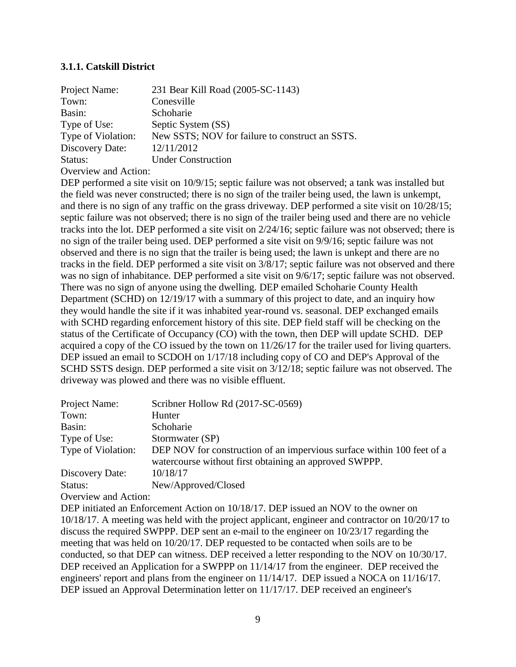### **3.1.1. Catskill District**

| Project Name:        | 231 Bear Kill Road (2005-SC-1143)               |
|----------------------|-------------------------------------------------|
| Town:                | Conesville                                      |
| Basin:               | Schoharie                                       |
| Type of Use:         | Septic System (SS)                              |
| Type of Violation:   | New SSTS; NOV for failure to construct an SSTS. |
| Discovery Date:      | 12/11/2012                                      |
| Status:              | <b>Under Construction</b>                       |
| Overview and Action: |                                                 |

DEP performed a site visit on  $10/9/15$ ; septic failure was not observed; a tank was installed but the field was never constructed; there is no sign of the trailer being used, the lawn is unkempt, and there is no sign of any traffic on the grass driveway. DEP performed a site visit on 10/28/15; septic failure was not observed; there is no sign of the trailer being used and there are no vehicle tracks into the lot. DEP performed a site visit on 2/24/16; septic failure was not observed; there is no sign of the trailer being used. DEP performed a site visit on 9/9/16; septic failure was not observed and there is no sign that the trailer is being used; the lawn is unkept and there are no tracks in the field. DEP performed a site visit on 3/8/17; septic failure was not observed and there was no sign of inhabitance. DEP performed a site visit on 9/6/17; septic failure was not observed. There was no sign of anyone using the dwelling. DEP emailed Schoharie County Health Department (SCHD) on 12/19/17 with a summary of this project to date, and an inquiry how they would handle the site if it was inhabited year-round vs. seasonal. DEP exchanged emails with SCHD regarding enforcement history of this site. DEP field staff will be checking on the status of the Certificate of Occupancy (CO) with the town, then DEP will update SCHD. DEP acquired a copy of the CO issued by the town on 11/26/17 for the trailer used for living quarters. DEP issued an email to SCDOH on  $1/17/18$  including copy of CO and DEP's Approval of the SCHD SSTS design. DEP performed a site visit on 3/12/18; septic failure was not observed. The driveway was plowed and there was no visible effluent.

| Project Name:        | Scribner Hollow Rd (2017-SC-0569)                                      |
|----------------------|------------------------------------------------------------------------|
| Town:                | Hunter                                                                 |
| Basin:               | Schoharie                                                              |
| Type of Use:         | Stormwater (SP)                                                        |
| Type of Violation:   | DEP NOV for construction of an impervious surface within 100 feet of a |
|                      | watercourse without first obtaining an approved SWPPP.                 |
| Discovery Date:      | 10/18/17                                                               |
| Status:              | New/Approved/Closed                                                    |
| Overview and Action: |                                                                        |

DEP initiated an Enforcement Action on 10/18/17. DEP issued an NOV to the owner on 10/18/17. A meeting was held with the project applicant, engineer and contractor on 10/20/17 to discuss the required SWPPP. DEP sent an e-mail to the engineer on 10/23/17 regarding the meeting that was held on 10/20/17. DEP requested to be contacted when soils are to be conducted, so that DEP can witness. DEP received a letter responding to the NOV on 10/30/17. DEP received an Application for a SWPPP on  $11/14/17$  from the engineer. DEP received the engineers' report and plans from the engineer on 11/14/17. DEP issued a NOCA on 11/16/17. DEP issued an Approval Determination letter on 11/17/17. DEP received an engineer's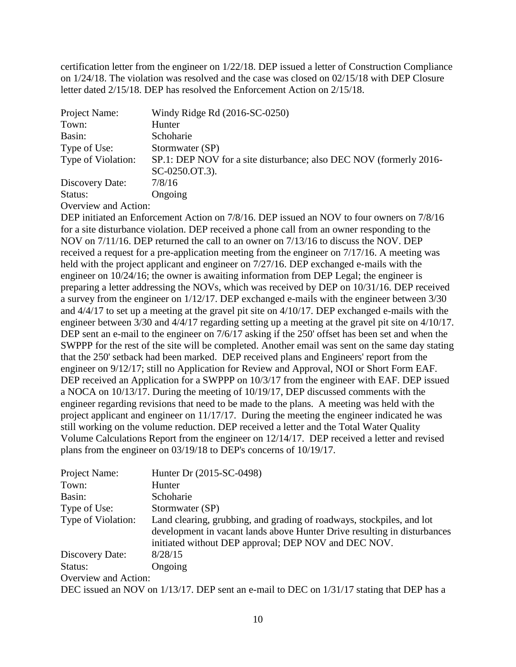certification letter from the engineer on 1/22/18. DEP issued a letter of Construction Compliance on 1/24/18. The violation was resolved and the case was closed on 02/15/18 with DEP Closure letter dated 2/15/18. DEP has resolved the Enforcement Action on 2/15/18.

| Project Name:                                                                                                                                                               | Windy Ridge Rd (2016-SC-0250)                                      |
|-----------------------------------------------------------------------------------------------------------------------------------------------------------------------------|--------------------------------------------------------------------|
| Town:                                                                                                                                                                       | Hunter                                                             |
| Basin:                                                                                                                                                                      | Schoharie                                                          |
| Type of Use:                                                                                                                                                                | Stormwater (SP)                                                    |
| Type of Violation:                                                                                                                                                          | SP.1: DEP NOV for a site disturbance; also DEC NOV (formerly 2016- |
|                                                                                                                                                                             | SC-0250.OT.3).                                                     |
| Discovery Date:                                                                                                                                                             | 7/8/16                                                             |
| Status:                                                                                                                                                                     | Ongoing                                                            |
| $\bigcap_{x\in\mathbb{R}}$ and $x\in\mathbb{R}$ and $\bigcap_{x\in\mathbb{R}}$ and $\bigcap_{x\in\mathbb{R}}$ and $\bigcap_{x\in\mathbb{R}}$ and $\bigcap_{x\in\mathbb{R}}$ |                                                                    |

Overview and Action:

DEP initiated an Enforcement Action on 7/8/16. DEP issued an NOV to four owners on 7/8/16 for a site disturbance violation. DEP received a phone call from an owner responding to the NOV on 7/11/16. DEP returned the call to an owner on 7/13/16 to discuss the NOV. DEP received a request for a pre-application meeting from the engineer on 7/17/16. A meeting was held with the project applicant and engineer on 7/27/16. DEP exchanged e-mails with the engineer on 10/24/16; the owner is awaiting information from DEP Legal; the engineer is preparing a letter addressing the NOVs, which was received by DEP on 10/31/16. DEP received a survey from the engineer on 1/12/17. DEP exchanged e-mails with the engineer between 3/30 and 4/4/17 to set up a meeting at the gravel pit site on 4/10/17. DEP exchanged e-mails with the engineer between 3/30 and 4/4/17 regarding setting up a meeting at the gravel pit site on 4/10/17. DEP sent an e-mail to the engineer on  $7/6/17$  asking if the 250' offset has been set and when the SWPPP for the rest of the site will be completed. Another email was sent on the same day stating that the 250' setback had been marked. DEP received plans and Engineers' report from the engineer on 9/12/17; still no Application for Review and Approval, NOI or Short Form EAF. DEP received an Application for a SWPPP on  $10/3/17$  from the engineer with EAF. DEP issued a NOCA on 10/13/17. During the meeting of 10/19/17, DEP discussed comments with the engineer regarding revisions that need to be made to the plans. A meeting was held with the project applicant and engineer on 11/17/17. During the meeting the engineer indicated he was still working on the volume reduction. DEP received a letter and the Total Water Quality Volume Calculations Report from the engineer on 12/14/17. DEP received a letter and revised plans from the engineer on 03/19/18 to DEP's concerns of 10/19/17.

| Project Name:        | Hunter Dr (2015-SC-0498)                                                                                                                                                                                  |
|----------------------|-----------------------------------------------------------------------------------------------------------------------------------------------------------------------------------------------------------|
| Town:                | Hunter                                                                                                                                                                                                    |
| Basin:               | Schoharie                                                                                                                                                                                                 |
| Type of Use:         | Stormwater (SP)                                                                                                                                                                                           |
| Type of Violation:   | Land clearing, grubbing, and grading of roadways, stockpiles, and lot<br>development in vacant lands above Hunter Drive resulting in disturbances<br>initiated without DEP approval; DEP NOV and DEC NOV. |
| Discovery Date:      | 8/28/15                                                                                                                                                                                                   |
| Status:              | Ongoing                                                                                                                                                                                                   |
| Overview and Action: |                                                                                                                                                                                                           |
|                      | $P_{\text{C}}$ 1 $N_{\text{C}}$ 1/19/17 $P_{\text{C}}$ 1/1 $P_{\text{C}}$ 1/1 $P_{\text{C}}$ 1/11/17 $\mu$ 1/11/17 $\mu$                                                                                  |

DEC issued an NOV on  $1/13/17$ . DEP sent an e-mail to DEC on  $1/31/17$  stating that DEP has a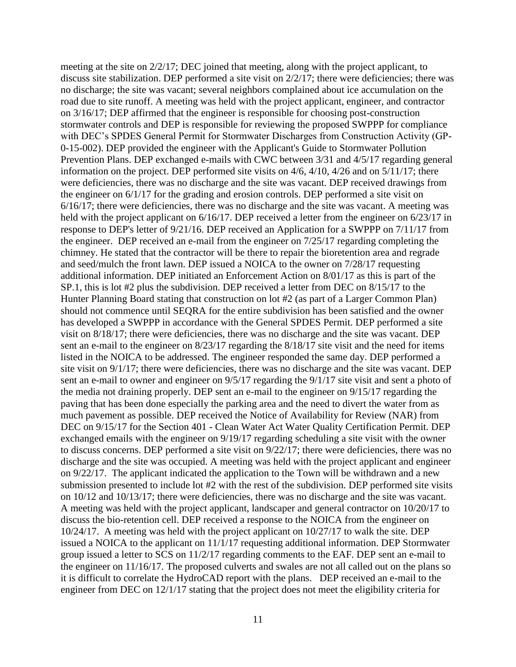meeting at the site on 2/2/17; DEC joined that meeting, along with the project applicant, to discuss site stabilization. DEP performed a site visit on 2/2/17; there were deficiencies; there was no discharge; the site was vacant; several neighbors complained about ice accumulation on the road due to site runoff. A meeting was held with the project applicant, engineer, and contractor on 3/16/17; DEP affirmed that the engineer is responsible for choosing post-construction stormwater controls and DEP is responsible for reviewing the proposed SWPPP for compliance with DEC's SPDES General Permit for Stormwater Discharges from Construction Activity (GP-0-15-002). DEP provided the engineer with the Applicant's Guide to Stormwater Pollution Prevention Plans. DEP exchanged e-mails with CWC between 3/31 and 4/5/17 regarding general information on the project. DEP performed site visits on 4/6, 4/10, 4/26 and on 5/11/17; there were deficiencies, there was no discharge and the site was vacant. DEP received drawings from the engineer on 6/1/17 for the grading and erosion controls. DEP performed a site visit on 6/16/17; there were deficiencies, there was no discharge and the site was vacant. A meeting was held with the project applicant on  $6/16/17$ . DEP received a letter from the engineer on  $6/23/17$  in response to DEP's letter of 9/21/16. DEP received an Application for a SWPPP on 7/11/17 from the engineer. DEP received an e-mail from the engineer on 7/25/17 regarding completing the chimney. He stated that the contractor will be there to repair the bioretention area and regrade and seed/mulch the front lawn. DEP issued a NOICA to the owner on 7/28/17 requesting additional information. DEP initiated an Enforcement Action on 8/01/17 as this is part of the SP.1, this is lot #2 plus the subdivision. DEP received a letter from DEC on 8/15/17 to the Hunter Planning Board stating that construction on lot #2 (as part of a Larger Common Plan) should not commence until SEQRA for the entire subdivision has been satisfied and the owner has developed a SWPPP in accordance with the General SPDES Permit. DEP performed a site visit on 8/18/17; there were deficiencies, there was no discharge and the site was vacant. DEP sent an e-mail to the engineer on 8/23/17 regarding the 8/18/17 site visit and the need for items listed in the NOICA to be addressed. The engineer responded the same day. DEP performed a site visit on 9/1/17; there were deficiencies, there was no discharge and the site was vacant. DEP sent an e-mail to owner and engineer on 9/5/17 regarding the 9/1/17 site visit and sent a photo of the media not draining properly. DEP sent an e-mail to the engineer on 9/15/17 regarding the paving that has been done especially the parking area and the need to divert the water from as much pavement as possible. DEP received the Notice of Availability for Review (NAR) from DEC on 9/15/17 for the Section 401 - Clean Water Act Water Quality Certification Permit. DEP exchanged emails with the engineer on 9/19/17 regarding scheduling a site visit with the owner to discuss concerns. DEP performed a site visit on 9/22/17; there were deficiencies, there was no discharge and the site was occupied. A meeting was held with the project applicant and engineer on 9/22/17. The applicant indicated the application to the Town will be withdrawn and a new submission presented to include lot #2 with the rest of the subdivision. DEP performed site visits on 10/12 and 10/13/17; there were deficiencies, there was no discharge and the site was vacant. A meeting was held with the project applicant, landscaper and general contractor on 10/20/17 to discuss the bio-retention cell. DEP received a response to the NOICA from the engineer on 10/24/17. A meeting was held with the project applicant on 10/27/17 to walk the site. DEP issued a NOICA to the applicant on 11/1/17 requesting additional information. DEP Stormwater group issued a letter to SCS on 11/2/17 regarding comments to the EAF. DEP sent an e-mail to the engineer on 11/16/17. The proposed culverts and swales are not all called out on the plans so it is difficult to correlate the HydroCAD report with the plans. DEP received an e-mail to the engineer from DEC on 12/1/17 stating that the project does not meet the eligibility criteria for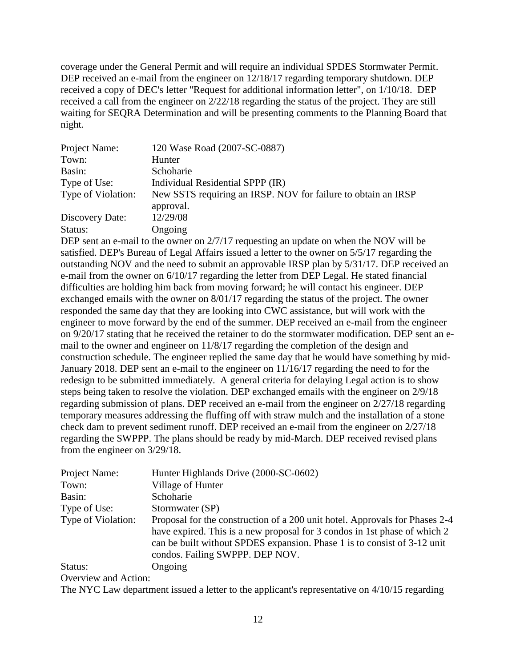coverage under the General Permit and will require an individual SPDES Stormwater Permit. DEP received an e-mail from the engineer on 12/18/17 regarding temporary shutdown. DEP received a copy of DEC's letter "Request for additional information letter", on 1/10/18. DEP received a call from the engineer on 2/22/18 regarding the status of the project. They are still waiting for SEQRA Determination and will be presenting comments to the Planning Board that night.

| Project Name:      | 120 Wase Road (2007-SC-0887)                                  |
|--------------------|---------------------------------------------------------------|
| Town:              | Hunter                                                        |
| Basin:             | Schoharie                                                     |
| Type of Use:       | Individual Residential SPPP (IR)                              |
| Type of Violation: | New SSTS requiring an IRSP. NOV for failure to obtain an IRSP |
|                    | approval.                                                     |
| Discovery Date:    | 12/29/08                                                      |
| Status:            | Ongoing                                                       |

DEP sent an e-mail to the owner on 2/7/17 requesting an update on when the NOV will be satisfied. DEP's Bureau of Legal Affairs issued a letter to the owner on 5/5/17 regarding the outstanding NOV and the need to submit an approvable IRSP plan by 5/31/17. DEP received an e-mail from the owner on 6/10/17 regarding the letter from DEP Legal. He stated financial difficulties are holding him back from moving forward; he will contact his engineer. DEP exchanged emails with the owner on 8/01/17 regarding the status of the project. The owner responded the same day that they are looking into CWC assistance, but will work with the engineer to move forward by the end of the summer. DEP received an e-mail from the engineer on 9/20/17 stating that he received the retainer to do the stormwater modification. DEP sent an email to the owner and engineer on 11/8/17 regarding the completion of the design and construction schedule. The engineer replied the same day that he would have something by mid-January 2018. DEP sent an e-mail to the engineer on 11/16/17 regarding the need to for the redesign to be submitted immediately. A general criteria for delaying Legal action is to show steps being taken to resolve the violation. DEP exchanged emails with the engineer on 2/9/18 regarding submission of plans. DEP received an e-mail from the engineer on 2/27/18 regarding temporary measures addressing the fluffing off with straw mulch and the installation of a stone check dam to prevent sediment runoff. DEP received an e-mail from the engineer on 2/27/18 regarding the SWPPP. The plans should be ready by mid-March. DEP received revised plans from the engineer on 3/29/18.

| Project Name:        | Hunter Highlands Drive (2000-SC-0602)                                                                                                                                                                                                                                   |
|----------------------|-------------------------------------------------------------------------------------------------------------------------------------------------------------------------------------------------------------------------------------------------------------------------|
| Town:                | Village of Hunter                                                                                                                                                                                                                                                       |
| Basin:               | Schoharie                                                                                                                                                                                                                                                               |
| Type of Use:         | Stormwater (SP)                                                                                                                                                                                                                                                         |
| Type of Violation:   | Proposal for the construction of a 200 unit hotel. Approvals for Phases 2-4<br>have expired. This is a new proposal for 3 condos in 1st phase of which 2<br>can be built without SPDES expansion. Phase 1 is to consist of 3-12 unit<br>condos. Failing SWPPP. DEP NOV. |
| Status:              | Ongoing                                                                                                                                                                                                                                                                 |
| Overview and Action. |                                                                                                                                                                                                                                                                         |

The NYC Law department issued a letter to the applicant's representative on 4/10/15 regarding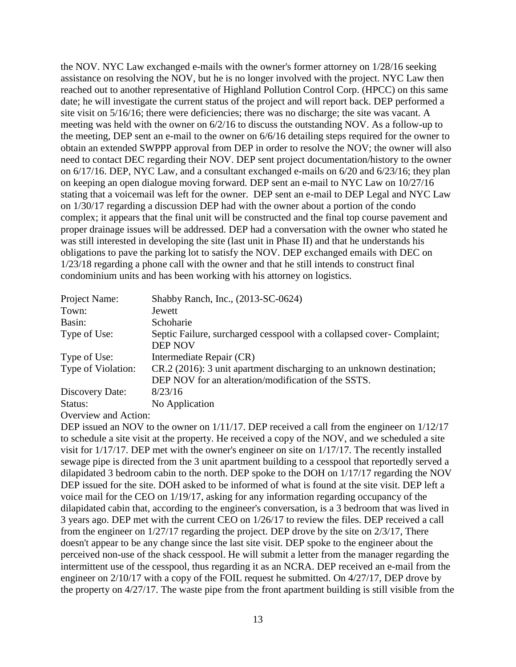the NOV. NYC Law exchanged e-mails with the owner's former attorney on 1/28/16 seeking assistance on resolving the NOV, but he is no longer involved with the project. NYC Law then reached out to another representative of Highland Pollution Control Corp. (HPCC) on this same date; he will investigate the current status of the project and will report back. DEP performed a site visit on 5/16/16; there were deficiencies; there was no discharge; the site was vacant. A meeting was held with the owner on 6/2/16 to discuss the outstanding NOV. As a follow-up to the meeting, DEP sent an e-mail to the owner on 6/6/16 detailing steps required for the owner to obtain an extended SWPPP approval from DEP in order to resolve the NOV; the owner will also need to contact DEC regarding their NOV. DEP sent project documentation/history to the owner on 6/17/16. DEP, NYC Law, and a consultant exchanged e-mails on 6/20 and 6/23/16; they plan on keeping an open dialogue moving forward. DEP sent an e-mail to NYC Law on 10/27/16 stating that a voicemail was left for the owner. DEP sent an e-mail to DEP Legal and NYC Law on 1/30/17 regarding a discussion DEP had with the owner about a portion of the condo complex; it appears that the final unit will be constructed and the final top course pavement and proper drainage issues will be addressed. DEP had a conversation with the owner who stated he was still interested in developing the site (last unit in Phase II) and that he understands his obligations to pave the parking lot to satisfy the NOV. DEP exchanged emails with DEC on 1/23/18 regarding a phone call with the owner and that he still intends to construct final condominium units and has been working with his attorney on logistics.

| Project Name:                                                                                                                                                                                                           | Shabby Ranch, Inc., (2013-SC-0624)                                                       |
|-------------------------------------------------------------------------------------------------------------------------------------------------------------------------------------------------------------------------|------------------------------------------------------------------------------------------|
| Town:                                                                                                                                                                                                                   | Jewett                                                                                   |
| Basin:                                                                                                                                                                                                                  | Schoharie                                                                                |
| Type of Use:                                                                                                                                                                                                            | Septic Failure, surcharged cesspool with a collapsed cover- Complaint;<br><b>DEP NOV</b> |
| Type of Use:                                                                                                                                                                                                            | Intermediate Repair (CR)                                                                 |
| Type of Violation:                                                                                                                                                                                                      | CR.2 (2016): 3 unit apartment discharging to an unknown destination;                     |
|                                                                                                                                                                                                                         | DEP NOV for an alteration/modification of the SSTS.                                      |
| Discovery Date:                                                                                                                                                                                                         | 8/23/16                                                                                  |
| Status:                                                                                                                                                                                                                 | No Application                                                                           |
| $\bigcap_{x\in\mathbb{R}}$ $\bigcup_{x\in\mathbb{R}}$ $\bigcup_{x\in\mathbb{R}}$ $\bigcup_{x\in\mathbb{R}}$ $\bigcup_{x\in\mathbb{R}}$ $\bigcup_{x\in\mathbb{R}}$ $\bigcup_{x\in\mathbb{R}}$ $\bigcup_{x\in\mathbb{R}}$ |                                                                                          |

Overview and Action:

DEP issued an NOV to the owner on  $1/11/17$ . DEP received a call from the engineer on  $1/12/17$ to schedule a site visit at the property. He received a copy of the NOV, and we scheduled a site visit for 1/17/17. DEP met with the owner's engineer on site on 1/17/17. The recently installed sewage pipe is directed from the 3 unit apartment building to a cesspool that reportedly served a dilapidated 3 bedroom cabin to the north. DEP spoke to the DOH on 1/17/17 regarding the NOV DEP issued for the site. DOH asked to be informed of what is found at the site visit. DEP left a voice mail for the CEO on 1/19/17, asking for any information regarding occupancy of the dilapidated cabin that, according to the engineer's conversation, is a 3 bedroom that was lived in 3 years ago. DEP met with the current CEO on 1/26/17 to review the files. DEP received a call from the engineer on 1/27/17 regarding the project. DEP drove by the site on 2/3/17, There doesn't appear to be any change since the last site visit. DEP spoke to the engineer about the perceived non-use of the shack cesspool. He will submit a letter from the manager regarding the intermittent use of the cesspool, thus regarding it as an NCRA. DEP received an e-mail from the engineer on 2/10/17 with a copy of the FOIL request he submitted. On 4/27/17, DEP drove by the property on 4/27/17. The waste pipe from the front apartment building is still visible from the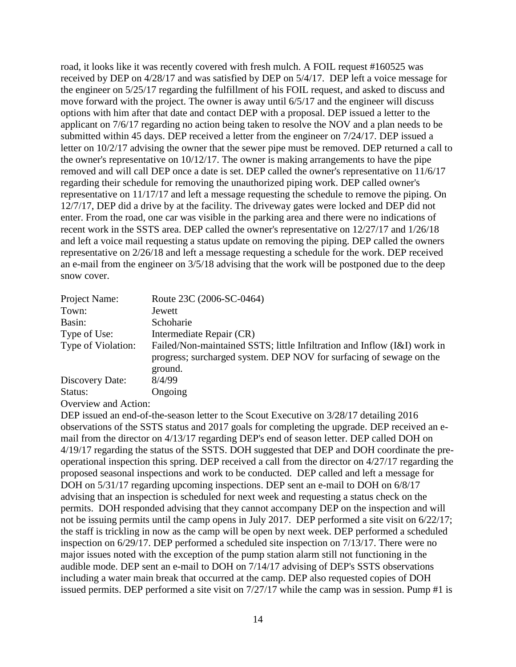road, it looks like it was recently covered with fresh mulch. A FOIL request #160525 was received by DEP on 4/28/17 and was satisfied by DEP on 5/4/17. DEP left a voice message for the engineer on 5/25/17 regarding the fulfillment of his FOIL request, and asked to discuss and move forward with the project. The owner is away until 6/5/17 and the engineer will discuss options with him after that date and contact DEP with a proposal. DEP issued a letter to the applicant on 7/6/17 regarding no action being taken to resolve the NOV and a plan needs to be submitted within 45 days. DEP received a letter from the engineer on 7/24/17. DEP issued a letter on 10/2/17 advising the owner that the sewer pipe must be removed. DEP returned a call to the owner's representative on 10/12/17. The owner is making arrangements to have the pipe removed and will call DEP once a date is set. DEP called the owner's representative on 11/6/17 regarding their schedule for removing the unauthorized piping work. DEP called owner's representative on 11/17/17 and left a message requesting the schedule to remove the piping. On 12/7/17, DEP did a drive by at the facility. The driveway gates were locked and DEP did not enter. From the road, one car was visible in the parking area and there were no indications of recent work in the SSTS area. DEP called the owner's representative on 12/27/17 and 1/26/18 and left a voice mail requesting a status update on removing the piping. DEP called the owners representative on 2/26/18 and left a message requesting a schedule for the work. DEP received an e-mail from the engineer on 3/5/18 advising that the work will be postponed due to the deep snow cover.

| Project Name:      | Route 23C (2006-SC-0464)                                                                                                                                   |
|--------------------|------------------------------------------------------------------------------------------------------------------------------------------------------------|
| Town:              | Jewett                                                                                                                                                     |
| Basin:             | Schoharie                                                                                                                                                  |
| Type of Use:       | Intermediate Repair (CR)                                                                                                                                   |
| Type of Violation: | Failed/Non-maintained SSTS; little Infiltration and Inflow (I&I) work in<br>progress; surcharged system. DEP NOV for surfacing of sewage on the<br>ground. |
| Discovery Date:    | 8/4/99                                                                                                                                                     |
| Status:            | Ongoing                                                                                                                                                    |
|                    |                                                                                                                                                            |

Overview and Action:

DEP issued an end-of-the-season letter to the Scout Executive on  $3/28/17$  detailing 2016 observations of the SSTS status and 2017 goals for completing the upgrade. DEP received an email from the director on 4/13/17 regarding DEP's end of season letter. DEP called DOH on 4/19/17 regarding the status of the SSTS. DOH suggested that DEP and DOH coordinate the preoperational inspection this spring. DEP received a call from the director on 4/27/17 regarding the proposed seasonal inspections and work to be conducted. DEP called and left a message for DOH on  $5/31/17$  regarding upcoming inspections. DEP sent an e-mail to DOH on  $6/8/17$ advising that an inspection is scheduled for next week and requesting a status check on the permits. DOH responded advising that they cannot accompany DEP on the inspection and will not be issuing permits until the camp opens in July 2017. DEP performed a site visit on 6/22/17; the staff is trickling in now as the camp will be open by next week. DEP performed a scheduled inspection on 6/29/17. DEP performed a scheduled site inspection on 7/13/17. There were no major issues noted with the exception of the pump station alarm still not functioning in the audible mode. DEP sent an e-mail to DOH on 7/14/17 advising of DEP's SSTS observations including a water main break that occurred at the camp. DEP also requested copies of DOH issued permits. DEP performed a site visit on 7/27/17 while the camp was in session. Pump #1 is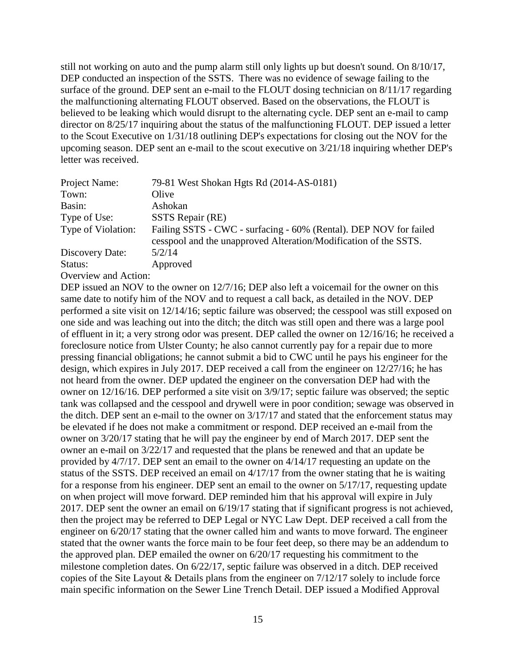still not working on auto and the pump alarm still only lights up but doesn't sound. On 8/10/17, DEP conducted an inspection of the SSTS. There was no evidence of sewage failing to the surface of the ground. DEP sent an e-mail to the FLOUT dosing technician on 8/11/17 regarding the malfunctioning alternating FLOUT observed. Based on the observations, the FLOUT is believed to be leaking which would disrupt to the alternating cycle. DEP sent an e-mail to camp director on 8/25/17 inquiring about the status of the malfunctioning FLOUT. DEP issued a letter to the Scout Executive on 1/31/18 outlining DEP's expectations for closing out the NOV for the upcoming season. DEP sent an e-mail to the scout executive on 3/21/18 inquiring whether DEP's letter was received.

| Project Name:        | 79-81 West Shokan Hgts Rd (2014-AS-0181)                                                                                              |
|----------------------|---------------------------------------------------------------------------------------------------------------------------------------|
| Town:                | Olive                                                                                                                                 |
| Basin:               | Ashokan                                                                                                                               |
| Type of Use:         | SSTS Repair (RE)                                                                                                                      |
| Type of Violation:   | Failing SSTS - CWC - surfacing - 60% (Rental). DEP NOV for failed<br>cesspool and the unapproved Alteration/Modification of the SSTS. |
| Discovery Date:      | 5/2/14                                                                                                                                |
| Status:              | Approved                                                                                                                              |
| Overview and Action: |                                                                                                                                       |

DEP issued an NOV to the owner on 12/7/16; DEP also left a voicemail for the owner on this same date to notify him of the NOV and to request a call back, as detailed in the NOV. DEP performed a site visit on 12/14/16; septic failure was observed; the cesspool was still exposed on one side and was leaching out into the ditch; the ditch was still open and there was a large pool of effluent in it; a very strong odor was present. DEP called the owner on 12/16/16; he received a foreclosure notice from Ulster County; he also cannot currently pay for a repair due to more pressing financial obligations; he cannot submit a bid to CWC until he pays his engineer for the design, which expires in July 2017. DEP received a call from the engineer on 12/27/16; he has not heard from the owner. DEP updated the engineer on the conversation DEP had with the owner on 12/16/16. DEP performed a site visit on 3/9/17; septic failure was observed; the septic tank was collapsed and the cesspool and drywell were in poor condition; sewage was observed in the ditch. DEP sent an e-mail to the owner on 3/17/17 and stated that the enforcement status may be elevated if he does not make a commitment or respond. DEP received an e-mail from the owner on 3/20/17 stating that he will pay the engineer by end of March 2017. DEP sent the owner an e-mail on 3/22/17 and requested that the plans be renewed and that an update be provided by 4/7/17. DEP sent an email to the owner on 4/14/17 requesting an update on the status of the SSTS. DEP received an email on 4/17/17 from the owner stating that he is waiting for a response from his engineer. DEP sent an email to the owner on 5/17/17, requesting update on when project will move forward. DEP reminded him that his approval will expire in July 2017. DEP sent the owner an email on 6/19/17 stating that if significant progress is not achieved, then the project may be referred to DEP Legal or NYC Law Dept. DEP received a call from the engineer on 6/20/17 stating that the owner called him and wants to move forward. The engineer stated that the owner wants the force main to be four feet deep, so there may be an addendum to the approved plan. DEP emailed the owner on 6/20/17 requesting his commitment to the milestone completion dates. On 6/22/17, septic failure was observed in a ditch. DEP received copies of the Site Layout & Details plans from the engineer on 7/12/17 solely to include force main specific information on the Sewer Line Trench Detail. DEP issued a Modified Approval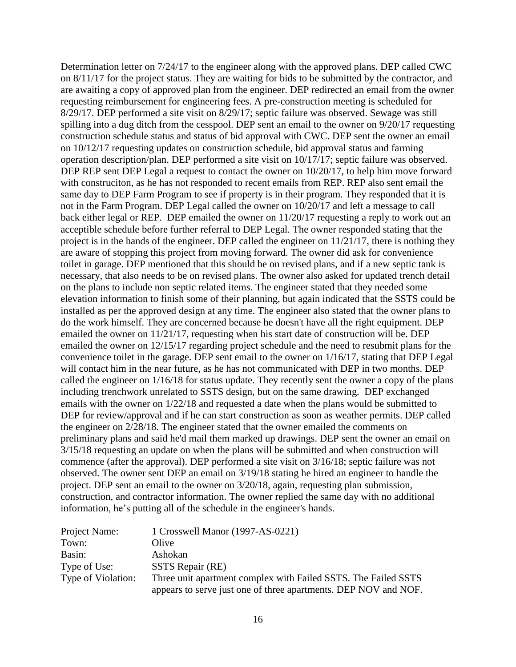Determination letter on 7/24/17 to the engineer along with the approved plans. DEP called CWC on 8/11/17 for the project status. They are waiting for bids to be submitted by the contractor, and are awaiting a copy of approved plan from the engineer. DEP redirected an email from the owner requesting reimbursement for engineering fees. A pre-construction meeting is scheduled for 8/29/17. DEP performed a site visit on 8/29/17; septic failure was observed. Sewage was still spilling into a dug ditch from the cesspool. DEP sent an email to the owner on 9/20/17 requesting construction schedule status and status of bid approval with CWC. DEP sent the owner an email on 10/12/17 requesting updates on construction schedule, bid approval status and farming operation description/plan. DEP performed a site visit on 10/17/17; septic failure was observed. DEP REP sent DEP Legal a request to contact the owner on  $10/20/17$ , to help him move forward with construciton, as he has not responded to recent emails from REP. REP also sent email the same day to DEP Farm Program to see if property is in their program. They responded that it is not in the Farm Program. DEP Legal called the owner on 10/20/17 and left a message to call back either legal or REP. DEP emailed the owner on 11/20/17 requesting a reply to work out an acceptible schedule before further referral to DEP Legal. The owner responded stating that the project is in the hands of the engineer. DEP called the engineer on 11/21/17, there is nothing they are aware of stopping this project from moving forward. The owner did ask for convenience toilet in garage. DEP mentioned that this should be on revised plans, and if a new septic tank is necessary, that also needs to be on revised plans. The owner also asked for updated trench detail on the plans to include non septic related items. The engineer stated that they needed some elevation information to finish some of their planning, but again indicated that the SSTS could be installed as per the approved design at any time. The engineer also stated that the owner plans to do the work himself. They are concerned because he doesn't have all the right equipment. DEP emailed the owner on 11/21/17, requesting when his start date of construction will be. DEP emailed the owner on 12/15/17 regarding project schedule and the need to resubmit plans for the convenience toilet in the garage. DEP sent email to the owner on 1/16/17, stating that DEP Legal will contact him in the near future, as he has not communicated with DEP in two months. DEP called the engineer on 1/16/18 for status update. They recently sent the owner a copy of the plans including trenchwork unrelated to SSTS design, but on the same drawing. DEP exchanged emails with the owner on 1/22/18 and requested a date when the plans would be submitted to DEP for review/approval and if he can start construction as soon as weather permits. DEP called the engineer on 2/28/18. The engineer stated that the owner emailed the comments on preliminary plans and said he'd mail them marked up drawings. DEP sent the owner an email on 3/15/18 requesting an update on when the plans will be submitted and when construction will commence (after the approval). DEP performed a site visit on 3/16/18; septic failure was not observed. The owner sent DEP an email on 3/19/18 stating he hired an engineer to handle the project. DEP sent an email to the owner on 3/20/18, again, requesting plan submission, construction, and contractor information. The owner replied the same day with no additional information, he's putting all of the schedule in the engineer's hands.

| Project Name:      | 1 Crosswell Manor (1997-AS-0221)                                |
|--------------------|-----------------------------------------------------------------|
| Town:              | Olive                                                           |
| Basin:             | Ashokan                                                         |
| Type of Use:       | SSTS Repair (RE)                                                |
| Type of Violation: | Three unit apartment complex with Failed SSTS. The Failed SSTS  |
|                    | appears to serve just one of three apartments. DEP NOV and NOF. |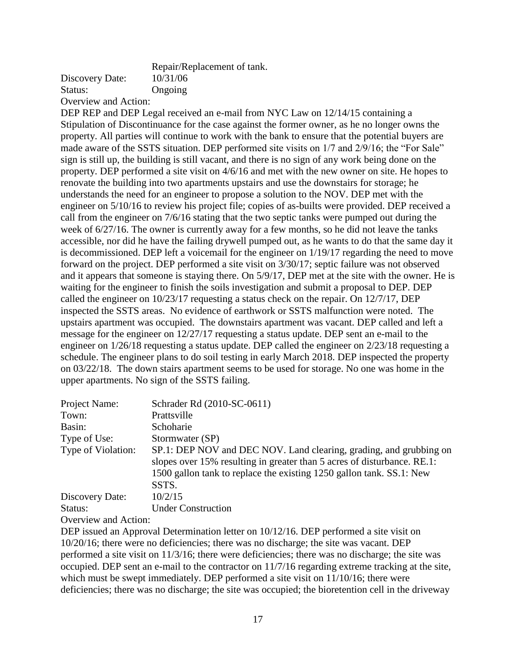|                      | Repair/Replacement of tank |
|----------------------|----------------------------|
| Discovery Date:      | 10/31/06                   |
| Status:              | Ongoing                    |
| Overview and Action: |                            |

DEP REP and DEP Legal received an e-mail from NYC Law on 12/14/15 containing a Stipulation of Discontinuance for the case against the former owner, as he no longer owns the property. All parties will continue to work with the bank to ensure that the potential buyers are made aware of the SSTS situation. DEP performed site visits on 1/7 and 2/9/16; the "For Sale" sign is still up, the building is still vacant, and there is no sign of any work being done on the property. DEP performed a site visit on 4/6/16 and met with the new owner on site. He hopes to renovate the building into two apartments upstairs and use the downstairs for storage; he understands the need for an engineer to propose a solution to the NOV. DEP met with the engineer on 5/10/16 to review his project file; copies of as-builts were provided. DEP received a call from the engineer on 7/6/16 stating that the two septic tanks were pumped out during the week of 6/27/16. The owner is currently away for a few months, so he did not leave the tanks accessible, nor did he have the failing drywell pumped out, as he wants to do that the same day it is decommissioned. DEP left a voicemail for the engineer on 1/19/17 regarding the need to move forward on the project. DEP performed a site visit on 3/30/17; septic failure was not observed and it appears that someone is staying there. On 5/9/17, DEP met at the site with the owner. He is waiting for the engineer to finish the soils investigation and submit a proposal to DEP. DEP called the engineer on 10/23/17 requesting a status check on the repair. On 12/7/17, DEP inspected the SSTS areas. No evidence of earthwork or SSTS malfunction were noted. The upstairs apartment was occupied. The downstairs apartment was vacant. DEP called and left a message for the engineer on 12/27/17 requesting a status update. DEP sent an e-mail to the engineer on 1/26/18 requesting a status update. DEP called the engineer on 2/23/18 requesting a schedule. The engineer plans to do soil testing in early March 2018. DEP inspected the property on 03/22/18. The down stairs apartment seems to be used for storage. No one was home in the upper apartments. No sign of the SSTS failing.

| Project Name:<br>Town: | Schrader Rd (2010-SC-0611)<br>Prattsville                                                                                                                                                                                      |
|------------------------|--------------------------------------------------------------------------------------------------------------------------------------------------------------------------------------------------------------------------------|
| Basin:                 | Schoharie                                                                                                                                                                                                                      |
| Type of Use:           | Stormwater (SP)                                                                                                                                                                                                                |
| Type of Violation:     | SP.1: DEP NOV and DEC NOV. Land clearing, grading, and grubbing on<br>slopes over 15% resulting in greater than 5 acres of disturbance. RE.1:<br>1500 gallon tank to replace the existing 1250 gallon tank. SS.1: New<br>SSTS. |
| Discovery Date:        | 10/2/15                                                                                                                                                                                                                        |
| Status:                | <b>Under Construction</b>                                                                                                                                                                                                      |

Overview and Action:

DEP issued an Approval Determination letter on 10/12/16. DEP performed a site visit on 10/20/16; there were no deficiencies; there was no discharge; the site was vacant. DEP performed a site visit on 11/3/16; there were deficiencies; there was no discharge; the site was occupied. DEP sent an e-mail to the contractor on 11/7/16 regarding extreme tracking at the site, which must be swept immediately. DEP performed a site visit on  $11/10/16$ ; there were deficiencies; there was no discharge; the site was occupied; the bioretention cell in the driveway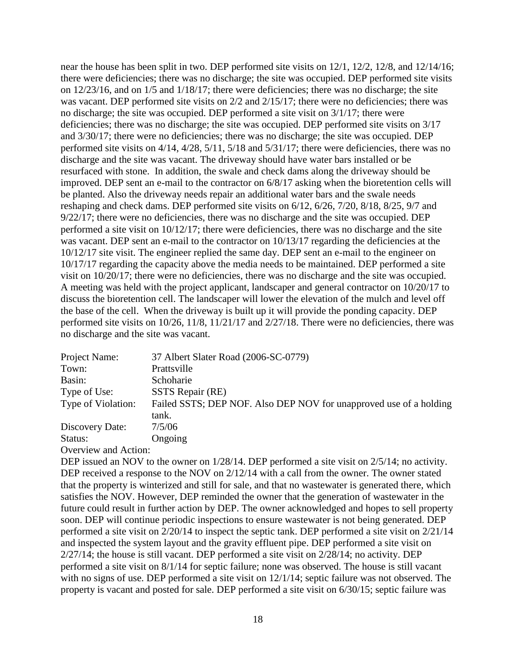near the house has been split in two. DEP performed site visits on 12/1, 12/2, 12/8, and 12/14/16; there were deficiencies; there was no discharge; the site was occupied. DEP performed site visits on 12/23/16, and on 1/5 and 1/18/17; there were deficiencies; there was no discharge; the site was vacant. DEP performed site visits on 2/2 and 2/15/17; there were no deficiencies; there was no discharge; the site was occupied. DEP performed a site visit on 3/1/17; there were deficiencies; there was no discharge; the site was occupied. DEP performed site visits on 3/17 and 3/30/17; there were no deficiencies; there was no discharge; the site was occupied. DEP performed site visits on 4/14, 4/28, 5/11, 5/18 and 5/31/17; there were deficiencies, there was no discharge and the site was vacant. The driveway should have water bars installed or be resurfaced with stone. In addition, the swale and check dams along the driveway should be improved. DEP sent an e-mail to the contractor on 6/8/17 asking when the bioretention cells will be planted. Also the driveway needs repair an additional water bars and the swale needs reshaping and check dams. DEP performed site visits on 6/12, 6/26, 7/20, 8/18, 8/25, 9/7 and 9/22/17; there were no deficiencies, there was no discharge and the site was occupied. DEP performed a site visit on 10/12/17; there were deficiencies, there was no discharge and the site was vacant. DEP sent an e-mail to the contractor on  $10/13/17$  regarding the deficiencies at the 10/12/17 site visit. The engineer replied the same day. DEP sent an e-mail to the engineer on 10/17/17 regarding the capacity above the media needs to be maintained. DEP performed a site visit on 10/20/17; there were no deficiencies, there was no discharge and the site was occupied. A meeting was held with the project applicant, landscaper and general contractor on 10/20/17 to discuss the bioretention cell. The landscaper will lower the elevation of the mulch and level off the base of the cell. When the driveway is built up it will provide the ponding capacity. DEP performed site visits on 10/26, 11/8, 11/21/17 and 2/27/18. There were no deficiencies, there was no discharge and the site was vacant.

| Project Name:      | 37 Albert Slater Road (2006-SC-0779)                               |
|--------------------|--------------------------------------------------------------------|
| Town:              | Prattsville                                                        |
| Basin:             | Schoharie                                                          |
| Type of Use:       | SSTS Repair (RE)                                                   |
| Type of Violation: | Failed SSTS; DEP NOF. Also DEP NOV for unapproved use of a holding |
|                    | tank.                                                              |
| Discovery Date:    | 7/5/06                                                             |
| Status:            | Ongoing                                                            |
| $\sim$ $\sim$      |                                                                    |

Overview and Action:

DEP issued an NOV to the owner on  $1/28/14$ . DEP performed a site visit on  $2/5/14$ ; no activity. DEP received a response to the NOV on 2/12/14 with a call from the owner. The owner stated that the property is winterized and still for sale, and that no wastewater is generated there, which satisfies the NOV. However, DEP reminded the owner that the generation of wastewater in the future could result in further action by DEP. The owner acknowledged and hopes to sell property soon. DEP will continue periodic inspections to ensure wastewater is not being generated. DEP performed a site visit on 2/20/14 to inspect the septic tank. DEP performed a site visit on 2/21/14 and inspected the system layout and the gravity effluent pipe. DEP performed a site visit on 2/27/14; the house is still vacant. DEP performed a site visit on 2/28/14; no activity. DEP performed a site visit on 8/1/14 for septic failure; none was observed. The house is still vacant with no signs of use. DEP performed a site visit on 12/1/14; septic failure was not observed. The property is vacant and posted for sale. DEP performed a site visit on 6/30/15; septic failure was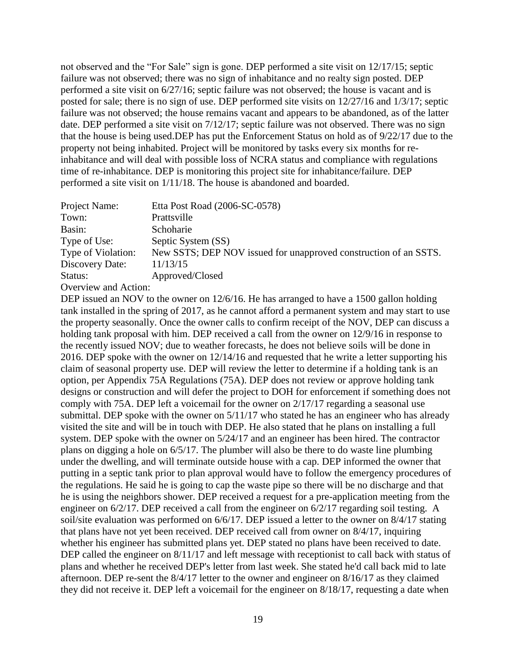not observed and the "For Sale" sign is gone. DEP performed a site visit on 12/17/15; septic failure was not observed; there was no sign of inhabitance and no realty sign posted. DEP performed a site visit on 6/27/16; septic failure was not observed; the house is vacant and is posted for sale; there is no sign of use. DEP performed site visits on 12/27/16 and 1/3/17; septic failure was not observed; the house remains vacant and appears to be abandoned, as of the latter date. DEP performed a site visit on 7/12/17; septic failure was not observed. There was no sign that the house is being used.DEP has put the Enforcement Status on hold as of 9/22/17 due to the property not being inhabited. Project will be monitored by tasks every six months for reinhabitance and will deal with possible loss of NCRA status and compliance with regulations time of re-inhabitance. DEP is monitoring this project site for inhabitance/failure. DEP performed a site visit on 1/11/18. The house is abandoned and boarded.

| Project Name:        | Etta Post Road (2006-SC-0578)                                    |
|----------------------|------------------------------------------------------------------|
| Town:                | Prattsville                                                      |
| Basin:               | Schoharie                                                        |
| Type of Use:         | Septic System (SS)                                               |
| Type of Violation:   | New SSTS; DEP NOV issued for unapproved construction of an SSTS. |
| Discovery Date:      | 11/13/15                                                         |
| Status:              | Approved/Closed                                                  |
| Overview and Action: |                                                                  |

DEP issued an NOV to the owner on 12/6/16. He has arranged to have a 1500 gallon holding tank installed in the spring of 2017, as he cannot afford a permanent system and may start to use the property seasonally. Once the owner calls to confirm receipt of the NOV, DEP can discuss a holding tank proposal with him. DEP received a call from the owner on 12/9/16 in response to the recently issued NOV; due to weather forecasts, he does not believe soils will be done in 2016. DEP spoke with the owner on 12/14/16 and requested that he write a letter supporting his claim of seasonal property use. DEP will review the letter to determine if a holding tank is an option, per Appendix 75A Regulations (75A). DEP does not review or approve holding tank designs or construction and will defer the project to DOH for enforcement if something does not comply with 75A. DEP left a voicemail for the owner on 2/17/17 regarding a seasonal use submittal. DEP spoke with the owner on 5/11/17 who stated he has an engineer who has already visited the site and will be in touch with DEP. He also stated that he plans on installing a full system. DEP spoke with the owner on 5/24/17 and an engineer has been hired. The contractor plans on digging a hole on 6/5/17. The plumber will also be there to do waste line plumbing under the dwelling, and will terminate outside house with a cap. DEP informed the owner that putting in a septic tank prior to plan approval would have to follow the emergency procedures of the regulations. He said he is going to cap the waste pipe so there will be no discharge and that he is using the neighbors shower. DEP received a request for a pre-application meeting from the engineer on 6/2/17. DEP received a call from the engineer on 6/2/17 regarding soil testing. A soil/site evaluation was performed on 6/6/17. DEP issued a letter to the owner on 8/4/17 stating that plans have not yet been received. DEP received call from owner on 8/4/17, inquiring whether his engineer has submitted plans yet. DEP stated no plans have been received to date. DEP called the engineer on  $8/11/17$  and left message with receptionist to call back with status of plans and whether he received DEP's letter from last week. She stated he'd call back mid to late afternoon. DEP re-sent the 8/4/17 letter to the owner and engineer on 8/16/17 as they claimed they did not receive it. DEP left a voicemail for the engineer on 8/18/17, requesting a date when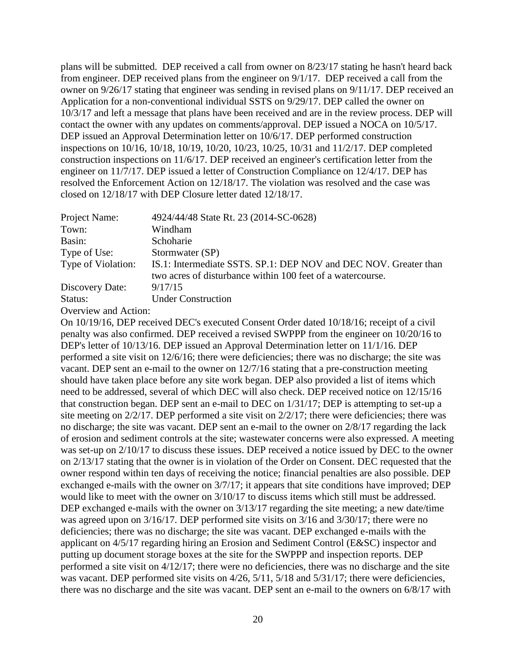plans will be submitted. DEP received a call from owner on 8/23/17 stating he hasn't heard back from engineer. DEP received plans from the engineer on 9/1/17. DEP received a call from the owner on 9/26/17 stating that engineer was sending in revised plans on 9/11/17. DEP received an Application for a non-conventional individual SSTS on 9/29/17. DEP called the owner on 10/3/17 and left a message that plans have been received and are in the review process. DEP will contact the owner with any updates on comments/approval. DEP issued a NOCA on 10/5/17. DEP issued an Approval Determination letter on 10/6/17. DEP performed construction inspections on 10/16, 10/18, 10/19, 10/20, 10/23, 10/25, 10/31 and 11/2/17. DEP completed construction inspections on 11/6/17. DEP received an engineer's certification letter from the engineer on 11/7/17. DEP issued a letter of Construction Compliance on 12/4/17. DEP has resolved the Enforcement Action on 12/18/17. The violation was resolved and the case was closed on 12/18/17 with DEP Closure letter dated 12/18/17.

| Project Name:      | 4924/44/48 State Rt. 23 (2014-SC-0628)                                                                                         |
|--------------------|--------------------------------------------------------------------------------------------------------------------------------|
| Town:              | Windham                                                                                                                        |
| Basin:             | Schoharie                                                                                                                      |
| Type of Use:       | Stormwater (SP)                                                                                                                |
| Type of Violation: | IS.1: Intermediate SSTS. SP.1: DEP NOV and DEC NOV. Greater than<br>two acres of disturbance within 100 feet of a watercourse. |
| Discovery Date:    | 9/17/15                                                                                                                        |
| Status:            | <b>Under Construction</b>                                                                                                      |

Overview and Action:

On 10/19/16, DEP received DEC's executed Consent Order dated 10/18/16; receipt of a civil penalty was also confirmed. DEP received a revised SWPPP from the engineer on 10/20/16 to DEP's letter of 10/13/16. DEP issued an Approval Determination letter on 11/1/16. DEP performed a site visit on 12/6/16; there were deficiencies; there was no discharge; the site was vacant. DEP sent an e-mail to the owner on 12/7/16 stating that a pre-construction meeting should have taken place before any site work began. DEP also provided a list of items which need to be addressed, several of which DEC will also check. DEP received notice on 12/15/16 that construction began. DEP sent an e-mail to DEC on 1/31/17; DEP is attempting to set-up a site meeting on 2/2/17. DEP performed a site visit on 2/2/17; there were deficiencies; there was no discharge; the site was vacant. DEP sent an e-mail to the owner on 2/8/17 regarding the lack of erosion and sediment controls at the site; wastewater concerns were also expressed. A meeting was set-up on 2/10/17 to discuss these issues. DEP received a notice issued by DEC to the owner on 2/13/17 stating that the owner is in violation of the Order on Consent. DEC requested that the owner respond within ten days of receiving the notice; financial penalties are also possible. DEP exchanged e-mails with the owner on 3/7/17; it appears that site conditions have improved; DEP would like to meet with the owner on 3/10/17 to discuss items which still must be addressed. DEP exchanged e-mails with the owner on  $3/13/17$  regarding the site meeting; a new date/time was agreed upon on 3/16/17. DEP performed site visits on 3/16 and 3/30/17; there were no deficiencies; there was no discharge; the site was vacant. DEP exchanged e-mails with the applicant on 4/5/17 regarding hiring an Erosion and Sediment Control (E&SC) inspector and putting up document storage boxes at the site for the SWPPP and inspection reports. DEP performed a site visit on 4/12/17; there were no deficiencies, there was no discharge and the site was vacant. DEP performed site visits on  $4/26$ ,  $5/11$ ,  $5/18$  and  $5/31/17$ ; there were deficiencies, there was no discharge and the site was vacant. DEP sent an e-mail to the owners on 6/8/17 with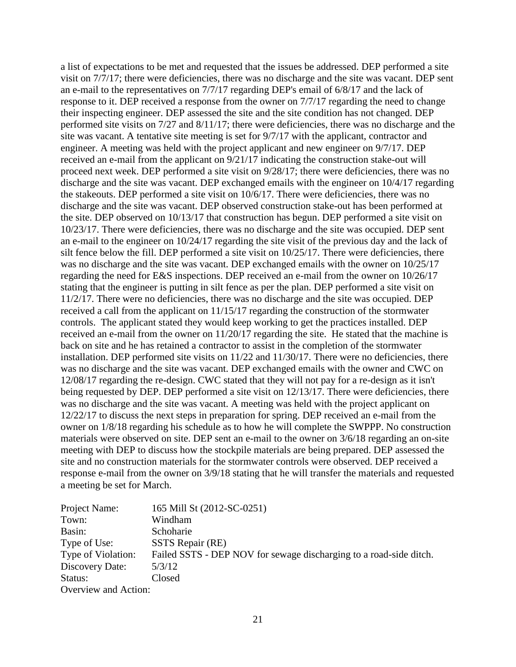a list of expectations to be met and requested that the issues be addressed. DEP performed a site visit on 7/7/17; there were deficiencies, there was no discharge and the site was vacant. DEP sent an e-mail to the representatives on 7/7/17 regarding DEP's email of 6/8/17 and the lack of response to it. DEP received a response from the owner on 7/7/17 regarding the need to change their inspecting engineer. DEP assessed the site and the site condition has not changed. DEP performed site visits on 7/27 and 8/11/17; there were deficiencies, there was no discharge and the site was vacant. A tentative site meeting is set for 9/7/17 with the applicant, contractor and engineer. A meeting was held with the project applicant and new engineer on 9/7/17. DEP received an e-mail from the applicant on 9/21/17 indicating the construction stake-out will proceed next week. DEP performed a site visit on 9/28/17; there were deficiencies, there was no discharge and the site was vacant. DEP exchanged emails with the engineer on 10/4/17 regarding the stakeouts. DEP performed a site visit on 10/6/17. There were deficiencies, there was no discharge and the site was vacant. DEP observed construction stake-out has been performed at the site. DEP observed on 10/13/17 that construction has begun. DEP performed a site visit on 10/23/17. There were deficiencies, there was no discharge and the site was occupied. DEP sent an e-mail to the engineer on 10/24/17 regarding the site visit of the previous day and the lack of silt fence below the fill. DEP performed a site visit on 10/25/17. There were deficiencies, there was no discharge and the site was vacant. DEP exchanged emails with the owner on 10/25/17 regarding the need for E&S inspections. DEP received an e-mail from the owner on 10/26/17 stating that the engineer is putting in silt fence as per the plan. DEP performed a site visit on 11/2/17. There were no deficiencies, there was no discharge and the site was occupied. DEP received a call from the applicant on 11/15/17 regarding the construction of the stormwater controls. The applicant stated they would keep working to get the practices installed. DEP received an e-mail from the owner on 11/20/17 regarding the site. He stated that the machine is back on site and he has retained a contractor to assist in the completion of the stormwater installation. DEP performed site visits on 11/22 and 11/30/17. There were no deficiencies, there was no discharge and the site was vacant. DEP exchanged emails with the owner and CWC on 12/08/17 regarding the re-design. CWC stated that they will not pay for a re-design as it isn't being requested by DEP. DEP performed a site visit on 12/13/17. There were deficiencies, there was no discharge and the site was vacant. A meeting was held with the project applicant on 12/22/17 to discuss the next steps in preparation for spring. DEP received an e-mail from the owner on 1/8/18 regarding his schedule as to how he will complete the SWPPP. No construction materials were observed on site. DEP sent an e-mail to the owner on 3/6/18 regarding an on-site meeting with DEP to discuss how the stockpile materials are being prepared. DEP assessed the site and no construction materials for the stormwater controls were observed. DEP received a response e-mail from the owner on 3/9/18 stating that he will transfer the materials and requested a meeting be set for March.

| 165 Mill St (2012-SC-0251)                                         |
|--------------------------------------------------------------------|
| Windham                                                            |
| Schoharie                                                          |
| SSTS Repair (RE)                                                   |
| Failed SSTS - DEP NOV for sewage discharging to a road-side ditch. |
| 5/3/12                                                             |
| Closed                                                             |
| Overview and Action:                                               |
|                                                                    |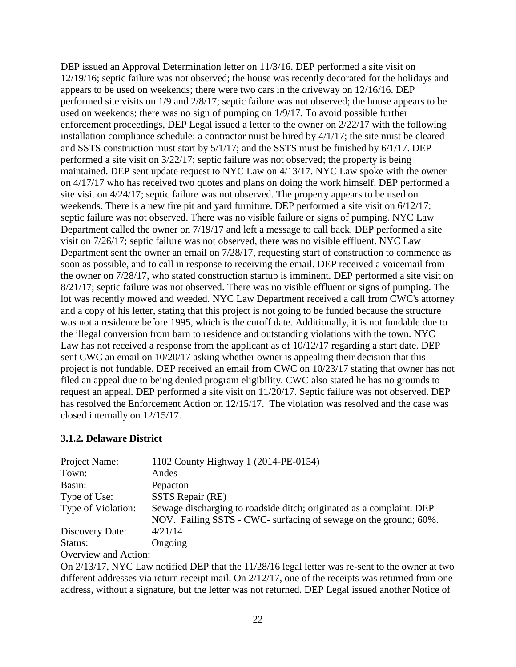DEP issued an Approval Determination letter on 11/3/16. DEP performed a site visit on 12/19/16; septic failure was not observed; the house was recently decorated for the holidays and appears to be used on weekends; there were two cars in the driveway on 12/16/16. DEP performed site visits on 1/9 and 2/8/17; septic failure was not observed; the house appears to be used on weekends; there was no sign of pumping on 1/9/17. To avoid possible further enforcement proceedings, DEP Legal issued a letter to the owner on 2/22/17 with the following installation compliance schedule: a contractor must be hired by 4/1/17; the site must be cleared and SSTS construction must start by 5/1/17; and the SSTS must be finished by 6/1/17. DEP performed a site visit on 3/22/17; septic failure was not observed; the property is being maintained. DEP sent update request to NYC Law on 4/13/17. NYC Law spoke with the owner on 4/17/17 who has received two quotes and plans on doing the work himself. DEP performed a site visit on 4/24/17; septic failure was not observed. The property appears to be used on weekends. There is a new fire pit and yard furniture. DEP performed a site visit on 6/12/17; septic failure was not observed. There was no visible failure or signs of pumping. NYC Law Department called the owner on 7/19/17 and left a message to call back. DEP performed a site visit on 7/26/17; septic failure was not observed, there was no visible effluent. NYC Law Department sent the owner an email on 7/28/17, requesting start of construction to commence as soon as possible, and to call in response to receiving the email. DEP received a voicemail from the owner on 7/28/17, who stated construction startup is imminent. DEP performed a site visit on 8/21/17; septic failure was not observed. There was no visible effluent or signs of pumping. The lot was recently mowed and weeded. NYC Law Department received a call from CWC's attorney and a copy of his letter, stating that this project is not going to be funded because the structure was not a residence before 1995, which is the cutoff date. Additionally, it is not fundable due to the illegal conversion from barn to residence and outstanding violations with the town. NYC Law has not received a response from the applicant as of 10/12/17 regarding a start date. DEP sent CWC an email on 10/20/17 asking whether owner is appealing their decision that this project is not fundable. DEP received an email from CWC on 10/23/17 stating that owner has not filed an appeal due to being denied program eligibility. CWC also stated he has no grounds to request an appeal. DEP performed a site visit on 11/20/17. Septic failure was not observed. DEP has resolved the Enforcement Action on 12/15/17. The violation was resolved and the case was closed internally on 12/15/17.

### **3.1.2. Delaware District**

| Sewage discharging to roadside ditch; originated as a complaint. DEP |
|----------------------------------------------------------------------|
| NOV. Failing SSTS - CWC- surfacing of sewage on the ground; 60%.     |
|                                                                      |
|                                                                      |
|                                                                      |

### Overview and Action:

On 2/13/17, NYC Law notified DEP that the 11/28/16 legal letter was re-sent to the owner at two different addresses via return receipt mail. On 2/12/17, one of the receipts was returned from one address, without a signature, but the letter was not returned. DEP Legal issued another Notice of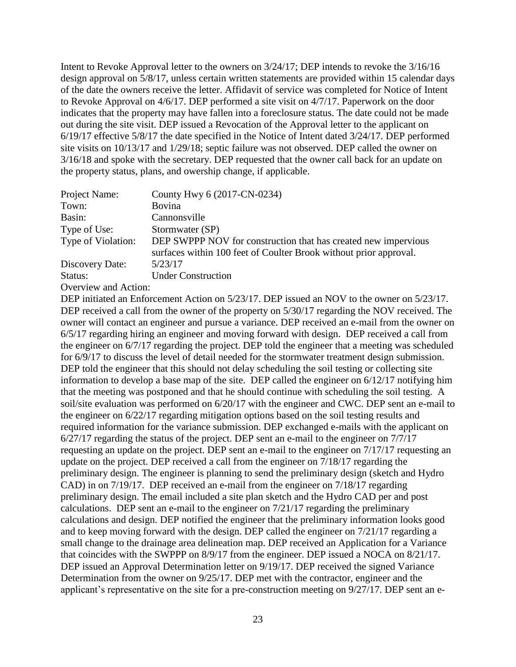Intent to Revoke Approval letter to the owners on 3/24/17; DEP intends to revoke the 3/16/16 design approval on 5/8/17, unless certain written statements are provided within 15 calendar days of the date the owners receive the letter. Affidavit of service was completed for Notice of Intent to Revoke Approval on 4/6/17. DEP performed a site visit on 4/7/17. Paperwork on the door indicates that the property may have fallen into a foreclosure status. The date could not be made out during the site visit. DEP issued a Revocation of the Approval letter to the applicant on 6/19/17 effective 5/8/17 the date specified in the Notice of Intent dated 3/24/17. DEP performed site visits on 10/13/17 and 1/29/18; septic failure was not observed. DEP called the owner on 3/16/18 and spoke with the secretary. DEP requested that the owner call back for an update on the property status, plans, and owership change, if applicable.

| Project Name:        | County Hwy 6 (2017-CN-0234)                                                                                                         |
|----------------------|-------------------------------------------------------------------------------------------------------------------------------------|
| Town:                | <b>Bovina</b>                                                                                                                       |
| Basin:               | Cannonsville                                                                                                                        |
| Type of Use:         | Stormwater (SP)                                                                                                                     |
| Type of Violation:   | DEP SWPPP NOV for construction that has created new impervious<br>surfaces within 100 feet of Coulter Brook without prior approval. |
| Discovery Date:      | 5/23/17                                                                                                                             |
| Status:              | <b>Under Construction</b>                                                                                                           |
| Overview and Action. |                                                                                                                                     |

Overview and Action: DEP initiated an Enforcement Action on  $5/23/17$ . DEP issued an NOV to the owner on  $5/23/17$ . DEP received a call from the owner of the property on  $5/30/17$  regarding the NOV received. The owner will contact an engineer and pursue a variance. DEP received an e-mail from the owner on

6/5/17 regarding hiring an engineer and moving forward with design. DEP received a call from the engineer on 6/7/17 regarding the project. DEP told the engineer that a meeting was scheduled for 6/9/17 to discuss the level of detail needed for the stormwater treatment design submission. DEP told the engineer that this should not delay scheduling the soil testing or collecting site information to develop a base map of the site. DEP called the engineer on 6/12/17 notifying him that the meeting was postponed and that he should continue with scheduling the soil testing. A soil/site evaluation was performed on 6/20/17 with the engineer and CWC. DEP sent an e-mail to the engineer on 6/22/17 regarding mitigation options based on the soil testing results and required information for the variance submission. DEP exchanged e-mails with the applicant on 6/27/17 regarding the status of the project. DEP sent an e-mail to the engineer on 7/7/17 requesting an update on the project. DEP sent an e-mail to the engineer on 7/17/17 requesting an update on the project. DEP received a call from the engineer on 7/18/17 regarding the preliminary design. The engineer is planning to send the preliminary design (sketch and Hydro CAD) in on 7/19/17. DEP received an e-mail from the engineer on 7/18/17 regarding preliminary design. The email included a site plan sketch and the Hydro CAD per and post calculations. DEP sent an e-mail to the engineer on 7/21/17 regarding the preliminary calculations and design. DEP notified the engineer that the preliminary information looks good and to keep moving forward with the design. DEP called the engineer on 7/21/17 regarding a small change to the drainage area delineation map. DEP received an Application for a Variance that coincides with the SWPPP on 8/9/17 from the engineer. DEP issued a NOCA on 8/21/17. DEP issued an Approval Determination letter on 9/19/17. DEP received the signed Variance Determination from the owner on 9/25/17. DEP met with the contractor, engineer and the applicant's representative on the site for a pre-construction meeting on 9/27/17. DEP sent an e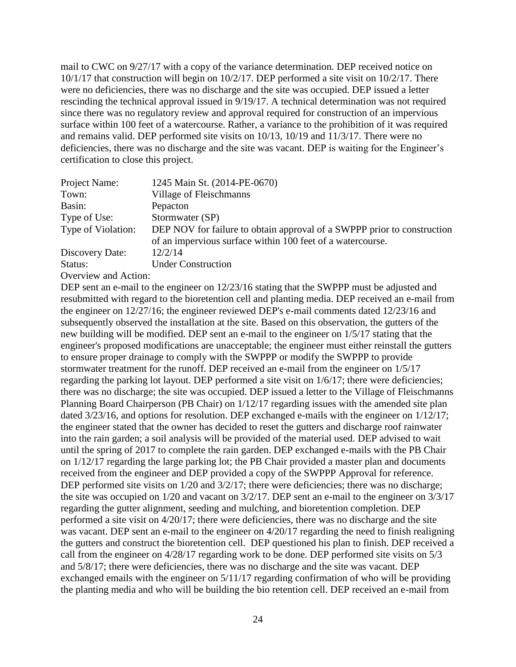mail to CWC on 9/27/17 with a copy of the variance determination. DEP received notice on 10/1/17 that construction will begin on 10/2/17. DEP performed a site visit on 10/2/17. There were no deficiencies, there was no discharge and the site was occupied. DEP issued a letter rescinding the technical approval issued in 9/19/17. A technical determination was not required since there was no regulatory review and approval required for construction of an impervious surface within 100 feet of a watercourse. Rather, a variance to the prohibition of it was required and remains valid. DEP performed site visits on 10/13, 10/19 and 11/3/17. There were no deficiencies, there was no discharge and the site was vacant. DEP is waiting for the Engineer's certification to close this project.

| Project Name:                                                                                                                                                                                                                                                                                                                                                                     | 1245 Main St. (2014-PE-0670)                                                                                                          |
|-----------------------------------------------------------------------------------------------------------------------------------------------------------------------------------------------------------------------------------------------------------------------------------------------------------------------------------------------------------------------------------|---------------------------------------------------------------------------------------------------------------------------------------|
| Town:                                                                                                                                                                                                                                                                                                                                                                             | Village of Fleischmanns                                                                                                               |
| Basin:                                                                                                                                                                                                                                                                                                                                                                            | Pepacton                                                                                                                              |
| Type of Use:                                                                                                                                                                                                                                                                                                                                                                      | Stormwater (SP)                                                                                                                       |
| Type of Violation:                                                                                                                                                                                                                                                                                                                                                                | DEP NOV for failure to obtain approval of a SWPPP prior to construction<br>of an impervious surface within 100 feet of a watercourse. |
| Discovery Date:                                                                                                                                                                                                                                                                                                                                                                   | 12/2/14                                                                                                                               |
| Status:                                                                                                                                                                                                                                                                                                                                                                           | <b>Under Construction</b>                                                                                                             |
| $\bigcap$ $\bigcap$ $\bigcap$ $\bigcap$ $\bigcap$ $\bigcap$ $\bigcap$ $\bigcap$ $\bigcap$ $\bigcap$ $\bigcap$ $\bigcap$ $\bigcap$ $\bigcap$ $\bigcap$ $\bigcap$ $\bigcap$ $\bigcap$ $\bigcap$ $\bigcap$ $\bigcap$ $\bigcap$ $\bigcap$ $\bigcap$ $\bigcap$ $\bigcap$ $\bigcap$ $\bigcap$ $\bigcap$ $\bigcap$ $\bigcap$ $\bigcap$ $\bigcap$ $\bigcap$ $\bigcap$ $\bigcap$ $\bigcap$ |                                                                                                                                       |

Overview and Action:

DEP sent an e-mail to the engineer on  $12/23/16$  stating that the SWPPP must be adjusted and resubmitted with regard to the bioretention cell and planting media. DEP received an e-mail from the engineer on 12/27/16; the engineer reviewed DEP's e-mail comments dated 12/23/16 and subsequently observed the installation at the site. Based on this observation, the gutters of the new building will be modified. DEP sent an e-mail to the engineer on 1/5/17 stating that the engineer's proposed modifications are unacceptable; the engineer must either reinstall the gutters to ensure proper drainage to comply with the SWPPP or modify the SWPPP to provide stormwater treatment for the runoff. DEP received an e-mail from the engineer on 1/5/17 regarding the parking lot layout. DEP performed a site visit on 1/6/17; there were deficiencies; there was no discharge; the site was occupied. DEP issued a letter to the Village of Fleischmanns Planning Board Chairperson (PB Chair) on 1/12/17 regarding issues with the amended site plan dated  $3/23/16$ , and options for resolution. DEP exchanged e-mails with the engineer on  $1/12/17$ ; the engineer stated that the owner has decided to reset the gutters and discharge roof rainwater into the rain garden; a soil analysis will be provided of the material used. DEP advised to wait until the spring of 2017 to complete the rain garden. DEP exchanged e-mails with the PB Chair on 1/12/17 regarding the large parking lot; the PB Chair provided a master plan and documents received from the engineer and DEP provided a copy of the SWPPP Approval for reference. DEP performed site visits on  $1/20$  and  $3/2/17$ ; there were deficiencies; there was no discharge; the site was occupied on 1/20 and vacant on 3/2/17. DEP sent an e-mail to the engineer on 3/3/17 regarding the gutter alignment, seeding and mulching, and bioretention completion. DEP performed a site visit on 4/20/17; there were deficiencies, there was no discharge and the site was vacant. DEP sent an e-mail to the engineer on 4/20/17 regarding the need to finish realigning the gutters and construct the bioretention cell. DEP questioned his plan to finish. DEP received a call from the engineer on 4/28/17 regarding work to be done. DEP performed site visits on 5/3 and 5/8/17; there were deficiencies, there was no discharge and the site was vacant. DEP exchanged emails with the engineer on 5/11/17 regarding confirmation of who will be providing the planting media and who will be building the bio retention cell. DEP received an e-mail from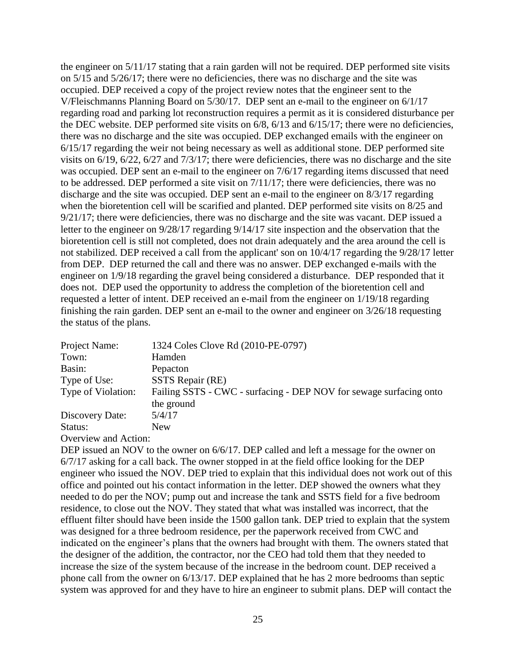the engineer on 5/11/17 stating that a rain garden will not be required. DEP performed site visits on 5/15 and 5/26/17; there were no deficiencies, there was no discharge and the site was occupied. DEP received a copy of the project review notes that the engineer sent to the V/Fleischmanns Planning Board on 5/30/17. DEP sent an e-mail to the engineer on 6/1/17 regarding road and parking lot reconstruction requires a permit as it is considered disturbance per the DEC website. DEP performed site visits on 6/8, 6/13 and 6/15/17; there were no deficiencies, there was no discharge and the site was occupied. DEP exchanged emails with the engineer on 6/15/17 regarding the weir not being necessary as well as additional stone. DEP performed site visits on 6/19, 6/22, 6/27 and 7/3/17; there were deficiencies, there was no discharge and the site was occupied. DEP sent an e-mail to the engineer on 7/6/17 regarding items discussed that need to be addressed. DEP performed a site visit on 7/11/17; there were deficiencies, there was no discharge and the site was occupied. DEP sent an e-mail to the engineer on 8/3/17 regarding when the bioretention cell will be scarified and planted. DEP performed site visits on 8/25 and 9/21/17; there were deficiencies, there was no discharge and the site was vacant. DEP issued a letter to the engineer on 9/28/17 regarding 9/14/17 site inspection and the observation that the bioretention cell is still not completed, does not drain adequately and the area around the cell is not stabilized. DEP received a call from the applicant' son on 10/4/17 regarding the 9/28/17 letter from DEP. DEP returned the call and there was no answer. DEP exchanged e-mails with the engineer on 1/9/18 regarding the gravel being considered a disturbance. DEP responded that it does not. DEP used the opportunity to address the completion of the bioretention cell and requested a letter of intent. DEP received an e-mail from the engineer on 1/19/18 regarding finishing the rain garden. DEP sent an e-mail to the owner and engineer on 3/26/18 requesting the status of the plans.

| Project Name:                                                                                                                                                               | 1324 Coles Clove Rd (2010-PE-0797)                                 |
|-----------------------------------------------------------------------------------------------------------------------------------------------------------------------------|--------------------------------------------------------------------|
| Town:                                                                                                                                                                       | Hamden                                                             |
| Basin:                                                                                                                                                                      | Pepacton                                                           |
| Type of Use:                                                                                                                                                                | SSTS Repair (RE)                                                   |
| Type of Violation:                                                                                                                                                          | Failing SSTS - CWC - surfacing - DEP NOV for sewage surfacing onto |
|                                                                                                                                                                             | the ground                                                         |
| Discovery Date:                                                                                                                                                             | 5/4/17                                                             |
| Status:                                                                                                                                                                     | <b>New</b>                                                         |
| $\bigcap_{x\in\mathbb{R}}$ and $x\in\mathbb{R}$ and $\bigcap_{x\in\mathbb{R}}$ and $\bigcap_{x\in\mathbb{R}}$ and $\bigcap_{x\in\mathbb{R}}$ and $\bigcap_{x\in\mathbb{R}}$ |                                                                    |

Overview and Action:

DEP issued an NOV to the owner on  $6/6/17$ . DEP called and left a message for the owner on 6/7/17 asking for a call back. The owner stopped in at the field office looking for the DEP engineer who issued the NOV. DEP tried to explain that this individual does not work out of this office and pointed out his contact information in the letter. DEP showed the owners what they needed to do per the NOV; pump out and increase the tank and SSTS field for a five bedroom residence, to close out the NOV. They stated that what was installed was incorrect, that the effluent filter should have been inside the 1500 gallon tank. DEP tried to explain that the system was designed for a three bedroom residence, per the paperwork received from CWC and indicated on the engineer's plans that the owners had brought with them. The owners stated that the designer of the addition, the contractor, nor the CEO had told them that they needed to increase the size of the system because of the increase in the bedroom count. DEP received a phone call from the owner on 6/13/17. DEP explained that he has 2 more bedrooms than septic system was approved for and they have to hire an engineer to submit plans. DEP will contact the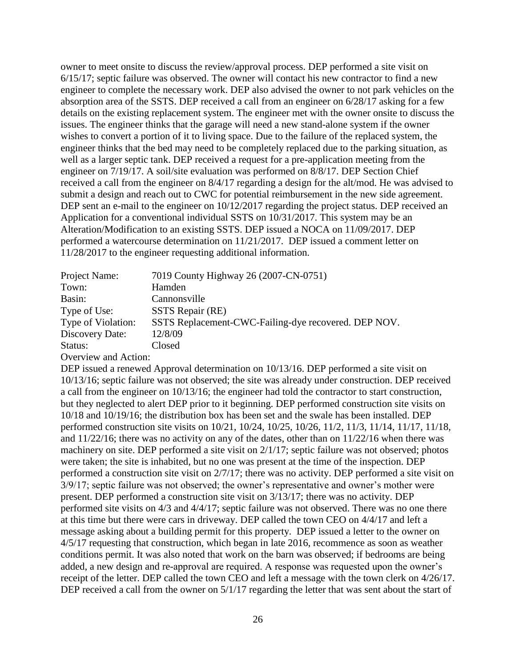owner to meet onsite to discuss the review/approval process. DEP performed a site visit on 6/15/17; septic failure was observed. The owner will contact his new contractor to find a new engineer to complete the necessary work. DEP also advised the owner to not park vehicles on the absorption area of the SSTS. DEP received a call from an engineer on 6/28/17 asking for a few details on the existing replacement system. The engineer met with the owner onsite to discuss the issues. The engineer thinks that the garage will need a new stand-alone system if the owner wishes to convert a portion of it to living space. Due to the failure of the replaced system, the engineer thinks that the bed may need to be completely replaced due to the parking situation, as well as a larger septic tank. DEP received a request for a pre-application meeting from the engineer on 7/19/17. A soil/site evaluation was performed on 8/8/17. DEP Section Chief received a call from the engineer on 8/4/17 regarding a design for the alt/mod. He was advised to submit a design and reach out to CWC for potential reimbursement in the new side agreement. DEP sent an e-mail to the engineer on  $10/12/2017$  regarding the project status. DEP received an Application for a conventional individual SSTS on 10/31/2017. This system may be an Alteration/Modification to an existing SSTS. DEP issued a NOCA on 11/09/2017. DEP performed a watercourse determination on 11/21/2017. DEP issued a comment letter on 11/28/2017 to the engineer requesting additional information.

| Project Name:      | 7019 County Highway 26 (2007-CN-0751)                |
|--------------------|------------------------------------------------------|
| Town:              | Hamden                                               |
| Basin:             | Cannonsville                                         |
| Type of Use:       | SSTS Repair (RE)                                     |
| Type of Violation: | SSTS Replacement-CWC-Failing-dye recovered. DEP NOV. |
| Discovery Date:    | 12/8/09                                              |
| Status:            | Closed                                               |
|                    |                                                      |

Overview and Action:

DEP issued a renewed Approval determination on 10/13/16. DEP performed a site visit on 10/13/16; septic failure was not observed; the site was already under construction. DEP received a call from the engineer on 10/13/16; the engineer had told the contractor to start construction, but they neglected to alert DEP prior to it beginning. DEP performed construction site visits on 10/18 and 10/19/16; the distribution box has been set and the swale has been installed. DEP performed construction site visits on 10/21, 10/24, 10/25, 10/26, 11/2, 11/3, 11/14, 11/17, 11/18, and 11/22/16; there was no activity on any of the dates, other than on 11/22/16 when there was machinery on site. DEP performed a site visit on 2/1/17; septic failure was not observed; photos were taken; the site is inhabited, but no one was present at the time of the inspection. DEP performed a construction site visit on 2/7/17; there was no activity. DEP performed a site visit on 3/9/17; septic failure was not observed; the owner's representative and owner's mother were present. DEP performed a construction site visit on 3/13/17; there was no activity. DEP performed site visits on 4/3 and 4/4/17; septic failure was not observed. There was no one there at this time but there were cars in driveway. DEP called the town CEO on 4/4/17 and left a message asking about a building permit for this property. DEP issued a letter to the owner on 4/5/17 requesting that construction, which began in late 2016, recommence as soon as weather conditions permit. It was also noted that work on the barn was observed; if bedrooms are being added, a new design and re-approval are required. A response was requested upon the owner's receipt of the letter. DEP called the town CEO and left a message with the town clerk on 4/26/17. DEP received a call from the owner on  $5/1/17$  regarding the letter that was sent about the start of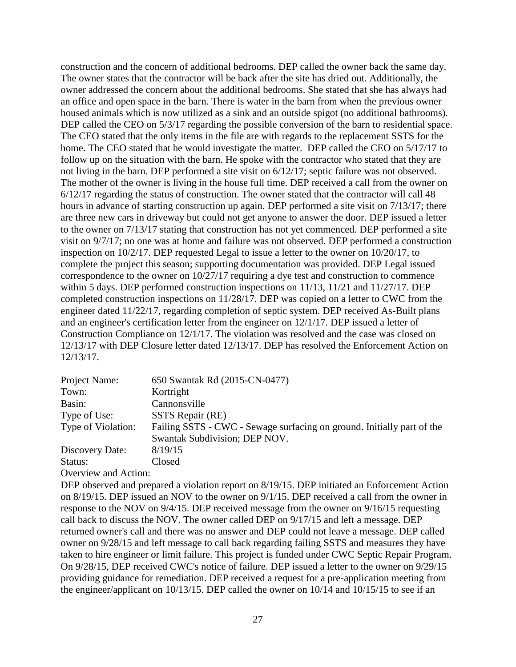construction and the concern of additional bedrooms. DEP called the owner back the same day. The owner states that the contractor will be back after the site has dried out. Additionally, the owner addressed the concern about the additional bedrooms. She stated that she has always had an office and open space in the barn. There is water in the barn from when the previous owner housed animals which is now utilized as a sink and an outside spigot (no additional bathrooms). DEP called the CEO on  $5/3/17$  regarding the possible conversion of the barn to residential space. The CEO stated that the only items in the file are with regards to the replacement SSTS for the home. The CEO stated that he would investigate the matter. DEP called the CEO on 5/17/17 to follow up on the situation with the barn. He spoke with the contractor who stated that they are not living in the barn. DEP performed a site visit on 6/12/17; septic failure was not observed. The mother of the owner is living in the house full time. DEP received a call from the owner on 6/12/17 regarding the status of construction. The owner stated that the contractor will call 48 hours in advance of starting construction up again. DEP performed a site visit on 7/13/17; there are three new cars in driveway but could not get anyone to answer the door. DEP issued a letter to the owner on 7/13/17 stating that construction has not yet commenced. DEP performed a site visit on 9/7/17; no one was at home and failure was not observed. DEP performed a construction inspection on 10/2/17. DEP requested Legal to issue a letter to the owner on 10/20/17, to complete the project this season; supporting documentation was provided. DEP Legal issued correspondence to the owner on 10/27/17 requiring a dye test and construction to commence within 5 days. DEP performed construction inspections on 11/13, 11/21 and 11/27/17. DEP completed construction inspections on 11/28/17. DEP was copied on a letter to CWC from the engineer dated 11/22/17, regarding completion of septic system. DEP received As-Built plans and an engineer's certification letter from the engineer on 12/1/17. DEP issued a letter of Construction Compliance on 12/1/17. The violation was resolved and the case was closed on 12/13/17 with DEP Closure letter dated 12/13/17. DEP has resolved the Enforcement Action on 12/13/17.

| Project Name:      | 650 Swantak Rd (2015-CN-0477)                                          |
|--------------------|------------------------------------------------------------------------|
| Town:              | Kortright                                                              |
| Basin:             | Cannonsville                                                           |
| Type of Use:       | SSTS Repair (RE)                                                       |
| Type of Violation: | Failing SSTS - CWC - Sewage surfacing on ground. Initially part of the |
|                    | Swantak Subdivision; DEP NOV.                                          |
| Discovery Date:    | 8/19/15                                                                |
| Status:            | Closed                                                                 |
|                    |                                                                        |

### Overview and Action:

DEP observed and prepared a violation report on 8/19/15. DEP initiated an Enforcement Action on 8/19/15. DEP issued an NOV to the owner on 9/1/15. DEP received a call from the owner in response to the NOV on 9/4/15. DEP received message from the owner on 9/16/15 requesting call back to discuss the NOV. The owner called DEP on 9/17/15 and left a message. DEP returned owner's call and there was no answer and DEP could not leave a message. DEP called owner on 9/28/15 and left message to call back regarding failing SSTS and measures they have taken to hire engineer or limit failure. This project is funded under CWC Septic Repair Program. On 9/28/15, DEP received CWC's notice of failure. DEP issued a letter to the owner on 9/29/15 providing guidance for remediation. DEP received a request for a pre-application meeting from the engineer/applicant on 10/13/15. DEP called the owner on 10/14 and 10/15/15 to see if an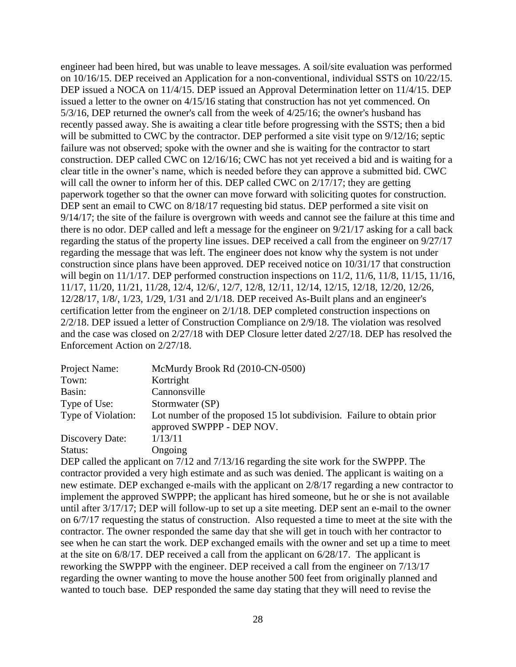engineer had been hired, but was unable to leave messages. A soil/site evaluation was performed on 10/16/15. DEP received an Application for a non-conventional, individual SSTS on 10/22/15. DEP issued a NOCA on 11/4/15. DEP issued an Approval Determination letter on 11/4/15. DEP issued a letter to the owner on 4/15/16 stating that construction has not yet commenced. On 5/3/16, DEP returned the owner's call from the week of 4/25/16; the owner's husband has recently passed away. She is awaiting a clear title before progressing with the SSTS; then a bid will be submitted to CWC by the contractor. DEP performed a site visit type on  $9/12/16$ ; septic failure was not observed; spoke with the owner and she is waiting for the contractor to start construction. DEP called CWC on 12/16/16; CWC has not yet received a bid and is waiting for a clear title in the owner's name, which is needed before they can approve a submitted bid. CWC will call the owner to inform her of this. DEP called CWC on 2/17/17; they are getting paperwork together so that the owner can move forward with soliciting quotes for construction. DEP sent an email to CWC on  $8/18/17$  requesting bid status. DEP performed a site visit on 9/14/17; the site of the failure is overgrown with weeds and cannot see the failure at this time and there is no odor. DEP called and left a message for the engineer on 9/21/17 asking for a call back regarding the status of the property line issues. DEP received a call from the engineer on 9/27/17 regarding the message that was left. The engineer does not know why the system is not under construction since plans have been approved. DEP received notice on 10/31/17 that construction will begin on  $11/1/17$ . DEP performed construction inspections on  $11/2$ ,  $11/6$ ,  $11/8$ ,  $11/15$ ,  $11/16$ , 11/17, 11/20, 11/21, 11/28, 12/4, 12/6/, 12/7, 12/8, 12/11, 12/14, 12/15, 12/18, 12/20, 12/26, 12/28/17, 1/8/, 1/23, 1/29, 1/31 and 2/1/18. DEP received As-Built plans and an engineer's certification letter from the engineer on 2/1/18. DEP completed construction inspections on 2/2/18. DEP issued a letter of Construction Compliance on 2/9/18. The violation was resolved and the case was closed on 2/27/18 with DEP Closure letter dated 2/27/18. DEP has resolved the Enforcement Action on 2/27/18.

| Project Name:      | McMurdy Brook Rd (2010-CN-0500)                                                                     |
|--------------------|-----------------------------------------------------------------------------------------------------|
| Town:              | Kortright                                                                                           |
| Basin:             | Cannonsville                                                                                        |
| Type of Use:       | Stormwater (SP)                                                                                     |
| Type of Violation: | Lot number of the proposed 15 lot subdivision. Failure to obtain prior<br>approved SWPPP - DEP NOV. |
| Discovery Date:    | 1/13/11                                                                                             |
| Status:            | Ongoing                                                                                             |

DEP called the applicant on  $7/12$  and  $7/13/16$  regarding the site work for the SWPPP. The contractor provided a very high estimate and as such was denied. The applicant is waiting on a new estimate. DEP exchanged e-mails with the applicant on 2/8/17 regarding a new contractor to implement the approved SWPPP; the applicant has hired someone, but he or she is not available until after 3/17/17; DEP will follow-up to set up a site meeting. DEP sent an e-mail to the owner on 6/7/17 requesting the status of construction. Also requested a time to meet at the site with the contractor. The owner responded the same day that she will get in touch with her contractor to see when he can start the work. DEP exchanged emails with the owner and set up a time to meet at the site on 6/8/17. DEP received a call from the applicant on 6/28/17. The applicant is reworking the SWPPP with the engineer. DEP received a call from the engineer on 7/13/17 regarding the owner wanting to move the house another 500 feet from originally planned and wanted to touch base. DEP responded the same day stating that they will need to revise the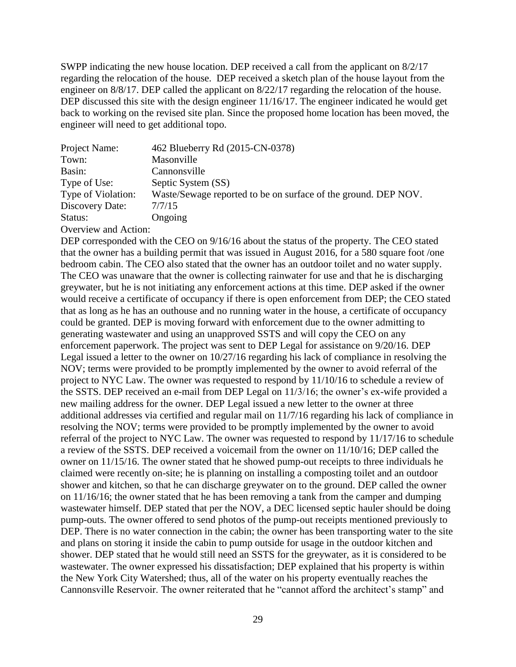SWPP indicating the new house location. DEP received a call from the applicant on 8/2/17 regarding the relocation of the house. DEP received a sketch plan of the house layout from the engineer on 8/8/17. DEP called the applicant on 8/22/17 regarding the relocation of the house. DEP discussed this site with the design engineer 11/16/17. The engineer indicated he would get back to working on the revised site plan. Since the proposed home location has been moved, the engineer will need to get additional topo.

| Project Name:        | 462 Blueberry Rd (2015-CN-0378)                                |
|----------------------|----------------------------------------------------------------|
| Town:                | Masonville                                                     |
| Basin:               | Cannonsville                                                   |
| Type of Use:         | Septic System (SS)                                             |
| Type of Violation:   | Waste/Sewage reported to be on surface of the ground. DEP NOV. |
| Discovery Date:      | 7/7/15                                                         |
| Status:              | Ongoing                                                        |
| Overview and Action: |                                                                |

DEP corresponded with the CEO on  $9/16/16$  about the status of the property. The CEO stated that the owner has a building permit that was issued in August 2016, for a 580 square foot /one bedroom cabin. The CEO also stated that the owner has an outdoor toilet and no water supply. The CEO was unaware that the owner is collecting rainwater for use and that he is discharging greywater, but he is not initiating any enforcement actions at this time. DEP asked if the owner would receive a certificate of occupancy if there is open enforcement from DEP; the CEO stated that as long as he has an outhouse and no running water in the house, a certificate of occupancy could be granted. DEP is moving forward with enforcement due to the owner admitting to generating wastewater and using an unapproved SSTS and will copy the CEO on any enforcement paperwork. The project was sent to DEP Legal for assistance on 9/20/16. DEP Legal issued a letter to the owner on 10/27/16 regarding his lack of compliance in resolving the NOV; terms were provided to be promptly implemented by the owner to avoid referral of the project to NYC Law. The owner was requested to respond by 11/10/16 to schedule a review of the SSTS. DEP received an e-mail from DEP Legal on 11/3/16; the owner's ex-wife provided a new mailing address for the owner. DEP Legal issued a new letter to the owner at three additional addresses via certified and regular mail on 11/7/16 regarding his lack of compliance in resolving the NOV; terms were provided to be promptly implemented by the owner to avoid referral of the project to NYC Law. The owner was requested to respond by 11/17/16 to schedule a review of the SSTS. DEP received a voicemail from the owner on 11/10/16; DEP called the owner on 11/15/16. The owner stated that he showed pump-out receipts to three individuals he claimed were recently on-site; he is planning on installing a composting toilet and an outdoor shower and kitchen, so that he can discharge greywater on to the ground. DEP called the owner on 11/16/16; the owner stated that he has been removing a tank from the camper and dumping wastewater himself. DEP stated that per the NOV, a DEC licensed septic hauler should be doing pump-outs. The owner offered to send photos of the pump-out receipts mentioned previously to DEP. There is no water connection in the cabin; the owner has been transporting water to the site and plans on storing it inside the cabin to pump outside for usage in the outdoor kitchen and shower. DEP stated that he would still need an SSTS for the greywater, as it is considered to be wastewater. The owner expressed his dissatisfaction; DEP explained that his property is within the New York City Watershed; thus, all of the water on his property eventually reaches the Cannonsville Reservoir. The owner reiterated that he "cannot afford the architect's stamp" and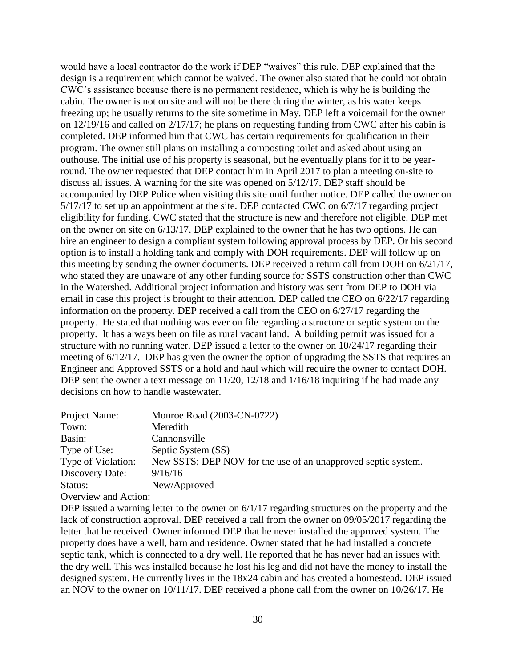would have a local contractor do the work if DEP "waives" this rule. DEP explained that the design is a requirement which cannot be waived. The owner also stated that he could not obtain CWC's assistance because there is no permanent residence, which is why he is building the cabin. The owner is not on site and will not be there during the winter, as his water keeps freezing up; he usually returns to the site sometime in May. DEP left a voicemail for the owner on 12/19/16 and called on 2/17/17; he plans on requesting funding from CWC after his cabin is completed. DEP informed him that CWC has certain requirements for qualification in their program. The owner still plans on installing a composting toilet and asked about using an outhouse. The initial use of his property is seasonal, but he eventually plans for it to be yearround. The owner requested that DEP contact him in April 2017 to plan a meeting on-site to discuss all issues. A warning for the site was opened on 5/12/17. DEP staff should be accompanied by DEP Police when visiting this site until further notice. DEP called the owner on 5/17/17 to set up an appointment at the site. DEP contacted CWC on 6/7/17 regarding project eligibility for funding. CWC stated that the structure is new and therefore not eligible. DEP met on the owner on site on 6/13/17. DEP explained to the owner that he has two options. He can hire an engineer to design a compliant system following approval process by DEP. Or his second option is to install a holding tank and comply with DOH requirements. DEP will follow up on this meeting by sending the owner documents. DEP received a return call from DOH on 6/21/17, who stated they are unaware of any other funding source for SSTS construction other than CWC in the Watershed. Additional project information and history was sent from DEP to DOH via email in case this project is brought to their attention. DEP called the CEO on 6/22/17 regarding information on the property. DEP received a call from the CEO on 6/27/17 regarding the property. He stated that nothing was ever on file regarding a structure or septic system on the property. It has always been on file as rural vacant land. A building permit was issued for a structure with no running water. DEP issued a letter to the owner on 10/24/17 regarding their meeting of 6/12/17. DEP has given the owner the option of upgrading the SSTS that requires an Engineer and Approved SSTS or a hold and haul which will require the owner to contact DOH. DEP sent the owner a text message on  $11/20$ ,  $12/18$  and  $1/16/18$  inquiring if he had made any decisions on how to handle wastewater.

| Project Name:        | Monroe Road (2003-CN-0722)                                    |
|----------------------|---------------------------------------------------------------|
| Town:                | Meredith                                                      |
| Basin:               | Cannonsville                                                  |
| Type of Use:         | Septic System (SS)                                            |
| Type of Violation:   | New SSTS; DEP NOV for the use of an unapproved septic system. |
| Discovery Date:      | 9/16/16                                                       |
| Status:              | New/Approved                                                  |
| Overview and Action: |                                                               |

DEP issued a warning letter to the owner on  $6/1/17$  regarding structures on the property and the lack of construction approval. DEP received a call from the owner on 09/05/2017 regarding the letter that he received. Owner informed DEP that he never installed the approved system. The property does have a well, barn and residence. Owner stated that he had installed a concrete septic tank, which is connected to a dry well. He reported that he has never had an issues with the dry well. This was installed because he lost his leg and did not have the money to install the designed system. He currently lives in the 18x24 cabin and has created a homestead. DEP issued an NOV to the owner on 10/11/17. DEP received a phone call from the owner on 10/26/17. He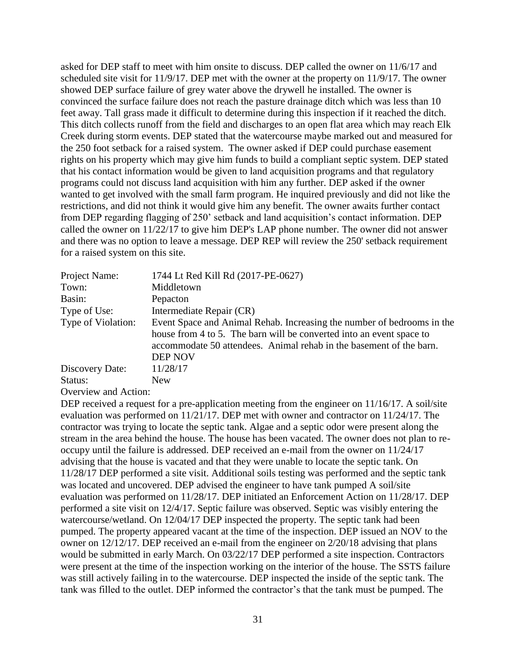asked for DEP staff to meet with him onsite to discuss. DEP called the owner on 11/6/17 and scheduled site visit for 11/9/17. DEP met with the owner at the property on 11/9/17. The owner showed DEP surface failure of grey water above the drywell he installed. The owner is convinced the surface failure does not reach the pasture drainage ditch which was less than 10 feet away. Tall grass made it difficult to determine during this inspection if it reached the ditch. This ditch collects runoff from the field and discharges to an open flat area which may reach Elk Creek during storm events. DEP stated that the watercourse maybe marked out and measured for the 250 foot setback for a raised system. The owner asked if DEP could purchase easement rights on his property which may give him funds to build a compliant septic system. DEP stated that his contact information would be given to land acquisition programs and that regulatory programs could not discuss land acquisition with him any further. DEP asked if the owner wanted to get involved with the small farm program. He inquired previously and did not like the restrictions, and did not think it would give him any benefit. The owner awaits further contact from DEP regarding flagging of 250' setback and land acquisition's contact information. DEP called the owner on 11/22/17 to give him DEP's LAP phone number. The owner did not answer and there was no option to leave a message. DEP REP will review the 250' setback requirement for a raised system on this site.

| Project Name:        | 1744 Lt Red Kill Rd (2017-PE-0627)                                                                                                                                                                                                      |
|----------------------|-----------------------------------------------------------------------------------------------------------------------------------------------------------------------------------------------------------------------------------------|
| Town:                | Middletown                                                                                                                                                                                                                              |
| Basin:               | Pepacton                                                                                                                                                                                                                                |
| Type of Use:         | Intermediate Repair (CR)                                                                                                                                                                                                                |
| Type of Violation:   | Event Space and Animal Rehab. Increasing the number of bedrooms in the<br>house from 4 to 5. The barn will be converted into an event space to<br>accommodate 50 attendees. Animal rehab in the basement of the barn.<br><b>DEP NOV</b> |
| Discovery Date:      | 11/28/17                                                                                                                                                                                                                                |
| Status:              | New                                                                                                                                                                                                                                     |
| Overview and Action: |                                                                                                                                                                                                                                         |

DEP received a request for a pre-application meeting from the engineer on 11/16/17. A soil/site evaluation was performed on 11/21/17. DEP met with owner and contractor on 11/24/17. The contractor was trying to locate the septic tank. Algae and a septic odor were present along the stream in the area behind the house. The house has been vacated. The owner does not plan to reoccupy until the failure is addressed. DEP received an e-mail from the owner on 11/24/17 advising that the house is vacated and that they were unable to locate the septic tank. On 11/28/17 DEP performed a site visit. Additional soils testing was performed and the septic tank was located and uncovered. DEP advised the engineer to have tank pumped A soil/site evaluation was performed on 11/28/17. DEP initiated an Enforcement Action on 11/28/17. DEP performed a site visit on 12/4/17. Septic failure was observed. Septic was visibly entering the watercourse/wetland. On 12/04/17 DEP inspected the property. The septic tank had been pumped. The property appeared vacant at the time of the inspection. DEP issued an NOV to the owner on 12/12/17. DEP received an e-mail from the engineer on 2/20/18 advising that plans would be submitted in early March. On 03/22/17 DEP performed a site inspection. Contractors were present at the time of the inspection working on the interior of the house. The SSTS failure was still actively failing in to the watercourse. DEP inspected the inside of the septic tank. The tank was filled to the outlet. DEP informed the contractor's that the tank must be pumped. The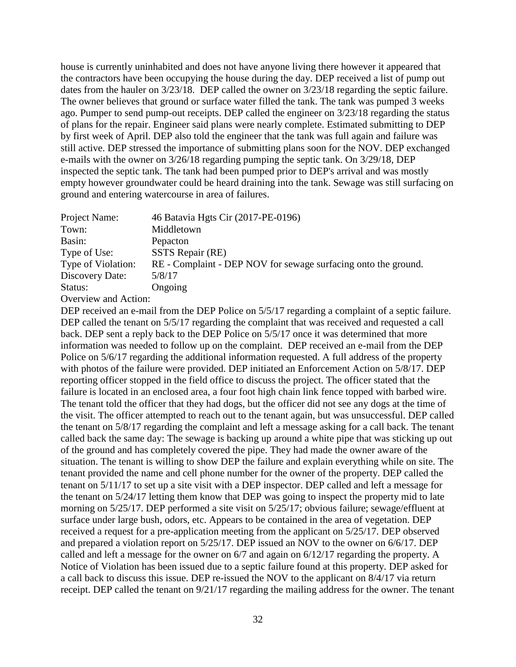house is currently uninhabited and does not have anyone living there however it appeared that the contractors have been occupying the house during the day. DEP received a list of pump out dates from the hauler on 3/23/18. DEP called the owner on 3/23/18 regarding the septic failure. The owner believes that ground or surface water filled the tank. The tank was pumped 3 weeks ago. Pumper to send pump-out receipts. DEP called the engineer on 3/23/18 regarding the status of plans for the repair. Engineer said plans were nearly complete. Estimated submitting to DEP by first week of April. DEP also told the engineer that the tank was full again and failure was still active. DEP stressed the importance of submitting plans soon for the NOV. DEP exchanged e-mails with the owner on 3/26/18 regarding pumping the septic tank. On 3/29/18, DEP inspected the septic tank. The tank had been pumped prior to DEP's arrival and was mostly empty however groundwater could be heard draining into the tank. Sewage was still surfacing on ground and entering watercourse in area of failures.

| Project Name:      | 46 Batavia Hgts Cir (2017-PE-0196)                             |
|--------------------|----------------------------------------------------------------|
| Town:              | Middletown                                                     |
| Basin:             | Pepacton                                                       |
| Type of Use:       | SSTS Repair (RE)                                               |
| Type of Violation: | RE - Complaint - DEP NOV for sewage surfacing onto the ground. |
| Discovery Date:    | 5/8/17                                                         |
| Status:            | Ongoing                                                        |
|                    |                                                                |

Overview and Action:

DEP received an e-mail from the DEP Police on  $5/5/17$  regarding a complaint of a septic failure. DEP called the tenant on  $5/5/17$  regarding the complaint that was received and requested a call back. DEP sent a reply back to the DEP Police on 5/5/17 once it was determined that more information was needed to follow up on the complaint. DEP received an e-mail from the DEP Police on 5/6/17 regarding the additional information requested. A full address of the property with photos of the failure were provided. DEP initiated an Enforcement Action on 5/8/17. DEP reporting officer stopped in the field office to discuss the project. The officer stated that the failure is located in an enclosed area, a four foot high chain link fence topped with barbed wire. The tenant told the officer that they had dogs, but the officer did not see any dogs at the time of the visit. The officer attempted to reach out to the tenant again, but was unsuccessful. DEP called the tenant on 5/8/17 regarding the complaint and left a message asking for a call back. The tenant called back the same day: The sewage is backing up around a white pipe that was sticking up out of the ground and has completely covered the pipe. They had made the owner aware of the situation. The tenant is willing to show DEP the failure and explain everything while on site. The tenant provided the name and cell phone number for the owner of the property. DEP called the tenant on 5/11/17 to set up a site visit with a DEP inspector. DEP called and left a message for the tenant on 5/24/17 letting them know that DEP was going to inspect the property mid to late morning on 5/25/17. DEP performed a site visit on 5/25/17; obvious failure; sewage/effluent at surface under large bush, odors, etc. Appears to be contained in the area of vegetation. DEP received a request for a pre-application meeting from the applicant on 5/25/17. DEP observed and prepared a violation report on 5/25/17. DEP issued an NOV to the owner on 6/6/17. DEP called and left a message for the owner on 6/7 and again on 6/12/17 regarding the property. A Notice of Violation has been issued due to a septic failure found at this property. DEP asked for a call back to discuss this issue. DEP re-issued the NOV to the applicant on 8/4/17 via return receipt. DEP called the tenant on 9/21/17 regarding the mailing address for the owner. The tenant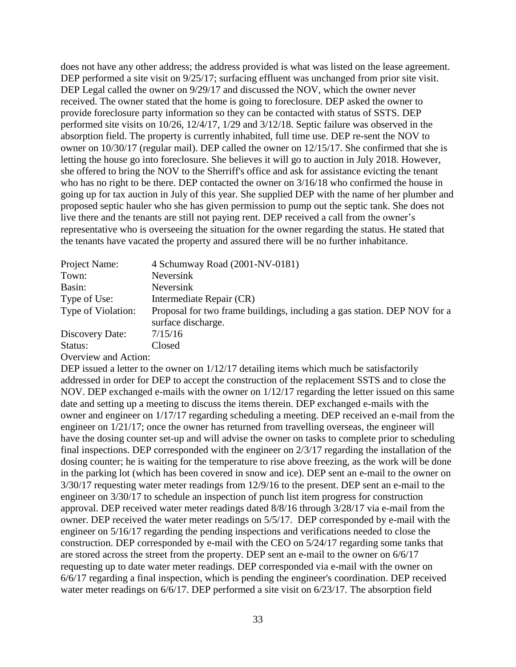does not have any other address; the address provided is what was listed on the lease agreement. DEP performed a site visit on  $9/25/17$ ; surfacing effluent was unchanged from prior site visit. DEP Legal called the owner on  $9/29/17$  and discussed the NOV, which the owner never received. The owner stated that the home is going to foreclosure. DEP asked the owner to provide foreclosure party information so they can be contacted with status of SSTS. DEP performed site visits on 10/26, 12/4/17, 1/29 and 3/12/18. Septic failure was observed in the absorption field. The property is currently inhabited, full time use. DEP re-sent the NOV to owner on 10/30/17 (regular mail). DEP called the owner on 12/15/17. She confirmed that she is letting the house go into foreclosure. She believes it will go to auction in July 2018. However, she offered to bring the NOV to the Sherriff's office and ask for assistance evicting the tenant who has no right to be there. DEP contacted the owner on 3/16/18 who confirmed the house in going up for tax auction in July of this year. She supplied DEP with the name of her plumber and proposed septic hauler who she has given permission to pump out the septic tank. She does not live there and the tenants are still not paying rent. DEP received a call from the owner's representative who is overseeing the situation for the owner regarding the status. He stated that the tenants have vacated the property and assured there will be no further inhabitance.

| Project Name:        | 4 Schumway Road (2001-NV-0181)                                                                 |
|----------------------|------------------------------------------------------------------------------------------------|
| Town:                | Neversink                                                                                      |
| Basin:               | Neversink                                                                                      |
| Type of Use:         | Intermediate Repair (CR)                                                                       |
| Type of Violation:   | Proposal for two frame buildings, including a gas station. DEP NOV for a<br>surface discharge. |
| Discovery Date:      | 7/15/16                                                                                        |
| Status:              | Closed                                                                                         |
| Organism and Astions |                                                                                                |

#### Overview and Action:

DEP issued a letter to the owner on  $1/12/17$  detailing items which much be satisfactorily addressed in order for DEP to accept the construction of the replacement SSTS and to close the NOV. DEP exchanged e-mails with the owner on 1/12/17 regarding the letter issued on this same date and setting up a meeting to discuss the items therein. DEP exchanged e-mails with the owner and engineer on 1/17/17 regarding scheduling a meeting. DEP received an e-mail from the engineer on 1/21/17; once the owner has returned from travelling overseas, the engineer will have the dosing counter set-up and will advise the owner on tasks to complete prior to scheduling final inspections. DEP corresponded with the engineer on 2/3/17 regarding the installation of the dosing counter; he is waiting for the temperature to rise above freezing, as the work will be done in the parking lot (which has been covered in snow and ice). DEP sent an e-mail to the owner on 3/30/17 requesting water meter readings from 12/9/16 to the present. DEP sent an e-mail to the engineer on 3/30/17 to schedule an inspection of punch list item progress for construction approval. DEP received water meter readings dated 8/8/16 through 3/28/17 via e-mail from the owner. DEP received the water meter readings on 5/5/17. DEP corresponded by e-mail with the engineer on 5/16/17 regarding the pending inspections and verifications needed to close the construction. DEP corresponded by e-mail with the CEO on 5/24/17 regarding some tanks that are stored across the street from the property. DEP sent an e-mail to the owner on 6/6/17 requesting up to date water meter readings. DEP corresponded via e-mail with the owner on 6/6/17 regarding a final inspection, which is pending the engineer's coordination. DEP received water meter readings on 6/6/17. DEP performed a site visit on 6/23/17. The absorption field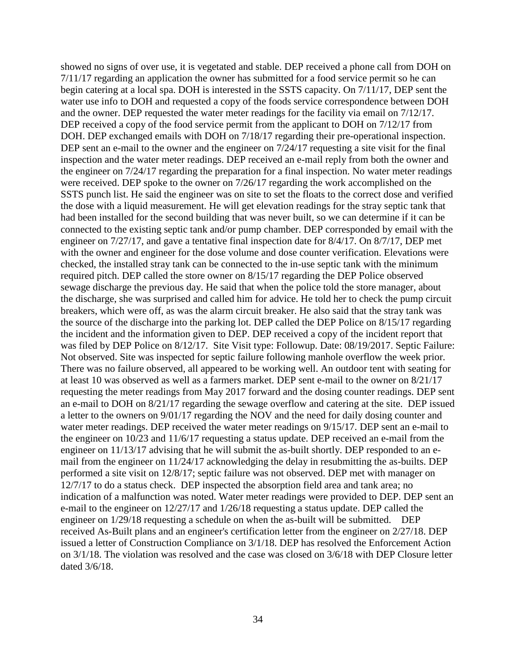showed no signs of over use, it is vegetated and stable. DEP received a phone call from DOH on 7/11/17 regarding an application the owner has submitted for a food service permit so he can begin catering at a local spa. DOH is interested in the SSTS capacity. On 7/11/17, DEP sent the water use info to DOH and requested a copy of the foods service correspondence between DOH and the owner. DEP requested the water meter readings for the facility via email on 7/12/17. DEP received a copy of the food service permit from the applicant to DOH on  $7/12/17$  from DOH. DEP exchanged emails with DOH on 7/18/17 regarding their pre-operational inspection. DEP sent an e-mail to the owner and the engineer on  $7/24/17$  requesting a site visit for the final inspection and the water meter readings. DEP received an e-mail reply from both the owner and the engineer on 7/24/17 regarding the preparation for a final inspection. No water meter readings were received. DEP spoke to the owner on 7/26/17 regarding the work accomplished on the SSTS punch list. He said the engineer was on site to set the floats to the correct dose and verified the dose with a liquid measurement. He will get elevation readings for the stray septic tank that had been installed for the second building that was never built, so we can determine if it can be connected to the existing septic tank and/or pump chamber. DEP corresponded by email with the engineer on 7/27/17, and gave a tentative final inspection date for 8/4/17. On 8/7/17, DEP met with the owner and engineer for the dose volume and dose counter verification. Elevations were checked, the installed stray tank can be connected to the in-use septic tank with the minimum required pitch. DEP called the store owner on 8/15/17 regarding the DEP Police observed sewage discharge the previous day. He said that when the police told the store manager, about the discharge, she was surprised and called him for advice. He told her to check the pump circuit breakers, which were off, as was the alarm circuit breaker. He also said that the stray tank was the source of the discharge into the parking lot. DEP called the DEP Police on 8/15/17 regarding the incident and the information given to DEP. DEP received a copy of the incident report that was filed by DEP Police on 8/12/17. Site Visit type: Followup. Date: 08/19/2017. Septic Failure: Not observed. Site was inspected for septic failure following manhole overflow the week prior. There was no failure observed, all appeared to be working well. An outdoor tent with seating for at least 10 was observed as well as a farmers market. DEP sent e-mail to the owner on 8/21/17 requesting the meter readings from May 2017 forward and the dosing counter readings. DEP sent an e-mail to DOH on 8/21/17 regarding the sewage overflow and catering at the site. DEP issued a letter to the owners on 9/01/17 regarding the NOV and the need for daily dosing counter and water meter readings. DEP received the water meter readings on 9/15/17. DEP sent an e-mail to the engineer on 10/23 and 11/6/17 requesting a status update. DEP received an e-mail from the engineer on 11/13/17 advising that he will submit the as-built shortly. DEP responded to an email from the engineer on 11/24/17 acknowledging the delay in resubmitting the as-builts. DEP performed a site visit on 12/8/17; septic failure was not observed. DEP met with manager on 12/7/17 to do a status check. DEP inspected the absorption field area and tank area; no indication of a malfunction was noted. Water meter readings were provided to DEP. DEP sent an e-mail to the engineer on 12/27/17 and 1/26/18 requesting a status update. DEP called the engineer on 1/29/18 requesting a schedule on when the as-built will be submitted. DEP received As-Built plans and an engineer's certification letter from the engineer on 2/27/18. DEP issued a letter of Construction Compliance on 3/1/18. DEP has resolved the Enforcement Action on 3/1/18. The violation was resolved and the case was closed on 3/6/18 with DEP Closure letter dated 3/6/18.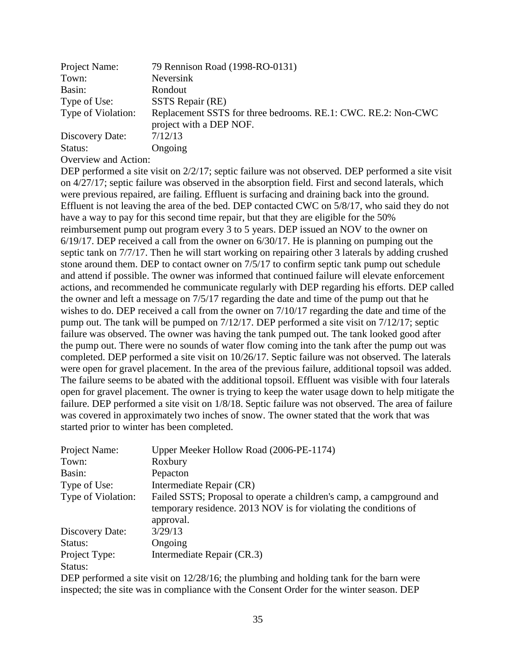| Project Name:        | 79 Rennison Road (1998-RO-0131)                                                          |
|----------------------|------------------------------------------------------------------------------------------|
| Town:                | Neversink                                                                                |
| Basin:               | Rondout                                                                                  |
| Type of Use:         | SSTS Repair (RE)                                                                         |
| Type of Violation:   | Replacement SSTS for three bedrooms. RE.1: CWC. RE.2: Non-CWC<br>project with a DEP NOF. |
| Discovery Date:      | 7/12/13                                                                                  |
| Status:              | Ongoing                                                                                  |
| Overview and Action: |                                                                                          |

DEP performed a site visit on  $2/2/17$ ; septic failure was not observed. DEP performed a site visit on 4/27/17; septic failure was observed in the absorption field. First and second laterals, which were previous repaired, are failing. Effluent is surfacing and draining back into the ground. Effluent is not leaving the area of the bed. DEP contacted CWC on 5/8/17, who said they do not have a way to pay for this second time repair, but that they are eligible for the 50% reimbursement pump out program every 3 to 5 years. DEP issued an NOV to the owner on 6/19/17. DEP received a call from the owner on 6/30/17. He is planning on pumping out the septic tank on 7/7/17. Then he will start working on repairing other 3 laterals by adding crushed stone around them. DEP to contact owner on 7/5/17 to confirm septic tank pump out schedule and attend if possible. The owner was informed that continued failure will elevate enforcement actions, and recommended he communicate regularly with DEP regarding his efforts. DEP called the owner and left a message on 7/5/17 regarding the date and time of the pump out that he wishes to do. DEP received a call from the owner on 7/10/17 regarding the date and time of the pump out. The tank will be pumped on 7/12/17. DEP performed a site visit on 7/12/17; septic failure was observed. The owner was having the tank pumped out. The tank looked good after the pump out. There were no sounds of water flow coming into the tank after the pump out was completed. DEP performed a site visit on 10/26/17. Septic failure was not observed. The laterals were open for gravel placement. In the area of the previous failure, additional topsoil was added. The failure seems to be abated with the additional topsoil. Effluent was visible with four laterals open for gravel placement. The owner is trying to keep the water usage down to help mitigate the failure. DEP performed a site visit on 1/8/18. Septic failure was not observed. The area of failure was covered in approximately two inches of snow. The owner stated that the work that was started prior to winter has been completed.

| Project Name:      | Upper Meeker Hollow Road (2006-PE-1174)                                                                                                               |
|--------------------|-------------------------------------------------------------------------------------------------------------------------------------------------------|
| Town:              | Roxbury                                                                                                                                               |
| Basin:             | Pepacton                                                                                                                                              |
| Type of Use:       | Intermediate Repair (CR)                                                                                                                              |
| Type of Violation: | Failed SSTS; Proposal to operate a children's camp, a campground and<br>temporary residence. 2013 NOV is for violating the conditions of<br>approval. |
| Discovery Date:    | 3/29/13                                                                                                                                               |
| Status:            | Ongoing                                                                                                                                               |
| Project Type:      | Intermediate Repair (CR.3)                                                                                                                            |
| Status:            |                                                                                                                                                       |

DEP performed a site visit on  $12/28/16$ ; the plumbing and holding tank for the barn were inspected; the site was in compliance with the Consent Order for the winter season. DEP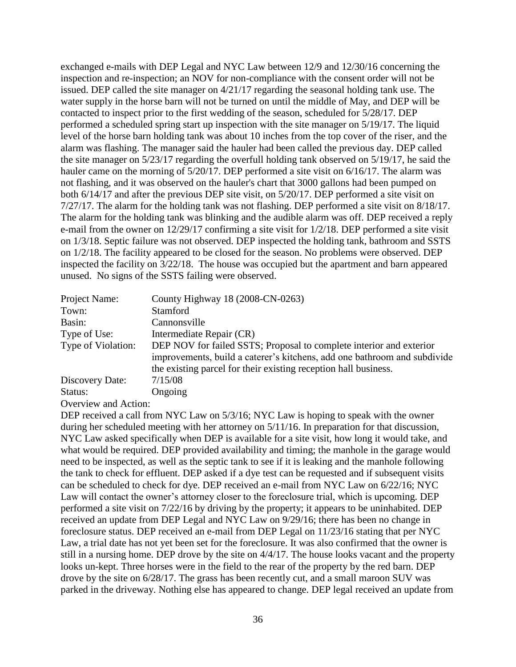exchanged e-mails with DEP Legal and NYC Law between 12/9 and 12/30/16 concerning the inspection and re-inspection; an NOV for non-compliance with the consent order will not be issued. DEP called the site manager on 4/21/17 regarding the seasonal holding tank use. The water supply in the horse barn will not be turned on until the middle of May, and DEP will be contacted to inspect prior to the first wedding of the season, scheduled for 5/28/17. DEP performed a scheduled spring start up inspection with the site manager on 5/19/17. The liquid level of the horse barn holding tank was about 10 inches from the top cover of the riser, and the alarm was flashing. The manager said the hauler had been called the previous day. DEP called the site manager on 5/23/17 regarding the overfull holding tank observed on 5/19/17, he said the hauler came on the morning of 5/20/17. DEP performed a site visit on 6/16/17. The alarm was not flashing, and it was observed on the hauler's chart that 3000 gallons had been pumped on both 6/14/17 and after the previous DEP site visit, on 5/20/17. DEP performed a site visit on 7/27/17. The alarm for the holding tank was not flashing. DEP performed a site visit on 8/18/17. The alarm for the holding tank was blinking and the audible alarm was off. DEP received a reply e-mail from the owner on 12/29/17 confirming a site visit for 1/2/18. DEP performed a site visit on 1/3/18. Septic failure was not observed. DEP inspected the holding tank, bathroom and SSTS on 1/2/18. The facility appeared to be closed for the season. No problems were observed. DEP inspected the facility on 3/22/18. The house was occupied but the apartment and barn appeared unused. No signs of the SSTS failing were observed.

| Project Name:      | County Highway 18 (2008-CN-0263)                                                                                                                                                                                   |
|--------------------|--------------------------------------------------------------------------------------------------------------------------------------------------------------------------------------------------------------------|
| Town:              | Stamford                                                                                                                                                                                                           |
| Basin:             | Cannonsville                                                                                                                                                                                                       |
| Type of Use:       | Intermediate Repair (CR)                                                                                                                                                                                           |
| Type of Violation: | DEP NOV for failed SSTS; Proposal to complete interior and exterior<br>improvements, build a caterer's kitchens, add one bathroom and subdivide<br>the existing parcel for their existing reception hall business. |
| Discovery Date:    | 7/15/08                                                                                                                                                                                                            |
| Status:            | Ongoing                                                                                                                                                                                                            |

Overview and Action:

DEP received a call from NYC Law on 5/3/16; NYC Law is hoping to speak with the owner during her scheduled meeting with her attorney on 5/11/16. In preparation for that discussion, NYC Law asked specifically when DEP is available for a site visit, how long it would take, and what would be required. DEP provided availability and timing; the manhole in the garage would need to be inspected, as well as the septic tank to see if it is leaking and the manhole following the tank to check for effluent. DEP asked if a dye test can be requested and if subsequent visits can be scheduled to check for dye. DEP received an e-mail from NYC Law on 6/22/16; NYC Law will contact the owner's attorney closer to the foreclosure trial, which is upcoming. DEP performed a site visit on 7/22/16 by driving by the property; it appears to be uninhabited. DEP received an update from DEP Legal and NYC Law on 9/29/16; there has been no change in foreclosure status. DEP received an e-mail from DEP Legal on 11/23/16 stating that per NYC Law, a trial date has not yet been set for the foreclosure. It was also confirmed that the owner is still in a nursing home. DEP drove by the site on 4/4/17. The house looks vacant and the property looks un-kept. Three horses were in the field to the rear of the property by the red barn. DEP drove by the site on 6/28/17. The grass has been recently cut, and a small maroon SUV was parked in the driveway. Nothing else has appeared to change. DEP legal received an update from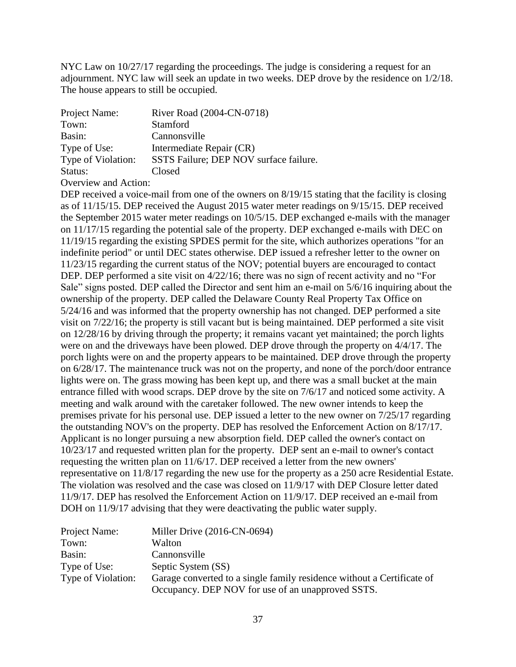NYC Law on 10/27/17 regarding the proceedings. The judge is considering a request for an adjournment. NYC law will seek an update in two weeks. DEP drove by the residence on 1/2/18. The house appears to still be occupied.

| Project Name:      | River Road (2004-CN-0718)              |
|--------------------|----------------------------------------|
| Town:              | Stamford                               |
| Basin:             | Cannonsville                           |
| Type of Use:       | Intermediate Repair (CR)               |
| Type of Violation: | SSTS Failure; DEP NOV surface failure. |
| Status:            | Closed                                 |

Overview and Action:

DEP received a voice-mail from one of the owners on 8/19/15 stating that the facility is closing as of 11/15/15. DEP received the August 2015 water meter readings on 9/15/15. DEP received the September 2015 water meter readings on 10/5/15. DEP exchanged e-mails with the manager on 11/17/15 regarding the potential sale of the property. DEP exchanged e-mails with DEC on 11/19/15 regarding the existing SPDES permit for the site, which authorizes operations "for an indefinite period" or until DEC states otherwise. DEP issued a refresher letter to the owner on 11/23/15 regarding the current status of the NOV; potential buyers are encouraged to contact DEP. DEP performed a site visit on  $4/22/16$ ; there was no sign of recent activity and no "For Sale" signs posted. DEP called the Director and sent him an e-mail on 5/6/16 inquiring about the ownership of the property. DEP called the Delaware County Real Property Tax Office on 5/24/16 and was informed that the property ownership has not changed. DEP performed a site visit on 7/22/16; the property is still vacant but is being maintained. DEP performed a site visit on 12/28/16 by driving through the property; it remains vacant yet maintained; the porch lights were on and the driveways have been plowed. DEP drove through the property on 4/4/17. The porch lights were on and the property appears to be maintained. DEP drove through the property on 6/28/17. The maintenance truck was not on the property, and none of the porch/door entrance lights were on. The grass mowing has been kept up, and there was a small bucket at the main entrance filled with wood scraps. DEP drove by the site on 7/6/17 and noticed some activity. A meeting and walk around with the caretaker followed. The new owner intends to keep the premises private for his personal use. DEP issued a letter to the new owner on 7/25/17 regarding the outstanding NOV's on the property. DEP has resolved the Enforcement Action on 8/17/17. Applicant is no longer pursuing a new absorption field. DEP called the owner's contact on 10/23/17 and requested written plan for the property. DEP sent an e-mail to owner's contact requesting the written plan on 11/6/17. DEP received a letter from the new owners' representative on 11/8/17 regarding the new use for the property as a 250 acre Residential Estate. The violation was resolved and the case was closed on 11/9/17 with DEP Closure letter dated 11/9/17. DEP has resolved the Enforcement Action on 11/9/17. DEP received an e-mail from DOH on 11/9/17 advising that they were deactivating the public water supply.

| Project Name:      | Miller Drive (2016-CN-0694)                                            |
|--------------------|------------------------------------------------------------------------|
| Town:              | Walton                                                                 |
| Basin:             | Cannonsville                                                           |
| Type of Use:       | Septic System (SS)                                                     |
| Type of Violation: | Garage converted to a single family residence without a Certificate of |
|                    | Occupancy. DEP NOV for use of an unapproved SSTS.                      |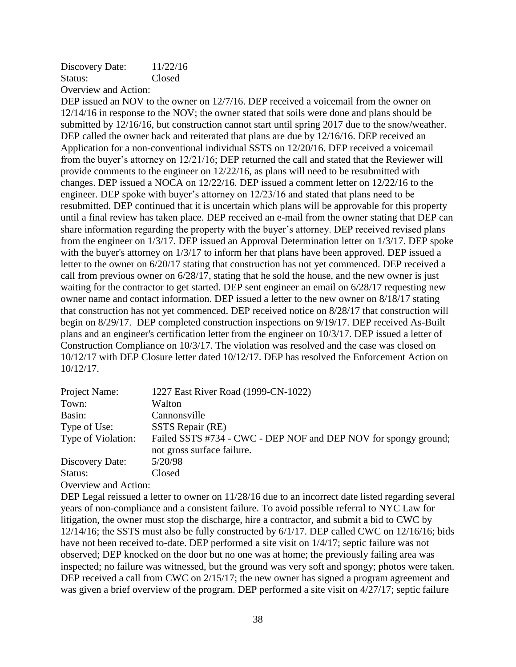Discovery Date:  $11/22/16$ Status: Closed Overview and Action:

DEP issued an NOV to the owner on  $12/7/16$ . DEP received a voicemail from the owner on 12/14/16 in response to the NOV; the owner stated that soils were done and plans should be submitted by 12/16/16, but construction cannot start until spring 2017 due to the snow/weather. DEP called the owner back and reiterated that plans are due by  $12/16/16$ . DEP received an Application for a non-conventional individual SSTS on 12/20/16. DEP received a voicemail from the buyer's attorney on 12/21/16; DEP returned the call and stated that the Reviewer will provide comments to the engineer on 12/22/16, as plans will need to be resubmitted with changes. DEP issued a NOCA on 12/22/16. DEP issued a comment letter on 12/22/16 to the engineer. DEP spoke with buyer's attorney on 12/23/16 and stated that plans need to be resubmitted. DEP continued that it is uncertain which plans will be approvable for this property until a final review has taken place. DEP received an e-mail from the owner stating that DEP can share information regarding the property with the buyer's attorney. DEP received revised plans from the engineer on 1/3/17. DEP issued an Approval Determination letter on 1/3/17. DEP spoke with the buyer's attorney on  $1/3/17$  to inform her that plans have been approved. DEP issued a letter to the owner on 6/20/17 stating that construction has not yet commenced. DEP received a call from previous owner on 6/28/17, stating that he sold the house, and the new owner is just waiting for the contractor to get started. DEP sent engineer an email on 6/28/17 requesting new owner name and contact information. DEP issued a letter to the new owner on 8/18/17 stating that construction has not yet commenced. DEP received notice on 8/28/17 that construction will begin on 8/29/17. DEP completed construction inspections on 9/19/17. DEP received As-Built plans and an engineer's certification letter from the engineer on 10/3/17. DEP issued a letter of Construction Compliance on 10/3/17. The violation was resolved and the case was closed on 10/12/17 with DEP Closure letter dated 10/12/17. DEP has resolved the Enforcement Action on 10/12/17.

| Project Name:        | 1227 East River Road (1999-CN-1022)                                                           |
|----------------------|-----------------------------------------------------------------------------------------------|
| Town:                | Walton                                                                                        |
| Basin:               | Cannonsville                                                                                  |
| Type of Use:         | SSTS Repair (RE)                                                                              |
| Type of Violation:   | Failed SSTS #734 - CWC - DEP NOF and DEP NOV for spongy ground;<br>not gross surface failure. |
| Discovery Date:      | 5/20/98                                                                                       |
| Status:              | Closed                                                                                        |
| Overview and Action: |                                                                                               |

DEP Legal reissued a letter to owner on  $11/28/16$  due to an incorrect date listed regarding several years of non-compliance and a consistent failure. To avoid possible referral to NYC Law for litigation, the owner must stop the discharge, hire a contractor, and submit a bid to CWC by 12/14/16; the SSTS must also be fully constructed by 6/1/17. DEP called CWC on 12/16/16; bids have not been received to-date. DEP performed a site visit on 1/4/17; septic failure was not observed; DEP knocked on the door but no one was at home; the previously failing area was inspected; no failure was witnessed, but the ground was very soft and spongy; photos were taken. DEP received a call from CWC on  $2/15/17$ ; the new owner has signed a program agreement and was given a brief overview of the program. DEP performed a site visit on 4/27/17; septic failure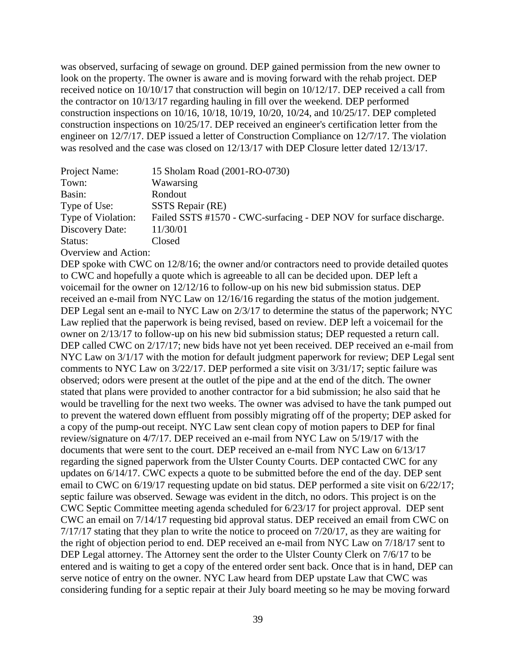was observed, surfacing of sewage on ground. DEP gained permission from the new owner to look on the property. The owner is aware and is moving forward with the rehab project. DEP received notice on 10/10/17 that construction will begin on 10/12/17. DEP received a call from the contractor on 10/13/17 regarding hauling in fill over the weekend. DEP performed construction inspections on 10/16, 10/18, 10/19, 10/20, 10/24, and 10/25/17. DEP completed construction inspections on 10/25/17. DEP received an engineer's certification letter from the engineer on 12/7/17. DEP issued a letter of Construction Compliance on 12/7/17. The violation was resolved and the case was closed on  $12/13/17$  with DEP Closure letter dated  $12/13/17$ .

| Project Name:      | 15 Sholam Road (2001-RO-0730)                                      |
|--------------------|--------------------------------------------------------------------|
| Town:              | Wawarsing                                                          |
| Basin:             | Rondout                                                            |
| Type of Use:       | SSTS Repair (RE)                                                   |
| Type of Violation: | Failed SSTS #1570 - CWC-surfacing - DEP NOV for surface discharge. |
| Discovery Date:    | 11/30/01                                                           |
| Status:            | Closed                                                             |
|                    |                                                                    |

Overview and Action:

DEP spoke with CWC on 12/8/16; the owner and/or contractors need to provide detailed quotes to CWC and hopefully a quote which is agreeable to all can be decided upon. DEP left a voicemail for the owner on 12/12/16 to follow-up on his new bid submission status. DEP received an e-mail from NYC Law on 12/16/16 regarding the status of the motion judgement. DEP Legal sent an e-mail to NYC Law on 2/3/17 to determine the status of the paperwork; NYC Law replied that the paperwork is being revised, based on review. DEP left a voicemail for the owner on 2/13/17 to follow-up on his new bid submission status; DEP requested a return call. DEP called CWC on  $2/17/17$ ; new bids have not yet been received. DEP received an e-mail from NYC Law on  $3/1/17$  with the motion for default judgment paperwork for review; DEP Legal sent comments to NYC Law on 3/22/17. DEP performed a site visit on 3/31/17; septic failure was observed; odors were present at the outlet of the pipe and at the end of the ditch. The owner stated that plans were provided to another contractor for a bid submission; he also said that he would be travelling for the next two weeks. The owner was advised to have the tank pumped out to prevent the watered down effluent from possibly migrating off of the property; DEP asked for a copy of the pump-out receipt. NYC Law sent clean copy of motion papers to DEP for final review/signature on 4/7/17. DEP received an e-mail from NYC Law on 5/19/17 with the documents that were sent to the court. DEP received an e-mail from NYC Law on 6/13/17 regarding the signed paperwork from the Ulster County Courts. DEP contacted CWC for any updates on 6/14/17. CWC expects a quote to be submitted before the end of the day. DEP sent email to CWC on 6/19/17 requesting update on bid status. DEP performed a site visit on 6/22/17; septic failure was observed. Sewage was evident in the ditch, no odors. This project is on the CWC Septic Committee meeting agenda scheduled for 6/23/17 for project approval. DEP sent CWC an email on 7/14/17 requesting bid approval status. DEP received an email from CWC on 7/17/17 stating that they plan to write the notice to proceed on 7/20/17, as they are waiting for the right of objection period to end. DEP received an e-mail from NYC Law on 7/18/17 sent to DEP Legal attorney. The Attorney sent the order to the Ulster County Clerk on  $7/6/17$  to be entered and is waiting to get a copy of the entered order sent back. Once that is in hand, DEP can serve notice of entry on the owner. NYC Law heard from DEP upstate Law that CWC was considering funding for a septic repair at their July board meeting so he may be moving forward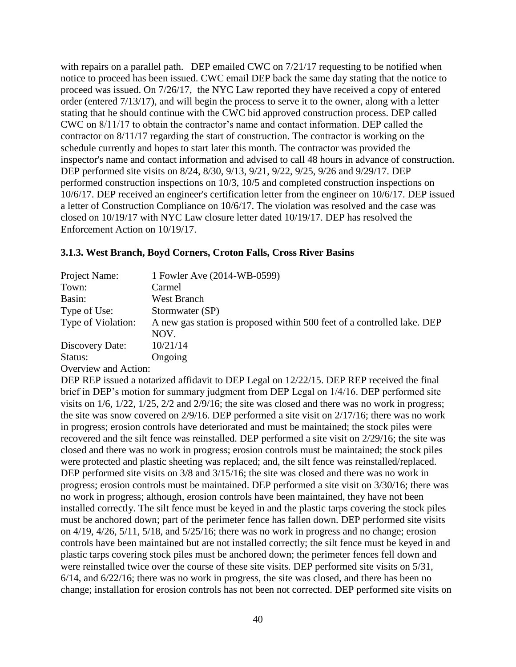with repairs on a parallel path. DEP emailed CWC on  $7/21/17$  requesting to be notified when notice to proceed has been issued. CWC email DEP back the same day stating that the notice to proceed was issued. On 7/26/17, the NYC Law reported they have received a copy of entered order (entered 7/13/17), and will begin the process to serve it to the owner, along with a letter stating that he should continue with the CWC bid approved construction process. DEP called CWC on 8/11/17 to obtain the contractor's name and contact information. DEP called the contractor on 8/11/17 regarding the start of construction. The contractor is working on the schedule currently and hopes to start later this month. The contractor was provided the inspector's name and contact information and advised to call 48 hours in advance of construction. DEP performed site visits on 8/24, 8/30, 9/13, 9/21, 9/22, 9/25, 9/26 and 9/29/17. DEP performed construction inspections on 10/3, 10/5 and completed construction inspections on 10/6/17. DEP received an engineer's certification letter from the engineer on 10/6/17. DEP issued a letter of Construction Compliance on 10/6/17. The violation was resolved and the case was closed on 10/19/17 with NYC Law closure letter dated 10/19/17. DEP has resolved the Enforcement Action on 10/19/17.

### **3.1.3. West Branch, Boyd Corners, Croton Falls, Cross River Basins**

| Project Name:      | 1 Fowler Ave (2014-WB-0599)                                             |
|--------------------|-------------------------------------------------------------------------|
| Town:              | Carmel                                                                  |
| Basin:             | West Branch                                                             |
| Type of Use:       | Stormwater (SP)                                                         |
| Type of Violation: | A new gas station is proposed within 500 feet of a controlled lake. DEP |
|                    | NOV.                                                                    |
| Discovery Date:    | 10/21/14                                                                |
| Status:            | Ongoing                                                                 |
| $\Omega$           |                                                                         |

Overview and Action:

DEP REP issued a notarized affidavit to DEP Legal on  $12/22/15$ . DEP REP received the final brief in DEP's motion for summary judgment from DEP Legal on 1/4/16. DEP performed site visits on 1/6, 1/22, 1/25, 2/2 and 2/9/16; the site was closed and there was no work in progress; the site was snow covered on 2/9/16. DEP performed a site visit on 2/17/16; there was no work in progress; erosion controls have deteriorated and must be maintained; the stock piles were recovered and the silt fence was reinstalled. DEP performed a site visit on 2/29/16; the site was closed and there was no work in progress; erosion controls must be maintained; the stock piles were protected and plastic sheeting was replaced; and, the silt fence was reinstalled/replaced. DEP performed site visits on 3/8 and 3/15/16; the site was closed and there was no work in progress; erosion controls must be maintained. DEP performed a site visit on 3/30/16; there was no work in progress; although, erosion controls have been maintained, they have not been installed correctly. The silt fence must be keyed in and the plastic tarps covering the stock piles must be anchored down; part of the perimeter fence has fallen down. DEP performed site visits on 4/19, 4/26, 5/11, 5/18, and 5/25/16; there was no work in progress and no change; erosion controls have been maintained but are not installed correctly; the silt fence must be keyed in and plastic tarps covering stock piles must be anchored down; the perimeter fences fell down and were reinstalled twice over the course of these site visits. DEP performed site visits on  $5/31$ , 6/14, and 6/22/16; there was no work in progress, the site was closed, and there has been no change; installation for erosion controls has not been not corrected. DEP performed site visits on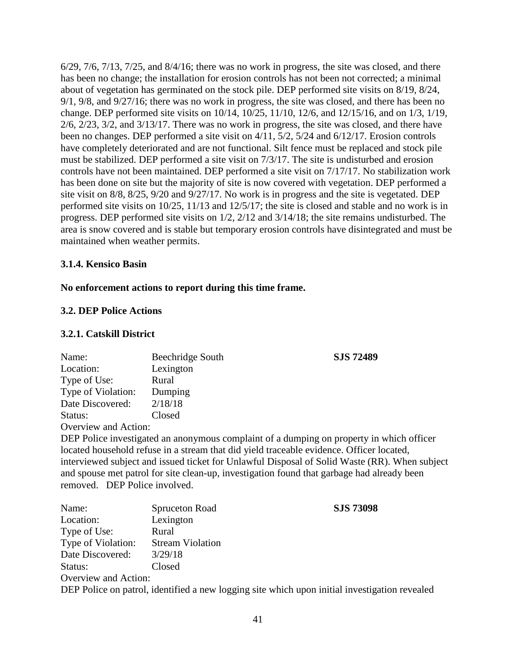$6/29$ ,  $7/6$ ,  $7/13$ ,  $7/25$ , and  $8/4/16$ ; there was no work in progress, the site was closed, and there has been no change; the installation for erosion controls has not been not corrected; a minimal about of vegetation has germinated on the stock pile. DEP performed site visits on 8/19, 8/24, 9/1, 9/8, and 9/27/16; there was no work in progress, the site was closed, and there has been no change. DEP performed site visits on 10/14, 10/25, 11/10, 12/6, and 12/15/16, and on 1/3, 1/19, 2/6, 2/23, 3/2, and 3/13/17. There was no work in progress, the site was closed, and there have been no changes. DEP performed a site visit on 4/11, 5/2, 5/24 and 6/12/17. Erosion controls have completely deteriorated and are not functional. Silt fence must be replaced and stock pile must be stabilized. DEP performed a site visit on 7/3/17. The site is undisturbed and erosion controls have not been maintained. DEP performed a site visit on 7/17/17. No stabilization work has been done on site but the majority of site is now covered with vegetation. DEP performed a site visit on 8/8, 8/25, 9/20 and 9/27/17. No work is in progress and the site is vegetated. DEP performed site visits on 10/25, 11/13 and 12/5/17; the site is closed and stable and no work is in progress. DEP performed site visits on 1/2, 2/12 and 3/14/18; the site remains undisturbed. The area is snow covered and is stable but temporary erosion controls have disintegrated and must be maintained when weather permits.

### **3.1.4. Kensico Basin**

### **No enforcement actions to report during this time frame.**

### **3.2. DEP Police Actions**

### **3.2.1. Catskill District**

| Name:                | Beechridge South | <b>SJS 72489</b> |
|----------------------|------------------|------------------|
| Location:            | Lexington        |                  |
| Type of Use:         | Rural            |                  |
| Type of Violation:   | Dumping          |                  |
| Date Discovered:     | 2/18/18          |                  |
| Status:              | Closed           |                  |
| Overview and Action: |                  |                  |

DEP Police investigated an anonymous complaint of a dumping on property in which officer located household refuse in a stream that did yield traceable evidence. Officer located, interviewed subject and issued ticket for Unlawful Disposal of Solid Waste (RR). When subject and spouse met patrol for site clean-up, investigation found that garbage had already been removed. DEP Police involved.

| Name:                | Spruceton Road          | <b>SJS 73098</b>                                                                              |
|----------------------|-------------------------|-----------------------------------------------------------------------------------------------|
| Location:            | Lexington               |                                                                                               |
| Type of Use:         | Rural                   |                                                                                               |
| Type of Violation:   | <b>Stream Violation</b> |                                                                                               |
| Date Discovered:     | 3/29/18                 |                                                                                               |
| Status:              | Closed                  |                                                                                               |
| Overview and Action: |                         |                                                                                               |
|                      |                         | DEP Police on patrol, identified a new logging site which upon initial investigation revealed |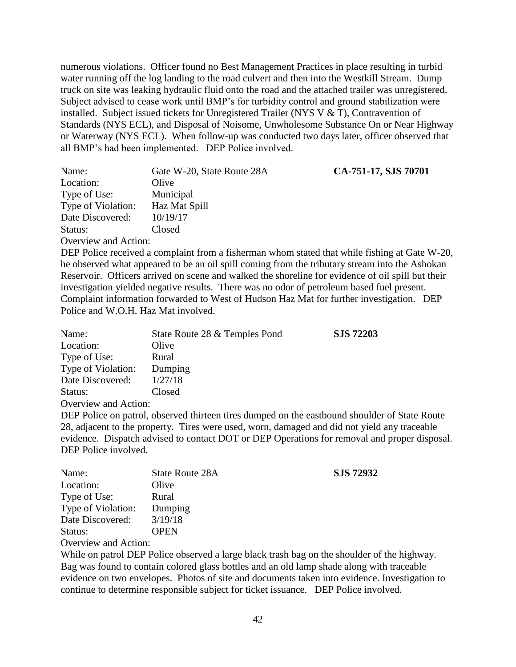numerous violations. Officer found no Best Management Practices in place resulting in turbid water running off the log landing to the road culvert and then into the Westkill Stream. Dump truck on site was leaking hydraulic fluid onto the road and the attached trailer was unregistered. Subject advised to cease work until BMP's for turbidity control and ground stabilization were installed. Subject issued tickets for Unregistered Trailer (NYS V & T), Contravention of Standards (NYS ECL), and Disposal of Noisome, Unwholesome Substance On or Near Highway or Waterway (NYS ECL). When follow-up was conducted two days later, officer observed that all BMP's had been implemented. DEP Police involved.

| Name:                | Gate W-20, State Route 28A | CA-751-17, SJS 70701 |
|----------------------|----------------------------|----------------------|
| Location:            | Olive                      |                      |
| Type of Use:         | Municipal                  |                      |
| Type of Violation:   | Haz Mat Spill              |                      |
| Date Discovered:     | 10/19/17                   |                      |
| Status:              | Closed                     |                      |
| Overview and Actions |                            |                      |

Overview and Action:

DEP Police received a complaint from a fisherman whom stated that while fishing at Gate W-20, he observed what appeared to be an oil spill coming from the tributary stream into the Ashokan Reservoir. Officers arrived on scene and walked the shoreline for evidence of oil spill but their investigation yielded negative results. There was no odor of petroleum based fuel present. Complaint information forwarded to West of Hudson Haz Mat for further investigation. DEP Police and W.O.H. Haz Mat involved.

| Name:                | State Route 28 & Temples Pond | <b>SJS 72203</b> |
|----------------------|-------------------------------|------------------|
| Location:            | Olive                         |                  |
| Type of Use:         | Rural                         |                  |
| Type of Violation:   | Dumping                       |                  |
| Date Discovered:     | 1/27/18                       |                  |
| Status:              | Closed                        |                  |
| Overview and Action: |                               |                  |

DEP Police on patrol, observed thirteen tires dumped on the eastbound shoulder of State Route 28, adjacent to the property. Tires were used, worn, damaged and did not yield any traceable evidence. Dispatch advised to contact DOT or DEP Operations for removal and proper disposal. DEP Police involved.

| Name:                              | <b>State Route 28A</b> | <b>SJS 72932</b> |
|------------------------------------|------------------------|------------------|
| Location:                          | Olive                  |                  |
| Type of Use:                       | Rural                  |                  |
| Type of Violation:                 | Dumping                |                  |
| Date Discovered:                   | 3/19/18                |                  |
| Status:                            | <b>OPEN</b>            |                  |
| $\sim$ $\sim$ $\sim$ $\sim$ $\sim$ |                        |                  |

Overview and Action:

While on patrol DEP Police observed a large black trash bag on the shoulder of the highway. Bag was found to contain colored glass bottles and an old lamp shade along with traceable evidence on two envelopes. Photos of site and documents taken into evidence. Investigation to continue to determine responsible subject for ticket issuance. DEP Police involved.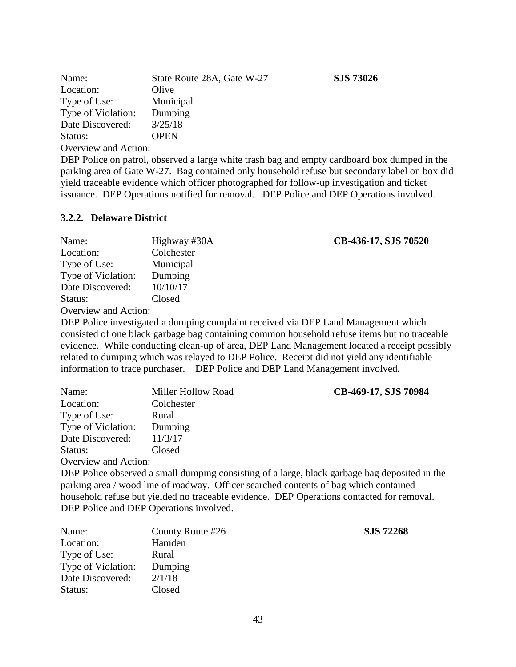| Name:                              | State Route 28A, Gate W-27 |
|------------------------------------|----------------------------|
| Location:                          | Olive                      |
| Type of Use:                       | Municipal                  |
| Type of Violation:                 | Dumping                    |
| Date Discovered:                   | 3/25/18                    |
| Status:                            | <b>OPEN</b>                |
| $\sim$ $\sim$ $\sim$ $\sim$ $\sim$ |                            |

DEP Police on patrol, observed a large white trash bag and empty cardboard box dumped in the parking area of Gate W-27. Bag contained only household refuse but secondary label on box did yield traceable evidence which officer photographed for follow-up investigation and ticket issuance. DEP Operations notified for removal. DEP Police and DEP Operations involved.

### **3.2.2. Delaware District**

| Name:                                                                                                                                                                                                                                                                                                                                                                                                                                                                  | Highway #30A | CB-436-17, SJS 70520 |
|------------------------------------------------------------------------------------------------------------------------------------------------------------------------------------------------------------------------------------------------------------------------------------------------------------------------------------------------------------------------------------------------------------------------------------------------------------------------|--------------|----------------------|
| Location:                                                                                                                                                                                                                                                                                                                                                                                                                                                              | Colchester   |                      |
| Type of Use:                                                                                                                                                                                                                                                                                                                                                                                                                                                           | Municipal    |                      |
| Type of Violation:                                                                                                                                                                                                                                                                                                                                                                                                                                                     | Dumping      |                      |
| Date Discovered:                                                                                                                                                                                                                                                                                                                                                                                                                                                       | 10/10/17     |                      |
| Status:                                                                                                                                                                                                                                                                                                                                                                                                                                                                | Closed       |                      |
| $\bigcap_{x \in \mathbb{R}} \dots$ : $\bigcup_{x \in \mathbb{R}} \bigcup_{x \in \mathbb{R}} \bigcup_{x \in \mathbb{R}} \bigcup_{x \in \mathbb{R}} \bigcup_{x \in \mathbb{R}} \bigcup_{x \in \mathbb{R}} \bigcup_{x \in \mathbb{R}} \bigcup_{x \in \mathbb{R}} \bigcup_{x \in \mathbb{R}} \bigcup_{x \in \mathbb{R}} \bigcup_{x \in \mathbb{R}} \bigcup_{x \in \mathbb{R}} \bigcup_{x \in \mathbb{R}} \bigcup_{x \in \mathbb{R}} \bigcup_{x \in \mathbb{R}} \bigcup_{x$ |              |                      |

Overview and Action:

DEP Police investigated a dumping complaint received via DEP Land Management which consisted of one black garbage bag containing common household refuse items but no traceable evidence. While conducting clean-up of area, DEP Land Management located a receipt possibly related to dumping which was relayed to DEP Police. Receipt did not yield any identifiable information to trace purchaser. DEP Police and DEP Land Management involved.

| Name:                | Miller Hollow Road | CB-469-17, SJS 70984 |
|----------------------|--------------------|----------------------|
| Location:            | Colchester         |                      |
| Type of Use:         | Rural              |                      |
| Type of Violation:   | Dumping            |                      |
| Date Discovered:     | 11/3/17            |                      |
| Status:              | Closed             |                      |
| Overview and Action: |                    |                      |

DEP Police observed a small dumping consisting of a large, black garbage bag deposited in the parking area / wood line of roadway. Officer searched contents of bag which contained household refuse but yielded no traceable evidence. DEP Operations contacted for removal. DEP Police and DEP Operations involved.

| Name:              | County Route #26 | <b>SJS 72268</b> |
|--------------------|------------------|------------------|
| Location:          | Hamden           |                  |
| Type of Use:       | Rural            |                  |
| Type of Violation: | Dumping          |                  |
| Date Discovered:   | 2/1/18           |                  |
| Status:            | Closed           |                  |

Name: State Route 28A, Gate W-27 **SJS 73026**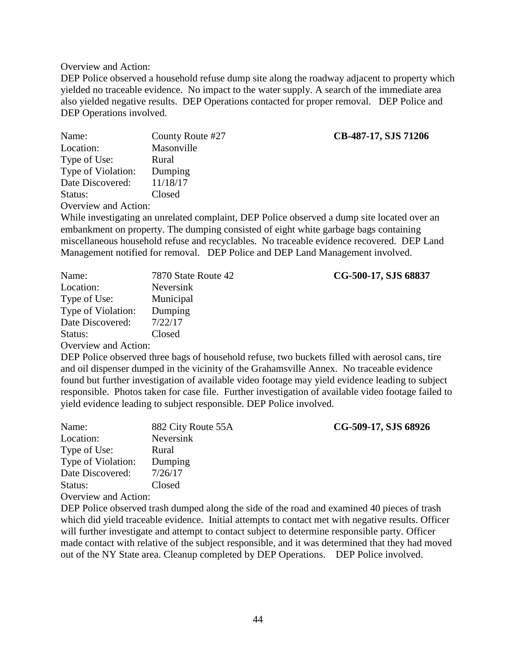DEP Police observed a household refuse dump site along the roadway adjacent to property which yielded no traceable evidence. No impact to the water supply. A search of the immediate area also yielded negative results. DEP Operations contacted for proper removal. DEP Police and DEP Operations involved.

| Name:                | County Route #27 | CB-487-17, SJS 71206 |
|----------------------|------------------|----------------------|
| Location:            | Masonville       |                      |
| Type of Use:         | Rural            |                      |
| Type of Violation:   | Dumping          |                      |
| Date Discovered:     | 11/18/17         |                      |
| Status:              | Closed           |                      |
| Overview and Action: |                  |                      |
|                      |                  |                      |

While investigating an unrelated complaint, DEP Police observed a dump site located over an embankment on property. The dumping consisted of eight white garbage bags containing miscellaneous household refuse and recyclables. No traceable evidence recovered. DEP Land Management notified for removal. DEP Police and DEP Land Management involved.

| Name:                | 7870 State Route 42 | CG-500-17, SJS 68837 |
|----------------------|---------------------|----------------------|
| Location:            | Neversink           |                      |
| Type of Use:         | Municipal           |                      |
| Type of Violation:   | Dumping             |                      |
| Date Discovered:     | 7/22/17             |                      |
| Status:              | Closed              |                      |
| Overview and Action. |                     |                      |

Overview and Action:

DEP Police observed three bags of household refuse, two buckets filled with aerosol cans, tire and oil dispenser dumped in the vicinity of the Grahamsville Annex. No traceable evidence found but further investigation of available video footage may yield evidence leading to subject responsible. Photos taken for case file. Further investigation of available video footage failed to yield evidence leading to subject responsible. DEP Police involved.

| Name:                | 882 City Route 55A | CG-509-17, SJS 68926                                                                                                                                                                                                                                                                                                                                        |
|----------------------|--------------------|-------------------------------------------------------------------------------------------------------------------------------------------------------------------------------------------------------------------------------------------------------------------------------------------------------------------------------------------------------------|
| Location:            | Neversink          |                                                                                                                                                                                                                                                                                                                                                             |
| Type of Use:         | Rural              |                                                                                                                                                                                                                                                                                                                                                             |
| Type of Violation:   | Dumping            |                                                                                                                                                                                                                                                                                                                                                             |
| Date Discovered:     | 7/26/17            |                                                                                                                                                                                                                                                                                                                                                             |
| Status:              | Closed             |                                                                                                                                                                                                                                                                                                                                                             |
| Overview and Action: |                    |                                                                                                                                                                                                                                                                                                                                                             |
|                      |                    | $\mathcal{C}$ $\mathcal{C}$ $\mathcal{C}$ $\mathcal{C}$ $\mathcal{C}$ $\mathcal{C}$ $\mathcal{C}$ $\mathcal{C}$ $\mathcal{C}$ $\mathcal{C}$ $\mathcal{C}$ $\mathcal{C}$ $\mathcal{C}$ $\mathcal{C}$ $\mathcal{C}$ $\mathcal{C}$ $\mathcal{C}$ $\mathcal{C}$ $\mathcal{C}$ $\mathcal{C}$ $\mathcal{C}$ $\mathcal{C}$ $\mathcal{C}$ $\mathcal{C}$ $\mathcal{$ |

DEP Police observed trash dumped along the side of the road and examined 40 pieces of trash which did yield traceable evidence. Initial attempts to contact met with negative results. Officer will further investigate and attempt to contact subject to determine responsible party. Officer made contact with relative of the subject responsible, and it was determined that they had moved out of the NY State area. Cleanup completed by DEP Operations. DEP Police involved.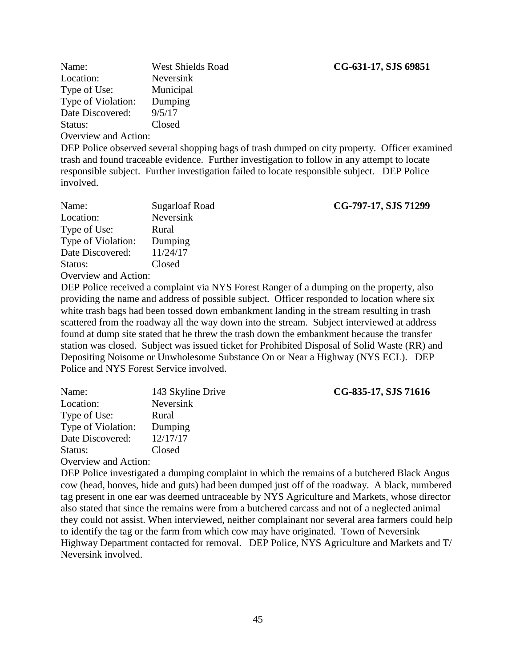| Name:                | <b>West Shields Road</b> |
|----------------------|--------------------------|
| Location:            | Neversink                |
| Type of Use:         | Municipal                |
| Type of Violation:   | Dumping                  |
| Date Discovered:     | 9/5/17                   |
| Status:              | Closed                   |
| Overview and Action. |                          |

DEP Police observed several shopping bags of trash dumped on city property. Officer examined trash and found traceable evidence. Further investigation to follow in any attempt to locate responsible subject. Further investigation failed to locate responsible subject. DEP Police involved.

| Name:                | Sugarloaf Road | CG-797-17, SJS 71299 |
|----------------------|----------------|----------------------|
| Location:            | Neversink      |                      |
| Type of Use:         | Rural          |                      |
| Type of Violation:   | Dumping        |                      |
| Date Discovered:     | 11/24/17       |                      |
| Status:              | Closed         |                      |
| Overview and Action: |                |                      |

DEP Police received a complaint via NYS Forest Ranger of a dumping on the property, also providing the name and address of possible subject. Officer responded to location where six white trash bags had been tossed down embankment landing in the stream resulting in trash scattered from the roadway all the way down into the stream. Subject interviewed at address found at dump site stated that he threw the trash down the embankment because the transfer station was closed. Subject was issued ticket for Prohibited Disposal of Solid Waste (RR) and Depositing Noisome or Unwholesome Substance On or Near a Highway (NYS ECL). DEP Police and NYS Forest Service involved.

| Name:                              | 143 Skyline Drive | CG-835-17, SJS 71616 |
|------------------------------------|-------------------|----------------------|
| Location:                          | Neversink         |                      |
| Type of Use:                       | Rural             |                      |
| Type of Violation:                 | Dumping           |                      |
| Date Discovered:                   | 12/17/17          |                      |
| Status:                            | Closed            |                      |
| $\sim$ $\sim$ $\sim$ $\sim$ $\sim$ |                   |                      |

Overview and Action:

DEP Police investigated a dumping complaint in which the remains of a butchered Black Angus cow (head, hooves, hide and guts) had been dumped just off of the roadway. A black, numbered tag present in one ear was deemed untraceable by NYS Agriculture and Markets, whose director also stated that since the remains were from a butchered carcass and not of a neglected animal they could not assist. When interviewed, neither complainant nor several area farmers could help to identify the tag or the farm from which cow may have originated. Town of Neversink Highway Department contacted for removal. DEP Police, NYS Agriculture and Markets and T/ Neversink involved.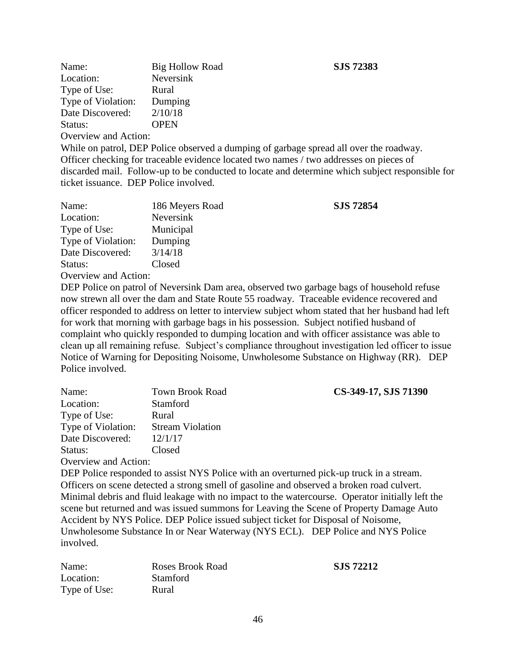| Name:                | <b>Big Hollow Road</b> |
|----------------------|------------------------|
| Location:            | Neversink              |
| Type of Use:         | Rural                  |
| Type of Violation:   | Dumping                |
| Date Discovered:     | 2/10/18                |
| Status:              | <b>OPEN</b>            |
| Overview and Action. |                        |

#### Name: Big Hollow Road **SJS 72383**

Overview and Action:

While on patrol, DEP Police observed a dumping of garbage spread all over the roadway. Officer checking for traceable evidence located two names / two addresses on pieces of discarded mail. Follow-up to be conducted to locate and determine which subject responsible for ticket issuance. DEP Police involved.

| Name:                | 186 Meyers Road | <b>SJS 72854</b> |
|----------------------|-----------------|------------------|
| Location:            | Neversink       |                  |
| Type of Use:         | Municipal       |                  |
| Type of Violation:   | Dumping         |                  |
| Date Discovered:     | 3/14/18         |                  |
| Status:              | Closed          |                  |
| Overview and Action: |                 |                  |

DEP Police on patrol of Neversink Dam area, observed two garbage bags of household refuse now strewn all over the dam and State Route 55 roadway. Traceable evidence recovered and officer responded to address on letter to interview subject whom stated that her husband had left for work that morning with garbage bags in his possession. Subject notified husband of complaint who quickly responded to dumping location and with officer assistance was able to clean up all remaining refuse. Subject's compliance throughout investigation led officer to issue Notice of Warning for Depositing Noisome, Unwholesome Substance on Highway (RR). DEP Police involved.

| Name:                | <b>Town Brook Road</b>  | CS-349-17, SJS 71390 |
|----------------------|-------------------------|----------------------|
| Location:            | <b>Stamford</b>         |                      |
| Type of Use:         | Rural                   |                      |
| Type of Violation:   | <b>Stream Violation</b> |                      |
| Date Discovered:     | 12/1/17                 |                      |
| Status:              | Closed                  |                      |
| Overview and Action: |                         |                      |

DEP Police responded to assist NYS Police with an overturned pick-up truck in a stream. Officers on scene detected a strong smell of gasoline and observed a broken road culvert. Minimal debris and fluid leakage with no impact to the watercourse. Operator initially left the scene but returned and was issued summons for Leaving the Scene of Property Damage Auto Accident by NYS Police. DEP Police issued subject ticket for Disposal of Noisome, Unwholesome Substance In or Near Waterway (NYS ECL). DEP Police and NYS Police involved.

| Name:        | <b>Roses Brook Road</b> | SJS 72212 |
|--------------|-------------------------|-----------|
| Location:    | <b>Stamford</b>         |           |
| Type of Use: | Rural                   |           |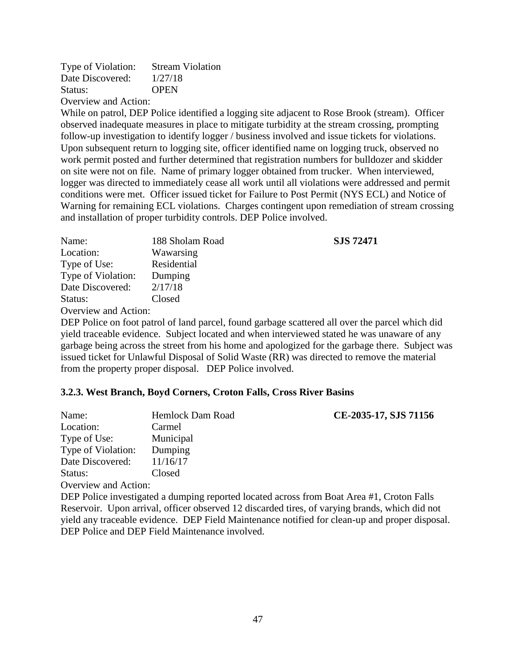| Type of Violation:       | <b>Stream Violation</b> |
|--------------------------|-------------------------|
| Date Discovered:         | 1/27/18                 |
| Status:                  | <b>OPEN</b>             |
| $\blacksquare$<br>$\sim$ |                         |

While on patrol, DEP Police identified a logging site adjacent to Rose Brook (stream). Officer observed inadequate measures in place to mitigate turbidity at the stream crossing, prompting follow-up investigation to identify logger / business involved and issue tickets for violations. Upon subsequent return to logging site, officer identified name on logging truck, observed no work permit posted and further determined that registration numbers for bulldozer and skidder on site were not on file. Name of primary logger obtained from trucker. When interviewed, logger was directed to immediately cease all work until all violations were addressed and permit conditions were met. Officer issued ticket for Failure to Post Permit (NYS ECL) and Notice of Warning for remaining ECL violations. Charges contingent upon remediation of stream crossing and installation of proper turbidity controls. DEP Police involved.

| Name:                | 188 Sholam Road | <b>SJS 72471</b> |
|----------------------|-----------------|------------------|
| Location:            | Wawarsing       |                  |
| Type of Use:         | Residential     |                  |
| Type of Violation:   | Dumping         |                  |
| Date Discovered:     | 2/17/18         |                  |
| Status:              | Closed          |                  |
| Overview and Action: |                 |                  |

Overview and Action:

DEP Police on foot patrol of land parcel, found garbage scattered all over the parcel which did yield traceable evidence. Subject located and when interviewed stated he was unaware of any garbage being across the street from his home and apologized for the garbage there. Subject was issued ticket for Unlawful Disposal of Solid Waste (RR) was directed to remove the material from the property proper disposal. DEP Police involved.

### **3.2.3. West Branch, Boyd Corners, Croton Falls, Cross River Basins**

| Name:                                                                                     | Hemlock Dam Road | CE-2035-17, SJS 71156 |
|-------------------------------------------------------------------------------------------|------------------|-----------------------|
| Location:                                                                                 | Carmel           |                       |
| Type of Use:                                                                              | Municipal        |                       |
| Type of Violation:                                                                        | Dumping          |                       |
| Date Discovered:                                                                          | 11/16/17         |                       |
| Status:                                                                                   | Closed           |                       |
| Overview and Action:                                                                      |                  |                       |
| DED police investigated a dumning reported located across from Roat Area #1. Croton Falls |                  |                       |

DEP Police investigated a dumping reported located across from Boat Area #1, Croton Falls Reservoir. Upon arrival, officer observed 12 discarded tires, of varying brands, which did not yield any traceable evidence. DEP Field Maintenance notified for clean-up and proper disposal. DEP Police and DEP Field Maintenance involved.